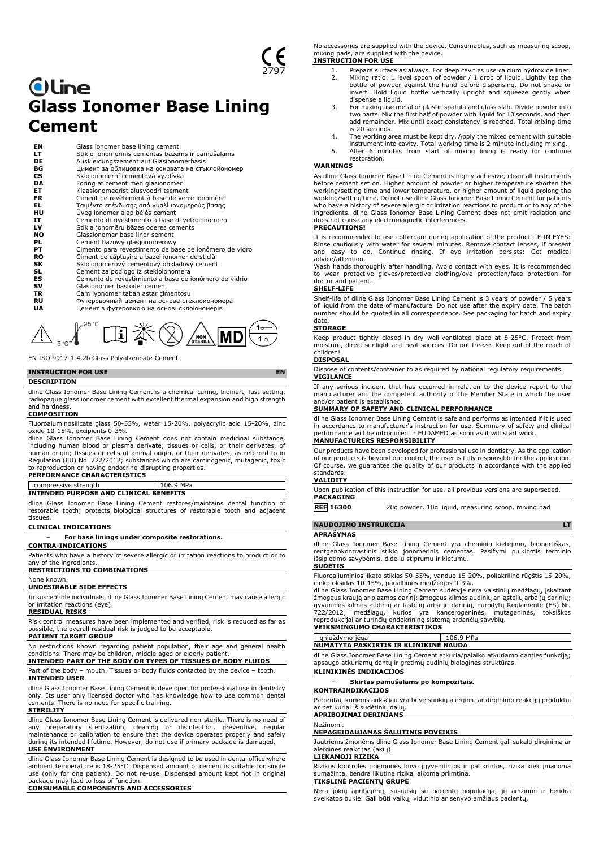# **Oline Glass Ionomer Base Lining Cement**

**EN** Glass ionomer base lining cement<br> **LT** Stiklo jonomerinis cementas baze<br>
Auskleidungszement auf Glasiono<br> **BG** Li<sub>MMeHT</sub> as ofonungors an ochosar<br>
CS Skloionomerní cementová vyzdívk **LT** Stiklo jonomerinis cementas bazėms ir pamušalams **DE** Auskleidungszement auf Glasionomerbasis **BG** Цимент за облицовка на основата на стъклойономер **CS** Skloionomerní cementová vyzdívka<br> **DA** Foring af cement med glasionomer<br> **ET** Klaasionomeerist alusvoodri tsemer Foring af cement med glasionomer **ET** Klaasionomeerist alusvoodri tsement<br>**FR** Ciment de revêtement à base de veri FR Ciment de revêtement à base de verre ionomère<br> **EL** Τσιμέντο επένδυσης από γυαλί ιονομερούς βάσης<br> **HU** Üveg ionomer alap bélés cement **EL** Τσιμέντο επένδυσης από γυαλί ιονομερούς βάσης **HU** Üveg ionomer alap bélés cement<br> **IT** Cemento di rivestimento a base c<br> **LV** Stikla jonomēru bāzes oderes cer Cemento di rivestimento a base di vetroionomero **LV** Stikla jonomēru bāzes oderes cements<br> **NO** Glassionomer base liner sement<br> **PL** Cement bazowy glasjonomerowy<br> **PT** Cimento para revestimento de base de Glassionomer base liner sement Cement bazowy glasjonomerowy **PT**<br>**PT** Cimento para revestimento de base de ionômero de vidro<br>**RO** Ciment de căptușire a bazei ionomer de sticlă **RO** Ciment de căptușire a bazei ionomer de sticlă<br> **SK** Skloionomerový cementový obkladový cement<br> **ES** Cement za podlogo iz stekloionomera<br> **ES** Cemento de revestimiento a base de ionómero<br> **SV** Glasionomer basfoder ceme **SK** Skloionomerový cementový obkladový cement **SL** Cement za podlogo iz stekloionomera Cemento de revestimiento a base de ionómero de vidrio **SV** Glasionomer basfoder cement<br> **TR** Cam iyonomer taban astar çim **TR** Cam iyonomer taban astar çimentosu **RU** Футеровочный цемент на основе стеклоиономера<br>**UA** Шемент з футеровкою на основі склоїономерів **UA** Цемент з футеровкою на основі склоіономерів



EN ISO 9917-1 4.2b Glass Polyalkenoate Cement

## **INSTRUCTION FOR USE EN**

#### **DESCRIPTION**

dline Glass Ionomer Base Lining Cement is a chemical curing, bioinert, fast-setting, radiopaque glass ionomer cement with excellent thermal expansion and high strength and hardness.

#### **COMPOSITION**

Fluoroaluminosilicate glass 50-55%, water 15-20%, polyacrylic acid 15-20%, zinc

oxide 10-15%, excipients 0-3%. dline Glass Ionomer Base Lining Cement does not contain medicinal substance, including human blood or plasma derivate; tissues or cells, or their derivates, of human origin; tissues or cells of animal origin, or their derivates, as referred to in Regulation (EU) No. 722/2012; substances which are carcinogenic, mutagenic, toxic to reproduction or having endocrine-disrupting properties.

## **PERFORMANCE CHARACTERISTICS**

| compressive strength                   | 106.9 MPa |  |
|----------------------------------------|-----------|--|
| INTENDED PURPOSE AND CLINICAL BENEFITS |           |  |

dline Glass Ionomer Base Lining Cement restores/maintains dental function of restorable tooth; protects biological structures of restorable tooth and adjacent tissues.

## **CLINICAL INDICATIONS**

− **For base linings under composite restorations.**

### **CONTRA-INDICATIONS**

Patients who have a history of severe allergic or irritation reactions to product or to any of the ingredients.

## **RESTRICTIONS TO COMBINATIONS**

None known.

# **UNDESIRABLE SIDE EFFECTS**

In susceptible individuals, dline Glass Ionomer Base Lining Cement may cause allergic irritation reactions (eye).

## **RESIDUAL RISKS**

Risk control measures have been implemented and verified, risk is reduced as far as possible, the overall residual risk is judged to be acceptable. **PATIENT TARGET GROUP**

No restrictions known regarding patient population, their age and general health conditions. There may be children, middle aged or elderly patient.

## **INTENDED PART OF THE BODY OR TYPES OF TISSUES OF BODY FLUIDS**

Part of the body – mouth. Tissues or body fluids contacted by the device – tooth. **INTENDED USER**

dline Glass Ionomer Base Lining Cement is developed for professional use in dentistry only. Its user only licensed doctor who has knowledge how to use common dental cements. There is no need for specific training.

#### **STERILITY**

dline Glass Ionomer Base Lining Cement is delivered non-sterile. There is no need of any preparatory sterilization, cleaning or disinfection, preventive, regular maintenance or calibration to ensure that the device operates properly and safely during its intended lifetime. However, do not use if primary package is damaged. **USE ENVIRONMENT**

dline Glass Ionomer Base Lining Cement is designed to be used in dental office where ambient temperature is 18-25°C. Dispensed amount of cement is suitable for single use (only for one patient). Do not re-use. Dispensed amount kept not in original package may lead to loss of function. **CONSUMABLE COMPONENTS AND ACCESSORIES**

No accessories are supplied with the device. Cunsumables, such as measuring scoop, mixing pads, are supplied with the device. **INSTRUCTION FOR USE**

- 1. Prepare surface as always. For deep cavities use calcium hydroxide liner.<br>2. Mixing ratio: 1 level spoon of powder / 1 drop of liquid. Lightly tap the Mixing ratio: 1 level spoon of powder / 1 drop of liquid. Lightly tap the bottle of powder against the hand before dispensing. Do not shake or invert. Hold liquid bottle vertically upright and squeeze gently when dispense a liquid.
- 3. For mixing use metal or plastic spatula and glass slab. Divide powder into two parts. Mix the first half of powder with liquid for 10 seconds, and then add remainder. Mix until exact consistency is reached. Total mixing time is 20 seconds.<br>The working area must be kept dry. Apply the mixed cement with suitable
- 4. The working area must be kept dry. Apply the mixed cement with suitable instrument into cavity. Total working time is 2 minute including mixing. 5. After 6 minutes from start of mixing lining is ready for continue
- restoration.

### **WARNINGS**

As dline Glass Ionomer Base Lining Cement is highly adhesive, clean all instruments before cement set on. Higher amount of powder or higher temperature shorten the working/setting time and lower temperature, or higher amount of liquid prolong the working/setting time. Do not use dline Glass Ionomer Base Lining Cement for patients who have a history of severe allergic or irritation reactions to product or to any of the<br>ingredients. dline Glass Ionomer Base Lining Cement does not emit radiation and<br>does not cause any electromagnetic interference

## **PRECAUTIONS!**

It is recommended to use cofferdam during application of the product. IF IN EYES: Rinse cautiously with water for several minutes. Remove contact lenses, if present and easy to do. Continue rinsing. If eye irritation persists: Get medical advice/attention.

Wash hands thoroughly after handling. Avoid contact with eyes. It is recommended to wear protective gloves/protective clothing/eye protection/face protection for doctor and patient.

#### **SHELF-LIFE**

Shelf-life of dline Glass Ionomer Base Lining Cement is 3 years of powder / 5 years of liquid from the date of manufacture. Do not use after the expiry date. The batch number should be quoted in all correspondence. See packaging for batch and expiry date.

## **STORAGE**

Keep product tightly closed in dry well-ventilated place at 5-25°C. Protect from moisture, direct sunlight and heat sources. Do not freeze. Keep out of the reach of children!

## **DISPOSAL**

Dispose of contents/container to as required by national regulatory requirements. **VIGILANCE**

If any serious incident that has occurred in relation to the device report to the manufacturer and the competent authority of the Member State in which the user and/or patient is established.

## **SUMMARY OF SAFETY AND CLINICAL PERFORMANCE**

dline Glass Ionomer Base Lining Cement is safe and performs as intended if it is used in accordance to manufacturer's instruction for use. Summary of safety and clinical performance will be introduced in EUDAMED as soon as it will start work. **MANUFACTURERS RESPONSIBILITY**

Our products have been developed for professional use in dentistry. As the application of our products is beyond our control, the user is fully responsible for the application. Of course, we guarantee the quality of our products in accordance with the applied

#### standards. **VALIDITY**

Upon publication of this instruction for use, all previous versions are superseded. **PACKAGING**

**REF 16300** 20g powder, 10g liquid, measuring scoop, mixing pad

## **NAUDOJIMO INSTRUKCIJA LT**

## **APRAŠYMAS**

dline Glass Ionomer Base Lining Cement yra cheminio kietėjimo, bioinertiškas, rentgenokontrastinis stiklo jonomerinis cementas. Pasižymi puikiomis terminio išsiplėtimo savybėmis, dideliu stiprumu ir kietumu.

### **SUDĖTIS**

Fluoroaliuminiosilikato stiklas 50-55%, vanduo 15-20%, poliakrilinė rūgštis 15-20%,<br>cinko oksidas 10-15%, pagalbinės medžiagos 0-3%.<br>dline Glass Ionomer Base Lining Cement sudėtyje nėra vaistinių medžiagų, įskaitant

žmogaus kraują ar plazmos darinį; žmogaus kilmės audinių ar ląstelių arba jų darinių;<br>gyvūninės kilmės audinių ar ląstelių arba jų darinių, nurodytų Reglamente (ES) Nr.<br>722/2012; medžiagų, kurios yra kancerogeninės

# **VEIKSMINGUMO CHARAKTERISTIKOS**

aniuždymo jėga 106.9 MPa **NUMATYTA PASKIRTIS IR KLINIKINĖ NAUDA**

dline Glass Ionomer Base Lining Cement atkuria/palaiko atkuriamo danties funkciją; apsaugo atkuriamų dantų ir gretimų audinių biologines struktūras.

### **KLINIKINĖS INDIKACIJOS** − **Skirtas pamušalams po kompozitais.**

## **KONTRAINDIKACIJOS**

Pacientai, kuriems anksčiau yra buvę sunkių alerginių ar dirginimo reakcijų produktui ar bet kuriai iš sudėtinių dalių.

## **APRIBOJIMAI DERINIAMS**

## Nežinomi.

**NEPAGEIDAUJAMAS ŠALUTINIS POVEIKIS**

Jautriems žmonėms dline Glass Ionomer Base Lining Cement gali sukelti dirginimą ar alergines reakcijas (akių).

## **LIEKAMOJI RIZIKA**

Rizikos kontrolės priemonės buvo įgyvendintos ir patikrintos, rizika kiek įmanoma sumažinta, bendra likutinė rizika laikoma priimtina.

#### **TIKSLINĖ PACIENTŲ GRUPĖ**

Nėra jokių apribojimų, susijusių su pacientų populiacija, jų amžiumi ir bendra sveikatos bukle. Gali būti vaikų, vidutinio ar senyvo amžiaus pacientų.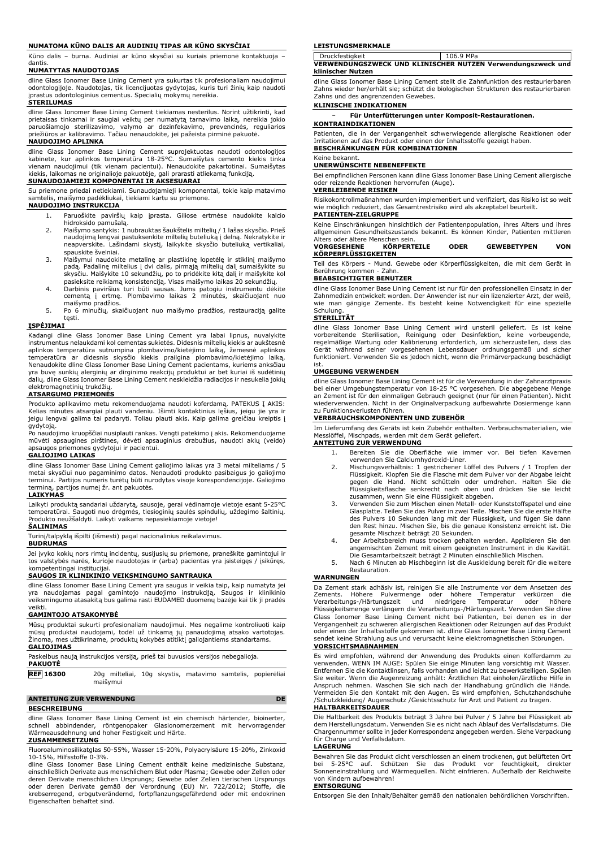### **NUMATOMA KŪNO DALIS AR AUDINIŲ TIPAS AR KŪNO SKYSČIAI**

Kūno dalis – burna. Audiniai ar kūno skysčiai su kuriais priemonė kontaktuoja – dantis.

## **NUMATYTAS NAUDOTOJAS**

dline Glass Ionomer Base Lining Cement yra sukurtas tik profesionaliam naudojimui odontologijoje. Naudotojas, tik licencijuotas gydytojas, kuris turi žinių kaip naudoti įprastus odontologinius cementus. Specialių mokymų nereikia.

## **STERILUMAS**

dline Glass Ionomer Base Lining Cement tiekiamas nesterilus. Norint užtikrinti, kad prietaisas tinkamai ir saugiai veiktų per numatytą tarnavimo laiką, nereikia jokio paruošiamojo sterilizavimo, valymo ar dezinfekavimo, prevencinės, reguliarios priežiūros ar kalibravimo. Tačiau nenaudokite, jei pažeista pirminė pakuotė. **NAUDOJIMO APLINKA**

dline Glass Ionomer Base Lining Cement suprojektuotas naudoti odontologijos<br>kabinete, kur aplinkos temperatūra 18-25°C. Sumaišytas cemento kiekis tinka<br>vienam naudojimui (tik vienam pacientui). Nenaudokite pakartotinai. Su kiekis, laikomas ne originalioje pakuotėje, gali prarasti atliekamą funkciją. **SUNAUDOJAMIEJI KOMPONENTAI IR AKSESUARAI**

Su priemone priedai netiekiami. Sunaudojamieji komponentai, tokie kaip matavimo samtelis, maišymo padėkliukai, tiekiami kartu su priemone. **NAUDOJIMO INSTRUKCIJA**

- 1. Paruoškite paviršių kaip įprasta. Giliose ertmėse naudokite kalcio hidroksido pamušalą.
- 2. Maišymo santykis: 1 nubrauktas šaukštelis miltelių / 1 lašas skysčio. Prieš naudojimą lengvai pastuksenkite miltelių buteliuką į delną. Nekratykite ir neapverskite. Lašindami skystį, laikykite skysčio buteliuką vertikaliai, spauskite švelniai.
- 3. Maišymui naudokite metalinę ar plastikinę lopetėlę ir stiklinį maišymo padą. Padalinę miltelius į dvi dalis, pirmąją miltelių dalį sumaišykite su skysčiu. Maišykite 10 sekundžių, po to pridėkite kitą dalį ir maišykite kol
- pasieksite reikiamą konsistenciją. Visas maišymo laikas 20 sekundžių. 4. Darbinis paviršius turi būti sausas. Jums patogiu instrumentu dėkite cementą į ertmę. Plombavimo laikas 2 minutės, skaičiuojant nuo maišymo pradžios.
- 5. Po 6 minučių, skaičiuojant nuo maišymo pradžios, restauraciją galite tęsti.

## **ĮSPĖJIMAI**

Kadangi dline Glass Ionomer Base Lining Cement yra labai lipnus, nuvalykite instrumentus nelaukdami kol cementas sukietės. Didesnis miltelių kiekis ar aukštesnė aplinkos temperatūra sutrumpina plombavimo/kietėjimo laiką, žemesnė aplinkos<br>temperatūra ar didesnis skysčio kiekis prailgina plombavimo/kietėjimo laiką.<br>Nenaudokite-dline-Glass-Ionomer-Base-Lining-Cement-pacientams,-kurie yra buvę sunkių alerginių ar dirginimo reakcijų produktui ar bet kuriai iš sudėtinių dalių. dline Glass Ionomer Base Lining Cement neskleidžia radiacijos ir nesukelia jokių elektromagnetinių trukdžių.

#### **ATSARGUMO PRIEMONĖS**

Produkto aplikavimo metu rekomenduojama naudoti koferdamą. PATEKUS Į AKIS: Kelias minutes atsargiai plauti vandeniu. Išimti kontaktinius lęšius, jeigu jie yra ir jeigu lengvai galima tai padaryti. Toliau plauti akis. Kaip galima greičiau kreiptis į gydytoją.

Po naudojimo kruopščiai nusiplauti rankas. Vengti patekimo į akis. Rekomenduojame mūvėti apsaugines pirštines, dėvėti apsauginius drabužius, naudoti akių (veido) apsaugos priemones gydytojui ir pacientui.

## **GALIOJIMO LAIKAS**

dline Glass Ionomer Base Lining Cement galiojimo laikas yra 3 metai milteliams / 5 metai skysčiui nuo pagaminimo datos. Nenaudoti produkto pasibaigus jo galiojimo terminui. Partijos numeris turėtų būti nurodytas visoje korespondencijoje. Galiojimo terminą, partijos numeį žr. ant pakuotės.

## **LAIKYMAS**

Laikyti produktą sandariai uždarytą, sausoje, gerai vėdinamoje vietoje esant 5-25°C temperatūrai. Saugoti nuo drėgmės, tiesioginių saulės spindulių, uždegimo šaltinių. Produkto neužšaldyti. Laikyti vaikams nepasiekiamoje vietoje!

#### **ŠALINIMAS**

Turinį/talpyklą išpilti (išmesti) pagal nacionalinius reikalavimus.

#### **BUDRUMAS**

Jei įvyko kokių nors rimtų incidentų, susijusių su priemone, praneškite gamintojui ir tos valstybės narės, kurioje naudotojas ir (arba) pacientas yra įsisteigęs / įsikūręs, kompetentingai institucijai.

### **SAUGOS IR KLINIKINIO VEIKSMINGUMO SANTRAUKA**

dline Glass Ionomer Base Lining Cement yra saugus ir veikia taip, kaip numatyta jei<br>yra naudojamas pagal gamintojo naudojimo instrukciją. Saugos ir klinikinio<br>veiksmingumo atasakitą bus galima rasti EUDAMED

## **GAMINTOJO ATSAKOMYBĖ**

Mūsų produktai sukurti profesionaliam naudojimui. Mes negalime kontroliuoti kaip mūsų produktai naudojami, todėl už tinkamą jų panaudojimą atsako vartotojas. Žinoma, mes užtikriname, produktų kokybės atitiktį galiojantiems standartams. **GALIOJIMAS**

| Paskelbus naują instrukcijos versiją, prieš tai buvusios versijos nebegalioja.<br><b>PAKUOTĖ</b> |                                                                        |  |  |    |
|--------------------------------------------------------------------------------------------------|------------------------------------------------------------------------|--|--|----|
| <b>REF</b> 16300                                                                                 | 20g milteliai, 10g skystis, matavimo samtelis, popierėliai<br>maišvmui |  |  |    |
| <b>ANTEITUNG ZUR VERWENDUNG</b>                                                                  |                                                                        |  |  | DE |

#### **BESCHREIBUNG**

dline Glass Ionomer Base Lining Cement ist ein chemisch härtender, bioinerter, schnell abbindender, röntgenopaker Glasionomerzement mit hervorragender Wärmeausdehnung und hoher Festigkeit und Härte.

# **ZUSAMMENSETZUNG**

Fluoroaluminosilikatglas 50-55%, Wasser 15-20%, Polyacrylsäure 15-20%, Zinkoxid 10-15%, Hilfsstoffe 0-3%.

dline Glass Ionomer Base Lining Cement enthält keine medizinische Substanz, einschließlich Derivate aus menschlichem Blut oder Plasma; Gewebe oder Zellen oder deren Derivate menschlichen Ursprungs; Gewebe oder Zellen tierischen Ursprungs oder deren Derivate gemäß der Verordnung (EU) Nr. 722/2012; Stoffe, die krebserregend, erbgutverändernd, fortpflanzungsgefährdend oder mit endokrinen Eigenschaften behaftet sind.

#### **LEISTUNGSMERKMALE**

Druckfestigkeit 106.9 MPa **VERWENDUNGSZWECK UND KLINISCHER NUTZEN Verwendungszweck und klinischer Nutzen**

dline Glass Ionomer Base Lining Cement stellt die Zahnfunktion des restaurierbaren Zahns wieder her/erhält sie; schützt die biologischen Strukturen des restaurierbaren Zahns und des angrenzenden Gewebes.

## **KLINISCHE INDIKATIONEN**

− **Für Unterfütterungen unter Komposit-Restaurationen. KONTRAINDIKATIONEN**

Patienten, die in der Vergangenheit schwerwiegende allergische Reaktionen oder Irritationen auf das Produkt oder einen der Inhaltsstoffe gezeigt haben.

**BESCHRÄNKUNGEN FÜR KOMBINATIONEN** Keine bekannt.

#### **UNERWÜNSCHTE NEBENEFFEKTE**

Bei empfindlichen Personen kann dline Glass Ionomer Base Lining Cement allergische oder reizende Reaktionen hervorrufen (Auge).

## **VERBLEIBENDE RISIKEN**

Risikokontrollmaßnahmen wurden implementiert und verifiziert, das Risiko ist so weit wie möglich reduziert, das Gesamtrestrisiko wird als akzeptabel beurteilt. **PATIENTEN-ZIELGRUPPE**

Keine Einschränkungen hinsichtlich der Patientenpopulation, ihres Alters und ihres allgemeinen Gesundheitszustands bekannt. Es können Kinder, Patienten mittleren Alters oder ältere Menschen sein.

| <b>VORGESEHENE</b>  | <b>KÖRPERTEILE</b> | <b>ODER</b> |  | <b>GEWEBETYPEN</b> | VON |
|---------------------|--------------------|-------------|--|--------------------|-----|
| KÖRPERFLÜSSIGKEITEN |                    |             |  |                    |     |
| $   -$              |                    |             |  |                    |     |

Teil des Körpers - Mund. Gewebe oder Körperflüssigkeiten, die mit dem Gerät in Berührung kommen - Zahn.

## **BEABSICHTIGTER BENUTZER**

dline Glass Ionomer Base Lining Cement ist nur für den professionellen Einsatz in der Zahnmedizin entwickelt worden. Der Anwender ist nur ein lizenzierter Arzt, der weiß, wie man gängige Zemente. Es besteht keine Notwendigkeit für eine spezielle **Schulung** 

## **STERILITÄT**

dline Glass Ionomer Base Lining Cement wird unsteril geliefert. Es ist keine vorbereitende Sterilisation, Reinigung oder Desinfektion, keine vorbeugende,<br>regelmäßige Wartung oder Kalibrierung erforderlich, um sicherzustellen, dass das<br>Gerät während seiner vorgesehenen Lebensdauer ordnungsgemäß und funktioniert. Verwenden Sie es jedoch nicht, wenn die Primärverpackung beschädigt ist.

### **UMGEBUNG VERWENDEN**

dline Glass Ionomer Base Lining Cement ist für die Verwendung in der Zahnarztpraxis bei einer Umgebungstemperatur von 18-25 °C vorgesehen. Die abgegebene Menge an Zement ist für den einmaligen Gebrauch geeignet (nur für einen Patienten). Nicht wiederverwenden. Nicht in der Originalverpackung aufbewahrte Dosiermenge kann zu Funktionsverlusten führen.

### **VERBRAUCHSKOMPONENTEN UND ZUBEHÖR**

Im Lieferumfang des Geräts ist kein Zubehör enthalten. Verbrauchsmaterialien, wie Messlöffel, Mischpads, werden mit dem Gerät geliefert. **ANTEITUNG ZUR VERWENDUNG**

- 1. Bereiten Sie die Oberfläche wie immer vor. Bei tiefen Kavernen
- verwenden Sie Calciumhydroxid-Liner. 2. Mischungsverhältnis: 1 gestrichener Löffel des Pulvers / 1 Tropfen der Flüssigkeit. Klopfen Sie die Flasche mit dem Pulver vor der Abgabe leicht gegen die Hand. Nicht schütteln oder umdrehen. Halten Sie die Flüssigkeitsflasche senkrecht nach oben und drücken Sie sie leicht zusammen, wenn Sie eine Flüssigkeit abgeben.
- 3. Verwenden Sie zum Mischen einen Metall- oder Kunststoffspatel und eine Glasplatte. Teilen Sie das Pulver in zwei Teile. Mischen Sie die erste Hälfte des Pulvers 10 Sekunden lang mit der Flüssigkeit, und fügen Sie dann den Rest hinzu. Mischen Sie, bis die genaue Konsistenz erreicht ist. Die gesamte Mischzeit beträgt 20 Sekunden.
- 4. Der Arbeitsbereich muss trocken gehalten werden. Applizieren Sie den angemischten Zement mit einem geeigneten Instrument in die Kavität.
- Die Gesamtarbeitszeit beträgt 2 Minuten einschließlich Mischen. 5. Nach 6 Minuten ab Mischbeginn ist die Auskleidung bereit für die weitere Restauration.

#### **WARNUNGEN**

Da Zement stark adhäsiv ist, reinigen Sie alle Instrumente vor dem Ansetzen des Zements. Höhere Pulvermenge oder höhere Temperatur verkürzen die Verarbeitungs-/Härtungszeit und niedrigere Temperatur oder höhere Flüssigkeitsmenge verlängern die Verarbeitungs-/Härtungszeit. Verwenden Sie dline Glass Ionomer Base Lining Cement nicht bei Patienten, bei denen es in der Vergangenheit zu schweren allergischen Reaktionen oder Reizungen auf das Produkt oder einen der Inhaltsstoffe gekommen ist. dline Glass Ionomer Base Lining Cement sendet keine Strahlung aus und verursacht keine elektromagnetischen Störungen. **VORSICHTSMAßNAHMEN**

Es wird empfohlen, während der Anwendung des Produkts einen Kofferdamm zu<br>verwenden. WENN IM AUGE: Spülen Sie einige Minuten lang vorsichtig mit Wasser.<br>Entfernen Sie die Kontaktlinsen, falls vorhanden und leicht zu bewerk Sie weiter. Wenn die Augenreizung anhält: Ärztlichen Rat einholen/ärztliche Hilfe in Anspruch nehmen. Waschen Sie sich nach der Handhabung gründlich die Hände. Vermeiden Sie den Kontakt mit den Augen. Es wird empfohlen, Schutzhandschuhe /Schutzkleidung/ Augenschutz /Gesichtsschutz für Arzt und Patient zu tragen.

## **HALTBARKEITSDAUER**

Die Haltbarkeit des Produkts beträgt 3 Jahre bei Pulver / 5 Jahre bei Flüssigkeit ab dem Herstellungsdatum. Verwenden Sie es nicht nach Ablauf des Verfallsdatums. Die Chargennummer sollte in jeder Korrespondenz angegeben werden. Siehe Verpackung für Charge und Verfallsdatum.

#### **LAGERUNG**

Bewahren Sie das Produkt dicht verschlossen an einem trockenen, gut belüfteten Ort bei 5-25°C auf. Schützen Sie das Produkt vor feuchtigkeit, direkter Sonneneinstrahlung und Wärmequellen. Nicht einfrieren. Außerhalb der Reichweite von Kindern aufbewahren!

#### **ENTSORGUNG**

Entsorgen Sie den Inhalt/Behälter gemäß den nationalen behördlichen Vorschriften.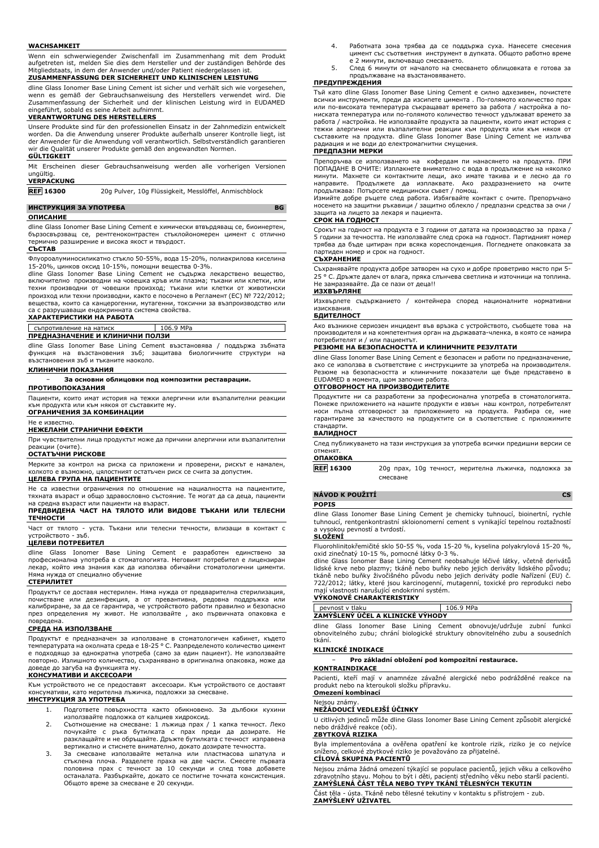#### **WACHSAMKEIT**

Wenn ein schwerwiegender Zwischenfall im Zusammenhang mit dem Produkt aufgetreten ist, melden Sie dies dem Hersteller und der zuständigen Behörde des Mitgliedstaats, in dem der Anwender und/oder Patient niedergelassen ist.

## **ZUSAMMENFASSUNG DER SICHERHEIT UND KLINISCHEN LEISTUNG**

dline Glass Ionomer Base Lining Cement ist sicher und verhält sich wie vorgesehen, wenn es gemäß der Gebrauchsanweisung des Herstellers verwendet wird. Die Zusammenfassung der Sicherheit und der klinischen Leistung wird in EUDAMED eingeführt, sobald es seine Arbeit aufnimmt. **VERANTWORTUNG DES HERSTELLERS**

Unsere Produkte sind für den professionellen Einsatz in der Zahnmedizin entwickelt worden. Da die Anwendung unserer Produkte außerhalb unserer Kontrolle liegt, ist der Anwender für die Anwendung voll verantwortlich. Selbstverständlich garantieren wir die Qualität unserer Produkte gemäß den angewandten Normen.

**GÜLTIGKEIT**

Mit Erscheinen dieser Gebrauchsanweisung werden alle vorherigen Versionen ungültig.

# **VERPACKUNG**

**REF 16300** 20g Pulver, 10g Flüssigkeit, Messlöffel, Anmischblock

## **ИНСТРУКЦИЯ ЗА УПОТРЕБА BG**

#### **ОПИСАНИЕ**

dline Glass Ionomer Base Lining Cement е химически втвърдяващ се, биоинертен, бързосвързващ се, рентгеноконтрастен стъклойономерен цимент с отлично термично разширение и висока якост и твърдост.

### **СЪСТАВ**

Флуороалуминосиликатно стъкло 50-55%, вода 15-20%, полиакрилова киселина 15-20%, цинков оксид 10-15%, помощни вещества 0-3%.

dline Glass Ionomer Base Lining Cement не съдържа лекарствено вещество, включително производни на човешка кръв или плазма; тъкани или клетки, или техни производни от човешки произход; тъкани или клетки от животински произход или техни производни, както е посочено в Регламент (ЕС) № 722/2012; вещества, които са канцерогенни, мутагенни, токсични за възпроизводство или са с разрушаващи ендокринната система свойства. **ХАРАКТЕРИСТИКИ НА РАБОТА**

| съпротивление на натиск         | 106.9 MPa |  |
|---------------------------------|-----------|--|
| ПРЕДНАЗНАЧЕНИЕ И КЛИНИЧНИ ПОЛЗИ |           |  |

dline Glass Ionomer Base Lining Cement възстановява / поддържа зъбната функция на възстановения зъб; защитава биологичните структури на възстановения зъб и тъканите наоколо.

### **КЛИНИЧНИ ПОКАЗАНИЯ**

− **За основни облицовки под композитни реставрации.**

## **ПРОТИВОПОКАЗАНИЯ**

Пациенти, които имат история на тежки алергични или възпалителни реакции към продукта или към някоя от съставките му.

## **ОГРАНИЧЕНИЯ ЗА КОМБИНАЦИИ** Не е известно.

## **НЕЖЕЛАНИ СТРАНИЧНИ ЕФЕКТИ**

При чувствителни лица продуктът може да причини алергични или възпалителни реакции (очите).

## **ОСТАТЪЧНИ РИСКОВЕ**

Мерките за контрол на риска са приложени и проверени, рискът е намален, възможно, цялостният остатъчен риск се счита за допустим.

## **ЦЕЛЕВА ГРУПА НА ПАЦИЕНТИТЕ**

Не са известни ограничения по отношение на нациалността на пациентите, тяхната възраст и общо здравословно състояние. Те могат да са деца, пациенти на средна възраст или пациенти на възраст.

### **ПРЕДВИДЕНА ЧАСТ НА ТЯЛОТО ИЛИ ВИДОВЕ ТЪКАНИ ИЛИ ТЕЛЕСНИ ТЕЧНОСТИ**

Част от тялото - уста. Тъкани или телесни течности, влизащи в контакт с устройството - зъб.

## **ЦЕЛЕВИ ПОТРЕБИТЕЛ**

dline Glass Ionomer Base Lining Cement е разработен единствено за професионална употреба в стоматологията. Неговият потребител е лицензиран лекар, който има знания как да използва обичайни стоматологични цименти. Няма нужда от специално обучение

#### **СТЕРИЛИТЕТ**

Продуктът се доставя нестерилен. Няма нужда от предварителна стерилизация, почистване или дезинфекция, а от превантивна, редовна поддръжка или калибриране, за да се гарантира, че устройството работи правилно и безопасно през определения му живот. Не използвайте , ако първичната опаковка е повредена.

#### **СРЕДА НА ИЗПОЛЗВАНЕ**

Продуктът е предназначен за използване в стоматологичен кабинет, където температурата на околната среда е 18-25 ° C. Разпределеното количество цимент е подходящо за еднократна употреба (само за един пациент). Не използвайте повторно. Излишното количество, съхранявано в оригинална опаковка, може да доведе до загуба на функцията му.

## **КОНСУМАТИВИ И АКСЕСОАРИ**

Към устройството не се предоставят аксесоари. Към устройството се доставят консумативи, като мерителна лъжичка, подложки за смесване.

- **ИНСТРУКЦИЯ ЗА УПОТРЕБА**
	- 1. Подгответе повърхността както обикновено. За дълбоки кухини използвайте подложка от калциев хидроксид. 2. Съотношение на смесване: 1 лъжица прах / 1 капка течност. Леко
	- почукайте с ръка бутилката с прах преди да дозирате. Не разклащайте и не обръщайте. Дръжте бутилката с течност изправена вертикално и стиснете внимателно, докато дозирате течността.
	- 3. За смесване използвайте метална или пластмасова шпатула и стъклена плоча. Разделете праха на две части. Смесете първата половина прах с течност за 10 секунди и след това добавете останалата. Разбъркайте, докато се постигне точната консистенция. Общото време за смесване е 20 секунди.
- 4. Работната зона трябва да се поддържа суха. Нанесете смесения цимент със съответния инструмент в дупката. Общото работно време е 2 минути, включващо смесването.
- 5. След 6 минути от началото на смесването облицовката е готова за продължаване на възстановяването.

#### **ПРЕДУПРЕЖДЕНИЯ**

Тъй като dline Glass Ionomer Base Lining Cement е силно адхезивен, почистете всички инструменти, преди да изсипете цимента . По-голямото количество прах или по-високата температура съкращават времето за работа / настройка а пониската температура или по-голямото количество течност удължават времето за работа / настройка. Не използвайте продукта за пациенти, които имат история с тежки алергични или възпалителни реакции към продукта или към някоя от съставките на продукта. dline Glass Ionomer Base Lining Cement не излъчва радиация и не води до електромагнитни смущения.

## **ПРЕДПАЗНИ МЕРКИ**

Препоръчва се използването на кофердам пи нанасянето на продукта. ПРИ ПОПАДАНЕ В ОЧИТЕ: Изплакнете внимателно с вода в продължение на няколко минути. Махнете си контактните лещи, ако имате такива и е лесно да го направите. Продължете да изплаквате. Ако раздразнението на очите продължава: Потърсете медицински съвет / помощ.

Измийте добре ръцете след работа. Избягвайте контакт с очите. Препоръчано носенето на защитни ръкавици / защитно облекло / предпазни средства за очи / защита на лицето за лекаря и пациента.

## **СРОК НА ГОДНОСТ**

Срокът на годност на продукта е 3 години от датата на производство за праха / 5 години за течността. Не използвайте след срока на годност. Партидният номер трябва да бъде цитиран при всяка кореспонденция. Погледнете опаковката за партиден номер и срок на годност.

## **СЪХРАНЕНИЕ**

Съхранявайте продукта добре затворен на сухо и добре проветриво място при 5- 25 ° C. Дръжте далеч от влага, пряка слънчева светлина и източници на топлина. Не замразявайте. Да се пази от деца!!

## **ИЗХВЪРЛЯНЕ**

Изхвърлете съдържанието / контейнера според националните нормативни изисквания.

## **БДИТЕЛНОСТ**

Ако възникне сериозен инцидент във връзка с устройството, съобщете това на производителя и на компетентния орган на държавата-членка, в която се намира потребителят и / или пациентът.

## **РЕЗЮМЕ НА БЕЗОПАСНОСТТА И КЛИНИЧНИТЕ РЕЗУЛТАТИ**

dline Glass Ionomer Base Lining Cement е безопасен и работи по предназначение, ако се използва в съответствие с инструкциите за употреба на производителя. Резюме на безопасността и клиничните показатели ще бъде представено в EUDAMED в момента, щом започне работа.

## **ОТГОВОРНОСТ НА ПРОИЗВОДИТЕЛИТЕ**

Продуктите ни са разработени за професионална употреба в стоматологията. Понеже приложението на нашите продукти е извън наш контрол, потребителят носи пълна отговорност за приложението на продукта. Разбира се, ние гарантираме за качеството на продуктите си в съответствие с приложимите стандарти.

## **ВАЛИДНОСТ**

След публикуването на тази инструкция за употреба всички предишни версии се отменят.

## **ОПАКОВКА**

**REF 16300** 20g прах, 10g течност, мерителна лъжичка, подложка за смесване

# **NÁVOD K POUŽITÍ CS**

## **POPIS**

dline Glass Ionomer Base Lining Cement je chemicky tuhnoucí, bioinertní, rychle tuhnoucí, rentgenkontrastní skloionomerní cement s vynikající tepelnou roztažností a vysokou pevností a tvrdostí.

### **SLOŽENÍ**

Fluorohlinitokřemičité sklo 50-55 %, voda 15-20 %, kyselina polyakrylová 15-20 %, oxid zinečnatý 10-15 %, pomocné látky 0-3 %.

dline Glass Ionomer Base Lining Cement neobsahuje léčivé látky, včetně derivátů<br>lidské krve nebo plazmy; tkáně nebo buňky nebo jejich deriváty lidského původu;<br>tkáně nebo buňky živočišného původu nebo jejich deriváty podle mají vlastnosti narušující endokrinní systém.

#### **VÝKONOVÉ CHARAKTERISTIKY**

| ∨≏ר                              | MD- |  |  |
|----------------------------------|-----|--|--|
| ZAMÝŠLENÝ ÚČEL A KLINICKÉ VÝHODY |     |  |  |

dline Glass Ionomer Base Lining Cement obnovuje/udržuje zubní funkci obnovitelného zubu; chrání biologické struktury obnovitelného zubu a sousedních tkání.

### **KLINICKÉ INDIKACE**

− **Pro základní obložení pod kompozitní restaurace.**

# **KONTRAINDIKACE**

Pacienti, kteří mají v anamnéze závažné alergické nebo podrážděné reakce na produkt nebo na kteroukoli složku přípravku. **Omezení kombinací**

## Nejsou známy.

## **NEŽÁDOUCÍ VEDLEJŠÍ ÚČINKY**

U citlivých jedinců může dline Glass Ionomer Base Lining Cement způsobit alergické nebo dráždivé reakce (oči). **ZBYTKOVÁ RIZIKA**

Byla implementována a ověřena opatření ke kontrole rizik, riziko je co nejvíce<br>sníženo celkové zbytkové riziko je považováno za přijatelné. celkové zbytkové riziko je považováno za přijatelné.

## **CÍLOVÁ SKUPINA PACIENTŮ**

Nejsou známa žádná omezení týkající se populace pacientů, jejich věku a celkového zdravotního stavu. Mohou to být i děti, pacienti středního věku nebo starší pacienti. **ZAMÝŠLENÁ ČÁST TĚLA NEBO TYPY TKÁNÍ TĚLESNÝCH TEKUTIN**

Část těla - ústa. Tkáně nebo tělesné tekutiny v kontaktu s přístrojem - zub. **ZAMÝŠLENÝ UŽIVATEL**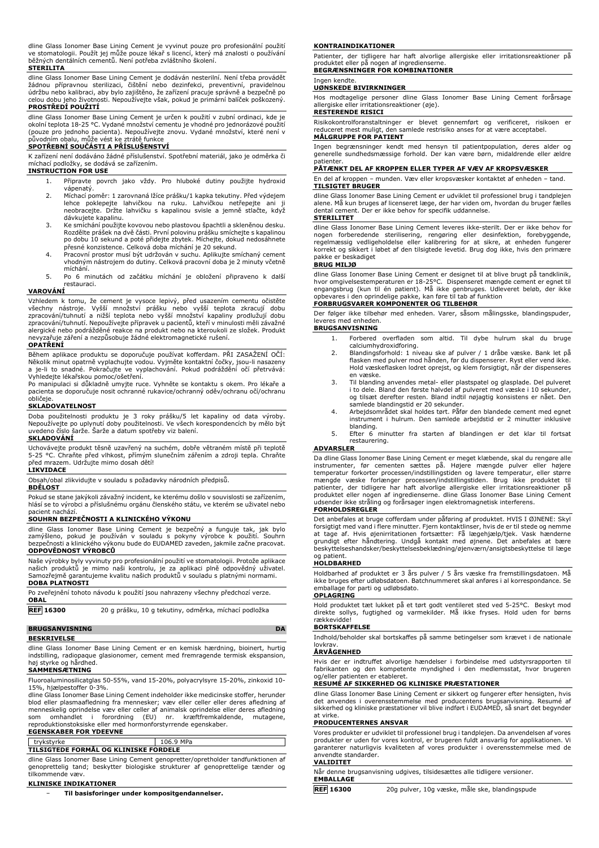| dline Glass Ionomer Base Lining Cement je vyvinut pouze pro profesionální použití     |
|---------------------------------------------------------------------------------------|
| ve stomatologii. Použít jej může pouze lékař s licencí, který má znalosti o používání |
| běžných dentálních cementů. Není potřeba zvláštního školení.                          |
|                                                                                       |

#### **STERILITA**

dline Glass Ionomer Base Lining Cement je dodáván nesterilní. Není třeba provádět žádnou přípravnou sterilizaci, čištění nebo dezinfekci, preventivní, pravidelnou údržbu nebo kalibraci, aby bylo zajištěno, že zařízení pracuje správně a bezpečně po celou dobu jeho životnosti. Nepoužívejte však, pokud je primární balíček poškozený. **PROSTŘEDÍ POUŽITÍ**

dline Glass Ionomer Base Lining Cement je určen k použití v zubní ordinaci, kde je okolní teplota 18-25 °C. Vydané množství cementu je vhodné pro jednorázové použití (pouze pro jednoho pacienta). Nepoužívejte znovu. Vydané množství, které není v původním obalu, může vést ke ztrátě funkce

## **SPOTŘEBNÍ SOUČÁSTI A PŘÍSLUŠENSTVÍ**

K zařízení není dodáváno žádné příslušenství. Spotřební materiál, jako je odměrka či míchací podložky, se dodává se zařízením.

#### **INSTRUCTION FOR USE**

- 1. Připravte povrch jako vždy. Pro hluboké dutiny použijte hydroxid vápenatý.
- 2. Míchací poměr: 1 zarovnaná lžíce prášku/1 kapka tekutiny. Před výdejem lehce poklepejte lahvičkou na ruku. Lahvičkou netřepejte ani neobracejte. Držte lahvičku s kapalinou svisle a jemně stlačte, když dávkujete kapalinu.
- 3. Ke smíchání použijte kovovou nebo plastovou špachtli a skleněnou desku. Rozdělte prášek na dvě části. První polovinu prášku smíchejte s kapalinou po dobu 10 sekund a poté přidejte zbytek. Míchejte, dokud nedosáhnete přesné konzistence. Celková doba míchání je 20 sekund.
- 4. Pracovní prostor musí být udržován v suchu. Aplikujte smíchaný cement vhodným nástrojem do dutiny. Celková pracovní doba je 2 minuty včetně míchání.
- 5. Po 6 minutách od začátku míchání je obložení připraveno k další restauraci.

## **VAROVÁNÍ**

Vzhledem k tomu, že cement je vysoce lepivý, před usazením cementu očistěte<br>všechny nástroje. Vyšší množství prášku nebo vyšší teplota zkracují dobu<br>zpracování/tuhnutí a nižší teplota nebo vyšší množství kapaliny prodlužuj zpracování/tuhnutí. Nepoužívejte přípravek u pacientů, kteří v minulosti měli závažné alergické nebo podrážděné reakce na produkt nebo na kteroukoli ze složek. Produkt nevyzařuje záření a nezpůsobuje žádné elektromagnetické rušení.

#### **OPATŘENÍ**

Během aplikace produktu se doporučuje používat kofferdam. PŘI ZASAŽENÍ OČÍ: Několik minut opatrně vyplachujte vodou. Vyjměte kontaktní čočky, jsou-li nasazeny a je-li to snadné. Pokračujte ve vyplachování. Pokud podráždění očí přetrvává: Vyhledejte lékařskou pomoc/ošetření.

Po manipulaci si důkladně umyjte ruce. Vyhněte se kontaktu s okem. Pro lékaře a pacienta se doporučuje nosit ochranné rukavice/ochranný oděv/ochranu očí/ochranu obličeje.

### **SKLADOVATELNOST**

Doba použitelnosti produktu je 3 roky prášku/5 let kapaliny od data výroby. Nepoužívejte po uplynutí doby použitelnosti. Ve všech korespondencích by mělo být uvedeno číslo šarže. Šarže a datum spotřeby viz balení. **SKLADOVÁNÍ**

Uchovávejte produkt těsně uzavřený na suchém, dobře větraném místě při teplotě 5-25 °C. Chraňte před vlhkost, přímým slunečním zářením a zdroji tepla. Chraňte před mrazem. Udržujte mimo dosah dětí!

## **LIKVIDACE**

Obsah/obal zlikvidujte v souladu s požadavky národních předpisů.

**BDĚLOST**

Pokud se stane jakýkoli závažný incident, ke kterému došlo v souvislosti se zařízením, hlásí se to výrobci a příslušnému orgánu členského státu, ve kterém se uživatel nebo pacient nachází.

## **SOUHRN BEZPEČNOSTI A KLINICKÉHO VÝKONU**

dline Glass Ionomer Base Lining Cement je bezpečný a funguje tak, jak bylo<br>zamýšleno, pokud je používán v souladu s pokyny výrobce k použití. Souhrn<br>bezpečnosti alklinickéholvýkonulbudeldo EUDAMED zaveden, jakmilelzačne pr **ODPOVĚDNOST VÝROBCŮ**

Naše výrobky byly vyvinuty pro profesionální použití ve stomatologii. Protože aplikace našich produktů je mimo naši kontrolu, je za aplikaci plně odpovědný uživatel. Samozřejmě garantujeme kvalitu našich produktů v souladu s platnými normami. **DOBA PLATNOSTI**

Po zveřejnění tohoto návodu k použití jsou nahrazeny všechny předchozí verze. **OBAL**

**REF 16300** 20 g prášku, 10 g tekutiny, odměrka, míchací podložka

## **BRUGSANVISNING DA**

**BESKRIVELSE**

dline Glass Ionomer Base Lining Cement er en kemisk hærdning, bioinert, hurtig indstilling, radiopaque glasionomer, cement med fremragende termisk ekspansion, høj styrke og hårdhed.

## **SAMMENSÆTNING**

Fluoroaluminosilicatglas 50-55%, vand 15-20%, polyacrylsyre 15-20%, zinkoxid 10- 15%, hjælpestoffer 0-3%.

dline Glass Ionomer Base Lining Cement indeholder ikke medicinske stoffer, herunder blod eller plasmaafledning fra mennesker; væv eller celler eller deres afledning af<br>menneskelig oprindelse væv eller celler af animalsk oprindelse eller deres afledning<br>som omhandlet i forordning (EU) nr. kræft

# **EGENSKABER FOR YDEEVNE**

#### trykstyrke 106.9 MPa **TILSIGTEDE FORMÅL OG KLINISKE FORDELE**

dline Glass Ionomer Base Lining Cement genopretter/opretholder tandfunktionen af genoprettelig tand; beskytter biologiske strukturer af genoprettelige tænder og tilkommende væv.

## **KLINISKE INDIKATIONER**

− **Til basisforinger under kompositgendannelser.**

#### **KONTRAINDIKATIONER**

Patienter, der tidligere har haft alvorlige allergiske eller irritationsreaktioner på produktet eller på nogen af ingredienserne. **BEGRÆNSNINGER FOR KOMBINATIONER**

# Ingen kendte.

## **UØNSKEDE BIVIRKNINGER**

Hos modtagelige personer dline Glass Ionomer Base Lining Cement forårsage allergiske eller irritationsreaktioner (øje).

## **RESTERENDE RISICI**

Risikokontrolforanstaltninger er blevet gennemført og verificeret, risikoen er reduceret mest muligt, den samlede restrisiko anses for at være acceptabel. **MÅLGRUPPE FOR PATIENT**

Ingen begrænsninger kendt med hensyn til patientpopulation, deres alder og generelle sundhedsmæssige forhold. Der kan være børn, midaldrende eller ældre patienter.

## **PÅTÆNKT DEL AF KROPPEN ELLER TYPER AF VÆV AF KROPSVÆSKER**

En del af kroppen – munden. Væv eller kropsvæsker kontaktet af enheden – tand. **TILSIGTET BRUGER**

dline Glass Ionomer Base Lining Cement er udviklet til professionel brug i tandplejen alene. Må kun bruges af licenseret læge, der har viden om, hvordan du bruger fælles dental cement. Der er ikke behov for specifik uddannelse. **STERILITET**

dline Glass Ionomer Base Lining Cement leveres ikke-sterilt. Der er ikke behov for<br>nogen forberedende sterilisering, rengøring eller desinfektion, forebyggende,<br>regelmæssig vedligeholdelse eller kalibrering for korrekt og sikkert i løbet af den tilsigtede levetid. Brug dog ikke, hvis den primære pakke er beskadiget

#### **BRUG MILJØ**

dline Glass Ionomer Base Lining Cement er designet til at blive brugt på tandklinik, hvor omgivelsestemperaturen er 18-25°C. Dispenseret mængde cement er egnet til engangsbrug (kun til én patient). Må ikke genbruges. Udleveret beløb, der ikke opbevares i den oprindelige pakke, kan føre til tab af funktion

## **FORBRUGSVARER KOMPONENTER OG TILBEHØR**

Der følger ikke tilbehør med enheden. Varer, såsom målingsske, blandingspuder, leveres med enheden. **BRUGSANVISNING**

- 1. Forbered overfladen som altid. Til dybe hulrum skal du bruge calciumhydroxidforing.
- 2. Blandingsforhold: 1 niveau ske af pulver / 1 dråbe væske. Bank let på flasken med pulver mod hånden, før du dispenserer. Ryst eller vend ikke. Hold væskeflasken lodret oprejst, og klem forsigtigt, når der dispenseres
- en væske. 3. Til blanding anvendes metal- eller plastspatel og glasplade. Del pulveret i to dele. Bland den første halvdel af pulveret med væske i 10 sekunder, og tilsæt derefter resten. Bland indtil nøjagtig konsistens er nået. Den samlede blandingstid er 20 sekunder.
- 4. Arbejdsområdet skal holdes tørt. Påfør den blandede cement med egnet instrument i hulrum. Den samlede arbejdstid er 2 minutter inklusive
- blanding. 5. Efter 6 minutter fra starten af blandingen er det klar til fortsat restaurering.

### **ADVARSLER**

Da dline Glass Ionomer Base Lining Cement er meget klæbende, skal du rengøre alle instrumenter, før cementen sættes på. Højere mængde pulver eller højere temperatur forkorter processen/indstillingstiden og lavere temperatur, eller større mængde væske forlænger processen/indstillingstiden. Brug ikke produktet til patienter, der tidligere har haft alvorlige allergiske eller irritationsreaktioner på produktet eller nogen af ingredienserne. dline Glass Ionomer Base Lining Cement udsender ikke stråling og forårsager ingen elektromagnetisk interferens.

forsigtigt med vand i flere minutter. Fjern kontaktlinser, hvis de er til stede og nemme at tage af. Hvis øjenirritationen fortsætter: Få lægehjælp/tjek. Vask hænderne grundigt efter håndtering. Undgå kontakt med øjnene. Det anbefales at bære beskyttelseshandsker/beskyttelsesbeklædning/øjenværn/ansigtsbeskyttelse til læge og patient.

emballage for parti og udløbsdato.

# Hold produktet tæt lukket på et tørt godt ventileret sted ved 5-25°C. Beskyt mod direkte sollys, fugtighed og varmekilder. Må ikke fryses. Hold uden for børns rækkevidde!

### **BORTSKAFFELSE**

Indhold/beholder skal bortskaffes på samme betingelser som krævet i de nationale

# lovkrav. **ÅRVÅGENHED**

Hvis der er indtruffet alvorlige hændelser i forbindelse med udstyrsrapporten til fabrikanten og den kompetente myndighed i den medlemsstat, hvor brugeren og/eller patienten er etableret.

## **RESUMÉ AF SIKKERHED OG KLINISKE PRÆSTATIONER**

dline Glass Ionomer Base Lining Cement er sikkert og fungerer efter hensigten, hvis det anvendes i overensstemmelse med producentens brugsanvisning. Resumé af sikkerhed og kliniske præstationer vil blive indført i EUDAMED, så snart det begynder at virke.

### **PRODUCENTERNES ANSVAR**

Vores produkter er udviklet til professionel brug i tandplejen. Da anvendelsen af vores produkter er uden for vores kontrol, er brugeren fuldt ansvarlig for applikationen. Vi garanterer naturligvis kvaliteten af vores produkter i overensstemmelse med de anvendte standarder.

## **VALIDITET**

Når denne brugsanvisning udgives, tilsidesættes alle tidligere versioner.

- **EMBALLAGE**
- 

**REF 16300** 20g pulver, 10g væske, måle ske, blandingspude

**FORHOLDSREGLER**

Det anbefales at bruge cofferdam under påføring af produktet. HVIS I ØJNENE: Skyl

## **HOLDBARHED**

Holdbarhed af produktet er 3 års pulver / 5 års væske fra fremstillingsdatoen. Må ikke bruges efter udløbsdatoen. Batchnummeret skal anføres i al korrespondance. Se **OPLAGRING**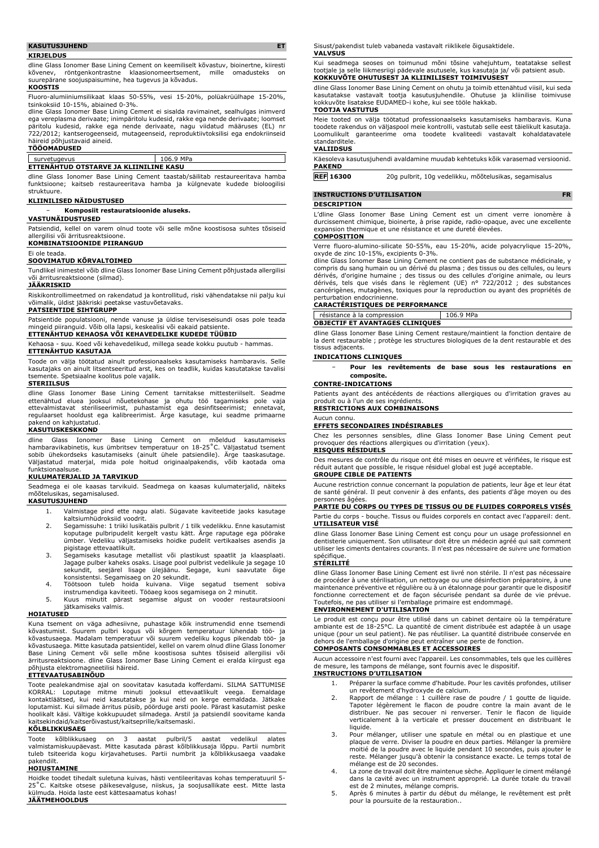### **KASUTUSJUHEND ET**

#### **KIRJELDUS**

dline Glass Ionomer Base Lining Cement on keemiliselt kõvastuv, bioinertne, kiiresti kõvenev, röntgenkontrastne klaasionomeertsement, mille omadusteks on suurepärane soojuspaisumine, hea tugevus ja kõvadus.

#### **KOOSTIS**

Fluoro-alumiiniumsilikaat klaas 50-55%, vesi 15-20%, polüakrüülhape 15-20%, tsinkoksiid 10-15%, abiained 0-3%.

dline Glass Ionomer Base Lining Cement ei sisalda ravimainet, sealhulgas inimverd ega vereplasma derivaate; inimpäritolu kudesid, rakke ega nende derivaate; loomset päritolu kudesid, rakke ega nende derivaate, nagu viidatud määruses (EL) nr 722/2012; kantserogeenseid, mutageenseid, reproduktiivtoksilisi ega endokriinseid häireid põhjustavaid aineid.

## **TÖÖOMADUSED**

## survetugevus 106.9 MPa **ETTENÄHTUD OTSTARVE JA KLIINILINE KASU**

dline Glass Ionomer Base Lining Cement taastab/säilitab restaureeritava hamba funktsioone; kaitseb restaureeritava hamba ja külgnevate kudede bioloogilisi

## **KLIINILISED NÄIDUSTUSED**

− **Komposiit restauratsioonide aluseks.**

#### **VASTUNÄIDUSTUSED**

Patsiendid, kellel on varem olnud toote või selle mõne koostisosa suhtes tõsiseid allergilisi või ärritusreaktsioone.

## **KOMBINATSIOONIDE PIIRANGUD**

Ei ole teada.

struktuure.

## **SOOVIMATUD KÕRVALTOIMED**

Tundlikel inimestel võib dline Glass Ionomer Base Lining Cement põhjustada allergilisi või ärritusreaktsioone (silmad).

### **JÄÄKRISKID**

Riskikontrollimeetmed on rakendatud ja kontrollitud, riski vähendatakse nii palju kui võimalik, üldist jääkriski peetakse vastuvõetavaks.

**PATSIENTIDE SIHTGRUPP**

Patsientide populatsiooni, nende vanuse ja üldise terviseseisundi osas pole teada mingeid piiranguid. Võib olla lapsi, keskealisi või eakaid patsiente.

**ETTENÄHTUD KEHAOSA VÕI KEHAVEDELIKE KUDEDE TÜÜBID**

Kehaosa - suu. Koed või kehavedelikud, millega seade kokku puutub - hammas. **ETTENÄHTUD KASUTAJA**

Toode on välja töötatud ainult professionaalseks kasutamiseks hambaravis. Selle

kasutajaks on ainult litsentseeritud arst, kes on teadlik, kuidas kasutatakse tavalisi tsemente. Spetsiaalne koolitus pole vajalik.

#### **STERIILSUS**

dline Glass Ionomer Base Lining Cement tarnitakse mittesteriilselt. Seadme ettenähtud eluea jooksul nõuetekohase ja ohutu töö tagamiseks pole vaja<br>ettevalmistavat steriliseerimist, puhastamist ega desinfitseerimist; ennetavat,<br>regulaarset hooldust ega kalibreerimist. Ärge kasutage, kui seadme pri pakend on kahiustatud.

#### **KASUTUSKESKKOND**

dline Glass Ionomer Base Lining Cement on mõeldud kasutamiseks hambaravikabinetis, kus ümbritsev temperatuur on 18-25˚C. Väljastatud tsement sobib ühekordseks kasutamiseks (ainult ühele patsiendile). Ärge taaskasutage. Väljastatud materjal, mida pole hoitud originaalpakendis, võib kaotada oma funktsionaalsuse.

## **KULUMATERJALID JA TARVIKUD**

Seadmega ei ole kaasas tarvikuid. Seadmega on kaasas kulumaterjalid, näiteks mõõtelusikas, segamisalused.

#### **KASUTUSJUHEND**

- 1. Valmistage pind ette nagu alati. Sügavate kaviteetide jaoks kasutage kaltsiumhüdroksiid voodrit.
- 2. Segamissuhe: 1 triiki lusikatäis pulbrit / 1 tilk vedelikku. Enne kasutamist koputage pulbripudelit kergelt vastu kätt. Ärge raputage ega pöörake ümber. Vedeliku väljastamiseks hoidke pudelit vertikaalses asendis ja
- pigistage ettevaatlikult. 3. Segamiseks kasutage metallist või plastikust spaatlit ja klaasplaati. Jagage pulber kaheks osaks. Lisage pool pulbrist vedelikule ja segage 10
- sekundit, seejärel lisage ülejäänu. Segage, kuni saavutate õige<br>konsistentsi. Segamisaeg on 20 sekundit.<br>4. Töötsoon tuleb hoida kuivana. Viige segatud tsement sobiva<br>instrumendiga kaviteeti. Tööaeg koos segamisega on 2 mi
- jätkamiseks valmis.

### **HOIATUSED**

Kuna tsement on väga adhesiivne, puhastage kõik instrumendid enne tsemendi kõvastumist. Suurem pulbri kogus või kõrgem temperatuur lühendab töö- ja kõvastusaega. Madalam temperatuur või suurem vedeliku kogus pikendab töö- ja kõvastusaega. Mitte kasutada patsientidel, kellel on varem olnud dline Glass Ionomer Base Lining Cement või selle mõne koostisosa suhtes tõsiseid allergilisi või ärritusreaktsioone. dline Glass Ionomer Base Lining Cement ei eralda kiirgust ega põhjusta elektromagneetilisi häireid. **ETTEVAATUSABINÕUD**

Toote pealekandmise ajal on soovitatav kasutada kofferdami. SILMA SATTUMISE KORRAL: Loputage mitme minuti jooksul ettevaatlikult veega. Eemaldage kontaktläätsed, kui neid kasutatakse ja kui neid on kerge eemaldada. Jätkake loputamist. Kui silmade ärritus püsib, pöörduge arsti poole. Pärast kasutamist peske hoolikalt käsi. Vältige kokkupuudet silmadega. Arstil ja patsiendil soovitame kanda kaitsekindaid/kaitserõivastust/kaitseprille/kaitsemaski.

## **KÕLBLIKKUSAEG**

Toote kõlblikkusaeg on 3 aastat pulbril/5 aastat vedelikul alates valmistamiskuupäevast. Mitte kasutada pärast kõlblikkusaja lõppu. Partii numbrit tuleb tsiteerida kogu kirjavahetuses. Partii numbrit ja kõlblikkusaega vaadake pakendilt.

## **HOIUSTAMINE**

Hoidke toodet tihedalt suletuna kuivas, hästi ventileeritavas kohas temperatuuril 5- 25˚C. Kaitske otsese päikesevalguse, niiskus, ja soojusallikate eest. Mitte lasta külmuda. Hoida laste eest kättesaamatus kohas! **JÄÄTMEHOOLDUS**

Sisust/pakendist tuleb vabaneda vastavalt riiklikele õigusaktidele. **VALVSUS**

Kui seadmega seoses on toimunud mõni tõsine vahejuhtum, teatatakse sellest tootjale ja selle liikmesriigi pädevale asutusele, kus kasutaja ja/ või patsient asub. **KOKKUVÕTE OHUTUSEST JA KLIINILISEST TOIMIVUSEST**

dline Glass Ionomer Base Lining Cement on ohutu ja toimib ettenähtud viisil, kui seda kasutatakse vastavalt tootja kasutusjuhendile. Ohutuse ja kliinilise toimivuse kokkuvõte lisatakse EUDAMED-i kohe, kui see tööle hakkab. **TOOTJA VASTUTUS**

Meie tooted on välja töötatud professionaalseks kasutamiseks hambaravis. Kuna toodete rakendus on väljaspool meie kontrolli, vastutab selle eest täielikult kasutaja. Loomulikult garanteerime oma toodete kvaliteedi vastavalt kohaldatavatele standarditele.

## **VALIIDSUS**

Käesoleva kasutusjuhendi avaldamine muudab kehtetuks kõik varasemad versioonid. **PAKEND**

**REF 16300** 20g pulbrit, 10g vedelikku, mõõtelusikas, segamisalus

## **INSTRUCTIONS D'UTILISATION FR**

## **DESCRIPTION**

L'dline Glass Ionomer Base Lining Cement est un ciment verre ionomère à durcissement chimique, bioinerte, à prise rapide, radio-opaque, avec une excellente expansion thermique et une résistance et une dureté élevées. **COMPOSITION**

# Verre fluoro-alumino-silicate 50-55%, eau 15-20%, acide polyacrylique 15-20%,

oxyde de zinc 10-15%, excipients 0-3%. dline Glass Ionomer Base Lining Cement ne contient pas de substance médicinale, y compris du sang humain ou un dérivé du plasma ; des tissus ou des cellules, ou leurs dérivés, d'origine humaine ; des tissus ou des cellules d'origine animale, ou leurs dérivés, tels que visés dans le règlement (UE) n° 722/2012 ; des substances cancérigènes, mutagènes, toxiques pour la reproduction ou ayant des propriétés de perturbation endocrinienne.

## **CARACTÉRISTIQUES DE PERFORMANCE**

résistance à la compression | 106.9 MPa

## **OBJECTIF ET AVANTAGES CLINIQUES**

dline Glass Ionomer Base Lining Cement restaure/maintient la fonction dentaire de la dent restaurable ; protège les structures biologiques de la dent restaurable et des tissus adjacents.

## **INDICATIONS CLINIQUES**

− **Pour les revêtements de base sous les restaurations en composite.**

## **CONTRE-INDICATIONS**

Patients ayant des antécédents de réactions allergiques ou d'irritation graves au produit ou à l'un de ses ingrédient **RESTRICTIONS AUX COMBINAISONS**

## Aucun connu.

### **EFFETS SECONDAIRES INDÉSIRABLES**

Chez les personnes sensibles, dline Glass Ionomer Base Lining Cement peut provoquer des réactions allergiques ou d'irritation (yeux). **RISQUES RÉSIDUELS**

Des mesures de contrôle du risque ont été mises en oeuvre et vérifiées, le risque est réduit autant que possible, le risque résiduel global est jugé acceptable.

## **GROUPE CIBLE DE PATIENTS**

Aucune restriction connue concernant la population de patients, leur âge et leur état de santé général. Il peut convenir à des enfants, des patients d'âge moyen ou des personnes âgées.

## **PARTIE DU CORPS OU TYPES DE TISSUS OU DE FLUIDES CORPORELS VISÉS**

Partie du corps - bouche. Tissus ou fluides corporels en contact avec l'appareil: dent. **UTILISATEUR VISÉ**

dline Glass Ionomer Base Lining Cement est conçu pour un usage professionnel en dentisterie uniquement. Son utilisateur doit être un médecin agréé qui sait comment utiliser les ciments dentaires courants. Il n'est pas nécessaire de suivre une formation spécifique.

#### **STÉRILITÉ**

dline Glass Ionomer Base Lining Cement est livré non stérile. Il n'est pas nécessaire de procéder à une stérilisation, un nettoyage ou une désinfection préparatoire, à une maintenance préventive et régulière ou à un étalonnage pour garantir que le dispositif fonctionne correctement et de façon sécurisée pendant sa durée de vie prévue. Toutefois, ne pas utiliser si l'emballage primaire est endommagé.

## **ENVIRONNEMENT D'UTILISATION**

Le produit est conçu pour être utilisé dans un cabinet dentaire où la température ambiante est de 18-25°C. La quantité de ciment distribuée est adaptée à un usage<br>unique (pour un seul patient). Ne pas réutiliser. La quantité distribuée conservée en<br>dehors de l'emballage d'origine peut entraîner une pert

## **COMPOSANTS CONSOMMABLES ET ACCESSOIRES**

Aucun accessoire n'est fourni avec l'appareil. Les consommables, tels que les cuillères de mesure, les tampons de mélange, sont fournis avec le dispositif.

### **INSTRUCTIONS D'UTILISATION**

- 1. Préparer la surface comme d'habitude. Pour les cavités profondes, utiliser un revêtement d'hydroxyde de calcium. 2. Rapport de mélange : 1 cuillère rase de poudre / 1 goutte de liquide.
- Tapoter légèrement le flacon de poudre contre la main avant de le distribuer. Ne pas secouer ni renverser. Tenir le flacon de liquide verticalement à la verticale et presser doucement en distribuant le liquide.
- 3. Pour mélanger, utiliser une spatule en métal ou en plastique et une plaque de verre. Diviser la poudre en deux parties. Mélanger la première moitié de la poudre avec le liquide pendant 10 secondes, puis ajouter le reste. Mélanger jusqu'à obtenir la consistance exacte. Le temps total de mélange est de 20 secondes.
- 4. La zone de travail doit être maintenue sèche. Appliquer le ciment mélangé dans la cavité avec un instrument approprié. La durée totale du travail est de 2 minutes, mélange compris.
- 5. Après 6 minutes à partir du début du mélange, le revêtement est prêt pour la poursuite de la restauration..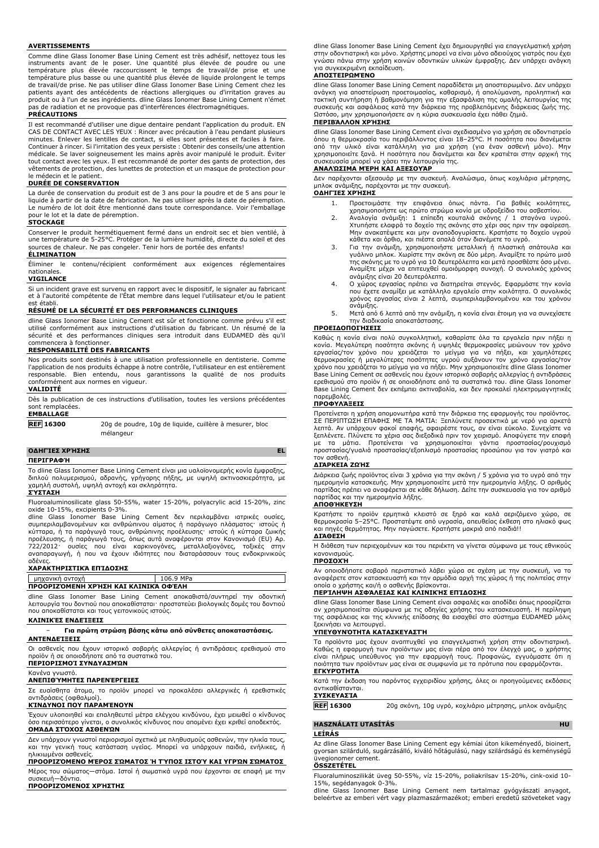#### **AVERTISSEMENTS**

Comme dline Glass Ionomer Base Lining Cement est très adhésif, nettoyez tous les instruments avant de le poser. Une quantité plus élevée de poudre ou une température plus élevée raccourcissent le temps de travail/de prise et une température plus basse ou une quantité plus élevée de liquide prolongent le temps de travail/de prise. Ne pas utiliser dline Glass Ionomer Base Lining Cement chez les patients ayant des antécédents de réactions allergiques ou d'irritation graves au produit ou à l'un de ses ingrédients. dline Glass Ionomer Base Lining Cement n'émet pas de radiation et ne provoque pas d'interférences électromagnétiques.

#### **PRÉCAUTIONS**

Il est recommandé d'utiliser une digue dentaire pendant l'application du produit. EN CAS DE CONTACT AVEC LES YEUX : Rincer avec précaution à l'eau pendant plusieurs minutes. Enlever les lentilles de contact, si elles sont présentes et faciles à faire. Continuer à rincer. Si l'irritation des yeux persiste : Obtenir des conseils/une attention médicale. Se laver soigneusement les mains après avoir manipulé le produit. Éviter tout contact avec les yeux. Il est recommandé de porter des gants de protection, des vêtements de protection, des lunettes de protection et un masque de protection pour le médecin et le patient.

## **DURÉE DE CONSERVATION**

La durée de conservation du produit est de 3 ans pour la poudre et de 5 ans pour le liquide à partir de la date de fabrication. Ne pas utiliser après la date de péremption. Le numéro de lot doit être mentionné dans toute correspondance. Voir l'emballage pour le lot et la date de péremption.

#### **STOCKAGE**

Conserver le produit hermétiquement fermé dans un endroit sec et bien ventilé, à une température de 5-25°C. Protéger de la lumière humidité, directe du soleil et des sources de chaleur. Ne pas congeler. Tenir hors de portée des enfants! **ÉLIMINATION**

Éliminer le contenu/récipient conformément aux exigences réglementaires nationales.

## **VIGILANCE**

Si un incident grave est survenu en rapport avec le dispositif, le signaler au fabricant et à l'autorité compétente de l'État membre dans lequel l'utilisateur et/ou le patient est établi.

## **RÉSUMÉ DE LA SÉCURITÉ ET DES PERFORMANCES CLINIQUES**

dline Glass Ionomer Base Lining Cement est sûr et fonctionne comme prévu s'il est utilisé conformément aux instructions d'utilisation du fabricant. Un résumé de la sécurité et des performances cliniques sera introduit dans EUDAMED dès qu'il commencera à fonctionner.

## **RESPONSABILITÉ DES FABRICANTS**

Nos produits sont destinés à une utilisation professionnelle en dentisterie. Comme l'application de nos produits échappe à notre contrôle, l'utilisateur en est entièrement responsable. Bien entendu, nous garantissons la qualité de nos produits conformément aux normes en vigueur.

## **VALIDITÉ**

Dès la publication de ces instructions d'utilisation, toutes les versions précédentes sont remplacées. **EMBALLAGE**

**REF 16300** 20g de poudre, 10g de liquide, cuillère à mesurer, bloc mélangeur

## **ΟΔΗΓΊΕΣ ΧΡΉΣΗΣ EL**

**ΠΕΡΙΓΡΑΦΉ**

Το dline Glass Ionomer Base Lining Cement είναι μια υαλοϊονομερής κονία έμφραξης, διπλού πολυμερισμού, αδρανής, γρήγορης πήξης, με υψηλή ακτινοσκιερότητα, με χαμηλή συστολή, υψηλή αντοχή και σκληρότητα.

## **ΣΎΣΤΑΣΗ**

Fluoroaluminosilicate glass 50-55%, water 15-20%, polyacrylic acid 15-20%, zinc oxide 10-15%, excipients 0-3%.

dline Glass Ionomer Base Lining Cement δεν περιλαμβάνει ιατρικές ουσίες,<br>συμπεριλαμβανομένων και ανθρώπινου αίματος ή παράγωγο πλάσματος· ιστούς ή<br>κύτταρα, ή τα παράγωγά τους, ανθρώπινης προέλευσης· ιστούς ή κύτταρα ζωική προέλευσης, ή παράγωγά τους, όπως αυτά αναφέρονται στον Κανονισμό (EU) Αρ. 722/2012· ουσίες που είναι καρκινογόνες, μεταλλαξιογόνες, τοξικές στην αναπαραγωγή, ή που να έχουν ιδιότητες που διαταράσσουν τους ενδοκρινικούς αδένες.

## **ΧΑΡΑΚΤΗΡΙΣΤΙΚΆ ΕΠΊΔΟΣΗΣ**

# μηχανική αντοχή 106.9 MPa

**ΠΡΟΟΡΙΖΌΜΕΝΗ ΧΡΉΣΗ ΚΑΙ ΚΛΙΝΙΚΆ ΟΦΈΛΗ**

dline Glass Ionomer Base Lining Cement αποκαθιστά/συντηρεί την οδοντική λειτουργία του δοντιού που αποκαθίσταται· προστατεύει βιολογικές δομές του δοντιού που αποκαθίσταται και τους γειτονικούς ιστούς.

## **ΚΛΙΝΙΚΈΣ ΕΝΔΕΊΞΕΙΣ**

### − **Για πρώτη στρώση βάσης κάτω από σύνθετες αποκαταστάσεις. ΑΝΤΕΝΔΕΊΞΕΙΣ**

Οι ασθενείς που έχουν ιστορικό σοβαρής αλλεργίας ή αντιδράσεις ερεθισμού στο

προϊόν ή σε οποιοδήποτε από τα συστατικά του.

# **ΠΕΡΙΟΡΙΣΜΟΊ ΣΥΝΔΥΑΣΜΏΝ**

#### Κανένα γνωστό. **ΑΝΕΠΙΘΎΜΗΤΕΣ ΠΑΡΕΝΈΡΓΕΙΕΣ**

Σε ευαίσθητα άτομα, το προϊόν μπορεί να προκαλέσει αλλεργικές ή ερεθιστικές αντιδράσεις (οφθαλμοί).

### **ΚΊΝΔΥΝΟΙ ΠΟΥ ΠΑΡΑΜΈΝΟΥΝ**

Έχουν υλοποιηθεί και επαληθευτεί μέτρα ελέγχου κινδύνου, έχει μειωθεί ο κίνδυνος όσο περισσότερο γίνεται, ο συνολικός κίνδυνος που απομένει έχει κριθεί αποδεκτός. **ΟΜΆΔΑ ΣΤΌΧΟΣ ΑΣΘΕΝΏΝ**

#### Δεν υπάρχουν γνωστοί περιορισμοί σχετικά με πληθυσμούς ασθενών, την ηλικία τους, και την γενική τους κατάσταση υγείας. Μπορεί να υπάρχουν παιδιά, ενήλικες, ή

ηλικιωμένοι ασθενείς. **ΠΡΟΟΡΙΖΌΜΕΝΟ ΜΈΡΟΣ ΣΏΜΑΤΟΣ Ή ΤΎΠΟΣ ΙΣΤΟΎ ΚΑΙ ΥΓΡΏΝ ΣΏΜΑΤΟΣ**

Μέρος του σώματος—στόμα. Ιστοί ή σωματικά υγρά που έρχονται σε επαφή με την συσκευή—δόντια. **ΠΡΟΟΡΙΖΌΜΕΝΟΣ ΧΡΉΣΤΗΣ**

dline Glass Ionomer Base Lining Cement έχει δημιουργηθεί για επαγγελματική χρήση στην οδοντιατρική και μόνο. Χρήστης μπορεί να είναι μόνο αδειούχος γιατρός που έχει γνώσει πάνω στην χρήση κοινών οδοντικών υλικών έμφραξης. Δεν υπάρχει ανάγκη για συγκεκριμένη εκπαίδευση.

### **ΑΠΟΣΤΕΙΡΩΜΈΝΟ**

dline Glass Ionomer Base Lining Cement παραδίδεται μη αποστειρωμένο. Δεν υπάρχει ανάγκη για αποστείρωση προετοιμασίας, καθαρισμό, ή απολύμανση, προληπτική και τακτική συντήρηση ή βαθμονόμηση για την εξασφάλιση της ομαλής λειτουργίας της συσκευής και ασφάλειας κατά την διάρκεια της προβλεπόμενης διάρκειας ζωής της. Ωστόσο, μην χρησιμοποιήσετε αν η κύρια συσκευασία έχει πάθει ζημιά.

## **ΠΕΡΙΒΆΛΛΟΝ ΧΡΉΣΗΣ**

dline Glass Ionomer Base Lining Cement είναι σχεδιασμένο για χρήση σε οδοντιατρείο όπου η θερμοκρασία του περιβάλλοντος είναι 18–25°C. Η ποσότητα που διανέμεται από την υλικό είναι κατάλληλη για μια χρήση (για έναν ασθενή μόνο). Μην χρησιμοποιείτε ξανά. Η ποσότητα που διανέμεται και δεν κρατιέται στην αρχική της συσκευασία μπορεί να χάσει την λειτουργία της.

## **ΑΝΑΛΏΣΙΜΑ ΜΈΡΗ ΚΑΙ ΑΞΕΣΟΥΆΡ**

Δεν παρέχονται αξεσουάρ με την συσκευή. Αναλώσιμα, όπως κοχλιάρια μέτρησης, μπλοκ ανάμιξης, παρέχονται με την συσκευή.

## **ΟΔΗΓΊΕΣ ΧΡΉΣΗΣ**

- 1. Προετοιμάστε την επιφάνεια όπως πάντα. Για βαθιές κοιλότητες,
- χρησιμοποιήστε ως πρώτο στρώμα κονία με υδροξείδιο του ασβεστίου. 2. Αναλογία ανάμιξη: 1 επίπεδη κουταλιά σκόνης / 1 σταγόνα υγρού. Χτυπήστε ελαφρά το δοχείο της σκόνης στο χέρι σας πριν την αφαίρεση.<br>Μην ανακατέψετε και μην αναποδογυρίσετε. Κρατήστε το δοχείο υγρού<br>κάθετα και όρθιο, και πιέστε απαλά όταν διανέμετε το υγρό.
- 3. Για την ανάμιξη, χρησιμοποιήστε μεταλλική ή πλαστική σπάτουλα και γυάλινο μπλοκ. Χωρίστε την σκόνη σε δύο μέρη. Αναμίξτε το πρώτο μισό της σκόνης με το υγρό για 10 δευτερόλεπτα και μετά προσθέστε όσο μένει. Αναμίξτε μέχρι να επιτευχθεί ομοιόμορφη συνοχή. Ο συνολικός χρόνος ανάμιξης είναι 20 δευτερόλεπτα.
- 4. Ο χώρος εργασίας πρέπει να διατηρείται στεγνός. Εφαρμόστε την κονία που έχετε αναμίξει με κατάλληλο εργαλείο στην κοιλότητα. Ο συνολικός χρόνος εργασίας είναι 2 λεπτά, συμπεριλαμβανομένου και του χρόνου ανάμιξης.
- 5. Μετά από 6 λεπτά από την ανάμιξη, η κονία είναι έτοιμη για να συνεχίσετε την διαδικασία αποκατάστασης.

## **ΠΡΟΕΙΔΟΠΟΙΉΣΕΙΣ**

Καθώς η κονία είναι πολύ συγκολλητική, καθαρίστε όλα τα εργαλεία πριν πήξει η<br>εργασίας/τον χρόνο που χρειάζεται το μείγμα για να πήξει, και χαμηλότερες<br>εργασίας/τον χρόνο που χρειάζεται το μείγμα για να πήξει, και χαμηλότ Base Lining Cement σε ασθενείς που έχουν ιστορικό σοβαρής αλλεργίας ή αντιδράσεις ερεθισμού στο προϊόν ή σε οποιοδήποτε από τα συστατικά του. dline Glass Ionomer Base Lining Cement δεν εκπέμπει ακτινοβολία, και δεν προκαλεί ηλεκτρομαγνητικές παρεμβολές.

### **ΠΡΟΦΥΛΆΞΕΙΣ**

Προτείνεται η χρήση απομονωτήρα κατά την διάρκεια της εφαρμογής του προϊόντος. ΣΕ ΠΕΡΙΠΤΩΣΗ ΕΠΑΦΗΣ ΜΕ ΤΑ ΜΑΤΙΑ: Ξεπλύνετε προσεκτικά με νερό για αρκετά λεπτά. Αν υπάρχουν φακοί επαφής, αφαιρέστε τους, αν είναι εύκολο. Συνεχίστε να ξεπλένετε. Πλύνετε τα χέρια σας διεξοδικά πριν τον χειρισμό. Αποφύγετε την επαφή με τα μάτια. Προτείνεται να χρησιμοποιείται γάντια προστασίας/ρουχισμό προστασίας/γυαλιά προστασίας/εξοπλισμό προστασίας προσώπου για τον γιατρό και τον ασθενή.

## **ΔΙΆΡΚΕΙΑ ΖΩΉΣ**

Διάρκεια ζωής προϊόντος είναι 3 χρόνια για την σκόνη / 5 χρόνια για το υγρό από την ημερομηνία κατασκευής. Μην χρησιμοποιείτε μετά την ημερομηνία λήξης. Ο αριθμός παρτίδας πρέπει να αναφέρεται σε κάθε δήλωση. Δείτε την συσκευασία για τον αριθμό παρτίδας και την ημερομηνία λήξης.

## **ΑΠΟΘΉΚΕΥΣΗ**

Κρατήστε το προϊόν ερμητικά κλειστό σε ξηρό και καλά αεριζόμενο χώρο, σε θερμοκρασία 5–25°C. Προστατέψτε από υγρασία, απευθείας έκθεση στο ηλιακό φως και πηγές θερμότητας. Μην παγώσετε. Κρατήστε μακριά από παιδιά!! **ΔΙΆΘΕΣΗ**

Η διάθεση των περιεχομένων και του περιέκτη να γίνεται σύμφωνα με τους εθνικούς κανονισμούς.

# **ΠΡΟΣΟΧΉ**

Αν οποιοδήποτε σοβαρό περιστατικό λάβει χώρα σε σχέση με την συσκευή, να το αναφέρετε στον κατασκευαστή και την αρμόδια αρχή της χώρας ή της πολιτείας στην οποία ο χρήστης και/ή ο ασθενής βρίσκονται.

## **ΠΕΡΊΛΗΨΗ ΑΣΦΆΛΕΙΑΣ ΚΑΙ ΚΛΙΝΙΚΉΣ ΕΠΊΔΟΣΗΣ**

dline Glass Ionomer Base Lining Cement είναι ασφαλές και αποδίδει όπως προορίζεται αν χρησιμοποιείται σύμφωνα με τις οδηγίες χρήσης του κατασκευαστή. Η περίληψη της ασφάλειας και της κλινικής επίδοσης θα εισαχθεί στο σύστημα EUDAMED μόλις ξεκινήσει να λειτουργεί.

## **ΥΠΕΥΘΥΝΌΤΗΤΑ ΚΑΤΑΣΚΕΥΑΣΤΉ**

Τα προϊόντα μας έχουν αναπτυχθεί για επαγγελματική χρήση στην οδοντιατρική. Καθώς η εφαρμογή των προϊόντων μας είναι πέρα από τον έλεγχό μας, ο χρήστης<br>είναι πλήρως υπεύθυνος για την εφαρμογή τους. Προφανώς, εγγυόμαστε ότι η<br>ποιότητα των προϊόντων μας είναι σε συμφωνία με τα πρότυπα που εφαρμόζον **ΕΓΚΥΡΌΤΗΤΑ**

Κατά την έκδοση του παρόντος εγχειριδίου χρήσης, όλες οι προηγούμενες εκδόσεις αντικαθίστανται.

## **ΣΥΣΚΕΥΑΣΊΑ**

**REF 16300** 20g σκόνη, 10g υγρό, κοχλιάριο μέτρησης, μπλοκ ανάμιξης

### **HASZNÁLATI UTASÍTÁS HU**

**LEÍRÁS**

Az dline Glass Ionomer Base Lining Cement egy kémiai úton kikeményedő, bioinert, gyorsan szilárduló, sugárzásálló, kiváló hőtágulású, nagy szilárdságú és keménységű üvegionomer cement.

## **ÖSSZETÉTEL**

Fluoraluminoszilikát üveg 50-55%, víz 15-20%, poliakrilsav 15-20%, cink-oxid 10- 15%, segédanyagok 0-3%.

dline Glass Ionomer Base Lining Cement nem tartalmaz gyógyászati anyagot, beleértve az emberi vért vagy plazmaszármazékot; emberi eredetű szöveteket vagy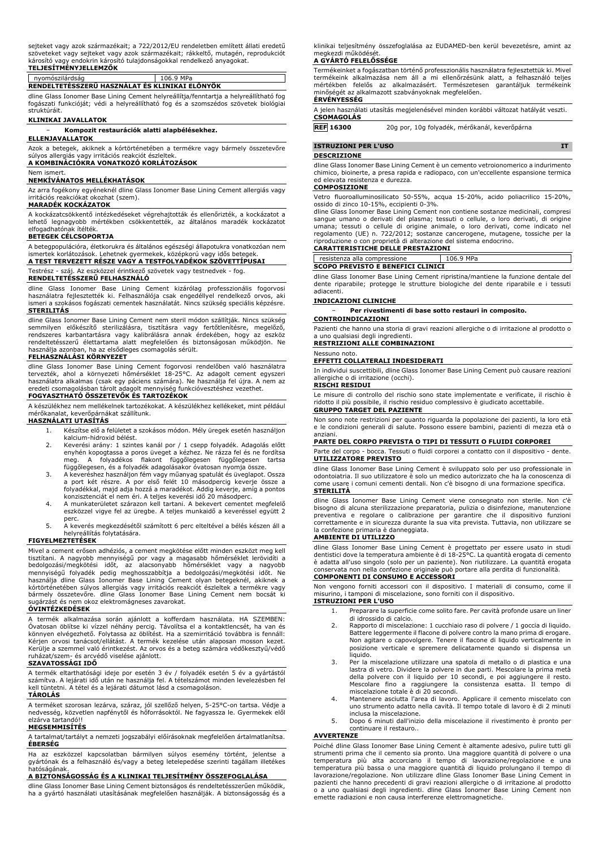sejteket vagy azok származékait; a 722/2012/EU rendeletben említett állati eredetű<br>szöveteket vagy sejteket vagy azok származékait; rákkeltő, mutagén, reprodukciót<br>károsító vagy endokrin károsító tulajdonságokkal rendelkez **TELJESÍTMÉNYJELLEMZŐK**

# nyomószilárdság 106.9 MPa **RENDELTETÉSSZERŰ HASZNÁLAT ÉS KLINIKAI ELŐNYÖK**

dline Glass Ionomer Base Lining Cement helyreállítja/fenntartja a helyreállítható fog fogászati funkcióját; védi a helyreállítható fog és a szomszédos szövetek biológiai struktúráit.

## **KLINIKAI JAVALLATOK**

### − **Kompozit restaurációk alatti alapbélésekhez.**

**ELLENJAVALLATOK**

Azok a betegek, akiknek a kórtörténetében a termékre vagy bármely összetevőre súlyos allergiás vagy irritációs reakciót észleltek. **A KOMBINÁCIÓKRA VONATKOZÓ KORLÁTOZÁSOK**

## Nem ismert.

## **NEMKÍVÁNATOS MELLÉKHATÁSOK**

Az arra fogékony egyéneknél dline Glass Ionomer Base Lining Cement allergiás vagy  $\overline{\phantom{a}}$ okozhat (szem).

#### **MARADÉK KOCKÁZATOK**

A kockázatcsökkentő intézkedéseket végrehajtották és ellenőrizték, a kockázatot a lehető legnagyobb mértékben csökkentették, az általános maradék kockázatot elfogadhatónak ítélték.

## **BETEGEK CÉLCSOPORTJA**

A betegpopulációra, életkorukra és általános egészségi állapotukra vonatkozóan nem ismertek korlátozások. Lehetnek gyermekek, középkorú vagy idős betegek.

**A TEST TERVEZETT RÉSZE VAGY A TESTFOLYADÉKOK SZÖVETTÍPUSAI**

# Testrész - száj. Az eszközzel érintkező szövetek vagy testnedvek - fog.

## **RENDELTETÉSSZERŰ FELHASZNÁLÓ**

dline Glass Ionomer Base Lining Cement kizárólag professzionális fogorvosi használatra fejlesztették ki. Felhasználója csak engedéllyel rendelkező orvos, aki ismeri a szokásos fogászati cementek használatát. Nincs szükség speciális képzésre. **STERILITÁS**

dline Glass Ionomer Base Lining Cement nem steril módon szállítják. Nincs szükség semmilyen előkészítő sterilizálásra, tisztításra vagy fertőtlenítésre, megelőző,<br>rendszeres karbantartásra vagy kalibrálásra annak érdekében, hogy az eszköz<br>rendeltetésszerű élettartama alatt megfelelően és biztonságosan m használja azonban, ha az elsődleges csomagolás sérült.

## **FELHASZNÁLÁSI KÖRNYEZET**

dline Glass Ionomer Base Lining Cement fogorvosi rendelőben való használatra tervezték, ahol a környezeti hőmérséklet 18-25°C. Az adagolt cement egyszeri használatra alkalmas (csak egy páciens számára). Ne használja fel újra. A nem az eredeti csomagolásban tárolt adagolt mennyiség funkcióvesztéshez vezethet. **FOGYASZTHATÓ ÖSSZETEVŐK ÉS TARTOZÉKOK**

A készülékhez nem mellékelnek tartozékokat. A készülékhez kellékeket, mint például mérőkanalat, keverőpárnákat szállítunk.

## **HASZNÁLATI UTASÍTÁS**

- 1. Készítse elő a felületet a szokásos módon. Mély üregek esetén használjon kalcium-hidroxid bélést.
- 2. Keverési arány: 1 szintes kanál por / 1 csepp folyadék. Adagolás előtt enyhén kopogtassa a poros üveget a kézhez. Ne rázza fel és ne fordítsa meg. A folyadékos flakont függőlegesen függőlegesen tartsa függőlegesen, és a folyadék adagolásakor óvatosan nyomja össze.
- 3. A keveréshez használjon fém vagy műanyag spatulát és üveglapot. Ossza a port két részre. A por első felét 10 másodpercig keverje össze a folyadékkal, majd adja hozzá a maradékot. Addig keverje, amíg a pontos konzisztenciát el nem éri. A teljes keverési idő 20 másodperc.
- 4. A munkaterületet szárazon kell tartani. A bekevert cementet megfelelő eszközzel vigye fel az üregbe. A teljes munkaidő a keveréssel együtt 2 perc.
- 5. A keverés megkezdésétől számított 6 perc elteltével a bélés készen áll a helyreállítás folytatására.

#### **FIGYELMEZTETÉSEK**

Mivel a cement erősen adhéziós, a cement megkötése előtt minden eszközt meg kell tisztítani. A nagyobb mennyiségű por vagy a magasabb hőmérséklet lerövidíti a<br>bedolgozási/megkötési - időt, - az alacsonyabb - hőmérséklet - vagy - a nagyobb<br>mennyiségű folyadék - pedig meghosszabbítja a bedolgozási/megköt kórtörténetében súlyos allergiás vagy irritációs reakciót észleltek a termékre vagy bármely összetevőre. dline Glass Ionomer Base Lining Cement nem bocsát ki sugárzást és nem okoz elektromágneses zavarokat.

## **ÓVINTÉZKEDÉSEK**

A termék alkalmazása során ajánlott a kofferdam használata. HA SZEMBEN: Ovatosan öblítse ki vízzel néhány percig. Távolítsa el a kontaktlencsét, ha van és<br>könnyen elvégezhető. Folytassa az öblítést. Ha a szemirritáció továbbra is fennáll:<br>Kérjen orvosi tanácsot/ellátást. A termék kezelése után Kerülje a szemmel való érintkezést. Az orvos és a beteg számára védőkesztyű/védő ruházat/szem- és arcvédő viselése ajánlott.

#### **SZAVATOSSÁGI IDŐ**

A termék eltarthatósági ideje por esetén 3 év / folyadék esetén 5 év a gyártástól számítva. A lejárati idő után ne használja fel. A tételszámot minden levelezésben fel kell tüntetni. A tétel és a lejárati dátumot lásd a csomagoláson.

## **TÁROLÁS**

A terméket szorosan lezárva, száraz, jól szellőző helyen, 5-25°C-on tartsa. Védje a nedvesség, közvetlen napfénytől és hőforrásoktól. Ne fagyassza le. Gyermekek elől elzárva tartandó!!

## **MEGSEMMISÍTÉS**

A tartalmat/tartályt a nemzeti jogszabályi előírásoknak megfelelően ártalmatlanítsa. **ÉBERSÉG**

Ha az eszközzel kapcsolatban bármilyen súlyos esemény történt, jelentse a gyártónak és a felhasználó és/vagy a beteg letelepedése szerinti tagállam illetékes hatóságának.

## **A BIZTONSÁGOSSÁG ÉS A KLINIKAI TELJESÍTMÉNY ÖSSZEFOGLALÁSA**

dline Glass Ionomer Base Lining Cement biztonságos és rendeltetésszerűen működik, ha a gyártó használati utasításának megfelelően használják. A biztonságosság és a klinikai teljesítmény összefoglalása az EUDAMED-ben kerül bevezetésre, amint az megkezdi működését.

## **A GYÁRTÓ FELELŐSSÉGE**

Termékeinket a fogászatban történő professzionális használatra fejlesztettük ki. Mivel termékeink alkalmazása nem áll a mi ellenőrzésünk alatt, a felhasználó teljes mértékben felelős az alkalmazásért. Természetesen garantáljuk termékeink minőségét az alkalmazott szabványoknak megfelelően.

## **ÉRVÉNYESSÉG**

| A jelen használati utasítás megjelenésével minden korábbi változat hatályát veszti.<br>CSOMAGOLÁS |  |
|---------------------------------------------------------------------------------------------------|--|
|                                                                                                   |  |

**REF 16300** 20g por, 10g folyadék, mérőkanál, keverőpárna

**ISTRUZIONI PER L'USO IT**

## **DESCRIZIONE**

dline Glass Ionomer Base Lining Cement è un cemento vetroionomerico a indurimento chimico, bioinerte, a presa rapida e radiopaco, con un'eccellente espansione termica ed elevata resistenza e durezza.

## **COMPOSIZIONE**

Vetro fluoroalluminosilicato 50-55%, acqua 15-20%, acido poliacrilico 15-20%, ossido di zinco 10-15%, eccipienti 0-3%.

dline Glass Ionomer Base Lining Cement non contiene sostanze medicinali, compresi sangue umano o derivati del plasma; tessuti o cellule, o loro derivati, di origine umana; tessuti o cellule di origine animale, o loro derivati, come indicato nel regolamento (UE) n. 722/2012; sostanze cancerogene, mutagene, tossiche per la riproduzione o con proprietà di alterazione del sistema endocrino. **CARATTERISTICHE DELLE PRESTAZIONI**

| resistenza alla compressione             | 106.9 MPa |  |
|------------------------------------------|-----------|--|
| <b>SCOPO PREVISTO E BENEFICI CLINICI</b> |           |  |
|                                          |           |  |

dline Glass Ionomer Base Lining Cement ripristina/mantiene la funzione dentale del dente riparabile; protegge le strutture biologiche del dente riparabile e i tessuti adiacenti.

### **INDICAZIONI CLINICHE**

− **Per rivestimenti di base sotto restauri in composito.**

a uno qualsiasi degli ingredienti.

## **EFFETTI COLLATERALI INDESIDERATI**

In individui suscettibili, dline Glass Ionomer Base Lining Cement può causare reazioni allergiche o di irritazione (occhi). **RISCHI RESIDUI**

Le misure di controllo del rischio sono state implementate e verificate, il rischio è ridotto il più possibile, il rischio residuo complessivo è giudicato accettabile. **GRUPPO TARGET DEL PAZIENTE**

#### Non sono note restrizioni per quanto riguarda la popolazione dei pazienti, la loro età e le condizioni generali di salute. Possono essere bambini, pazienti di mezza età o anziani.

### **PARTE DEL CORPO PREVISTA O TIPI DI TESSUTI O FLUIDI CORPOREI**

Parte del corpo - bocca. Tessuti o fluidi corporei a contatto con il dispositivo - dente. **UTILIZZATORE PREVISTO**

dline Glass Ionomer Base Lining Cement è sviluppato solo per uso professionale in odontoiatria. Il suo utilizzatore è solo un medico autorizzato che ha la conoscenza di come usare i comuni cementi dentali. Non c'è bisogno di una formazione specifica. **STERILITÀ**

dline Glass Ionomer Base Lining Cement viene consegnato non sterile. Non c'è bisogno di alcuna sterilizzazione preparatoria, pulizia o disinfezione, manutenzione preventiva e regolare o calibrazione per garantire che il dispositivo funzioni correttamente e in sicurezza durante la sua vita prevista. Tuttavia, non utilizzare se la confezione primaria è danneggiata.

#### **AMBIENTE DI UTILIZZO**

dline Glass Ionomer Base Lining Cement è progettato per essere usato in studi<br>dentistici dove la temperatura ambiente è di 18-25°C. La quantità erogata di cemento<br>è adatta all'uso singolo (solo per un paziente). Non riutil conservata non nella confezione originale può portare alla perdita di funzionalità. **COMPONENTI DI CONSUMO E ACCESSORI**

Non vengono forniti accessori con il dispositivo. I materiali di consumo, come il misurino, i tamponi di miscelazione, sono forniti con il dispositivo.

## **ISTRUZIONI PER L'USO**

- 1. Preparare la superficie come solito fare. Per cavità profonde usare un liner di idrossido di calcio.
- 2. Rapporto di miscelazione: 1 cucchiaio raso di polvere / 1 goccia di liquido. Battere leggermente il flacone di polvere contro la mano prima di erogare. Non agitare o capovolgere. Tenere il flacone di liquido verticalmente in posizione verticale e spremere delicatamente quando si dispensa un liquido.
- 3. Per la miscelazione utilizzare una spatola di metallo o di plastica e una lastra di vetro. Dividere la polvere in due parti. Mescolare la prima metà della polvere con il liquido per 10 secondi, e poi aggiungere il resto. Mescolare fino a raggiungere la consistenza esatta. Il tempo di miscelazione totale è di 20 secondi.
- 4. Mantenere asciutta l'area di lavoro. Applicare il cemento miscelato con uno strumento adatto nella cavità. Il tempo totale di lavoro è di 2 minuti
- inclusa la miscelazione. 5. Dopo 6 minuti dall'inizio della miscelazione il rivestimento è pronto per continuare il restauro..

### **AVVERTENZE**

Poiché dline Glass Ionomer Base Lining Cement è altamente adesivo, pulire tutti gli strumenti prima che il cemento sia pronto. Una maggiore quantità di polvere o una temperatura più alta accorciano il tempo di lavorazione/regolazione e una temperatura più bassa o una maggiore quantità di liquido prolungano il tempo di<br>lavorazione/regolazione. Non utilizzare dline Glass Ionomer Base Lining Cement in<br>pazienti che hanno precedenti di gravi reazioni allergiche o o a uno qualsiasi degli ingredienti. dline Glass Ionomer Base Lining Cement non emette radiazioni e non causa interferenze elettromagnetiche.

**CONTROINDICAZIONI**

Pazienti che hanno una storia di gravi reazioni allergiche o di irritazione al prodotto o

## **RESTRIZIONI ALLE COMBINAZIONI**

Nessuno noto.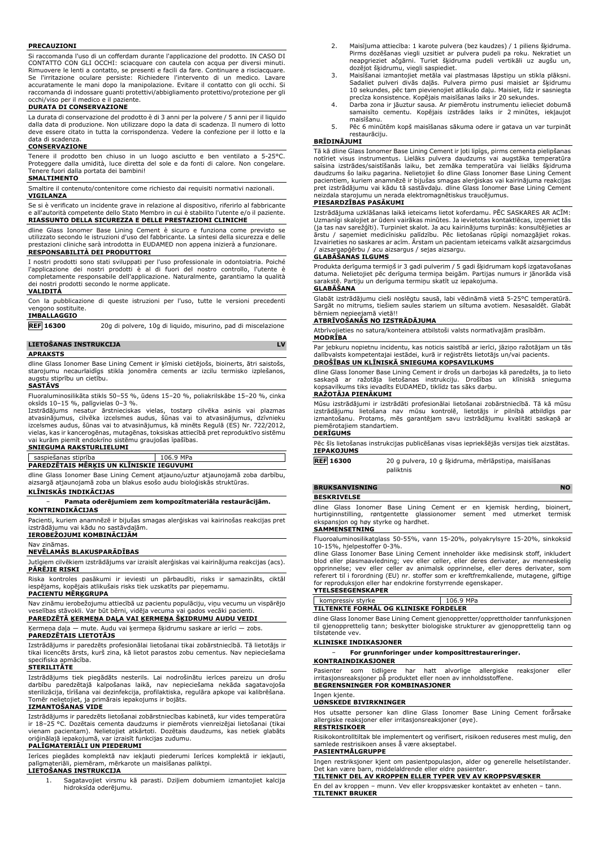#### **PRECAUZIONI**

Si raccomanda l'uso di un cofferdam durante l'applicazione del prodotto. IN CASO DI CONTATTO CON GLI OCCHI: sciacquare con cautela con acqua per diversi minuti. Rimuovere le lenti a contatto, se presenti e facili da fare. Continuare a risciacquare.<br>Se l'irritazione oculare persiste: Richiedere l'intervento di un medico. Lavare<br>accuratamente le mani dopo la manipolazione. E raccomanda di indossare guanti protettivi/abbigliamento protettivo/protezione per gli occhi/viso per il medico e il paziente.

## **DURATA DI CONSERVAZIONE**

La durata di conservazione del prodotto è di 3 anni per la polvere / 5 anni per il liquido dalla data di produzione. Non utilizzare dopo la data di scadenza. Il numero di lotto deve essere citato in tutta la corrispondenza. Vedere la confezione per il lotto e la data di scadenza.

## **CONSERVAZIONE**

Tenere il prodotto ben chiuso in un luogo asciutto e ben ventilato a 5-25°C. Proteggere dalla umidità, luce diretta del sole e da fonti di calore. Non congelare. Tenere fuori dalla portata dei bambini! **SMALTIMENTO**

Smaltire il contenuto/contenitore come richiesto dai requisiti normativi nazionali. **VIGILANZA**

Se si è verificato un incidente grave in relazione al dispositivo, riferirlo al fabbricante e all'autorità competente dello Stato Membro in cui è stabilito l'utente e/o il paziente. **RIASSUNTO DELLA SICUREZZA E DELLE PRESTAZIONI CLINICHE**

dline Glass Ionomer Base Lining Cement è sicuro e funziona come previsto se utilizzato secondo le istruzioni d'uso del fabbricante. La sintesi della sicurezza e delle prestazioni cliniche sarà introdotta in EUDAMED non appena inizierà a funzionare. **RESPONSABILITÀ DEI PRODUTTORI**

# I nostri prodotti sono stati sviluppati per l'uso professionale in odontoiatria. Poiché

l'applicazione dei nostri prodotti è al di fuori del nostro controllo, l'utente è completamente responsabile dell'applicazione. Naturalmente, garantiamo la qualità dei nostri prodotti secondo le norme applicate.

## **VALIDITÀ**

Con la pubblicazione di queste istruzioni per l'uso, tutte le versioni precedenti vengono sostituite. **IMBALLAGGIO**

**REF 16300** 20g di polvere, 10g di liquido, misurino, pad di miscelazione

## **LIETOŠANAS INSTRUKCIJA LV**

## **APRAKSTS**

dline Glass Ionomer Base Lining Cement ir ķīmiski cietējošs, bioinerts, ātri saistošs, starojumu necaurlaidīgs stikla jonomēra cements ar izcilu termisko izplešanos, augstu stiprību un cietību.

**SASTĀVS**

Fluoraluminosilikāta stikls 50–55 %, ūdens 15–20 %, poliakrilskābe 15–20 %, cinka oksīds 10–15 %, palīgvielas 0–3 %.

Izstrādājums nesatur ārstnieciskas vielas, tostarp cilvēka asinis vai plazmas<br>atvasinājumus, cilvēka izcelsmes audus, šūnas vai to atvasinājumus, dzīvnieku<br>izcelsmes-audus,-šūnas-vai-to-atvasinājumus,-kā minēts-Regulā-(ES) vielas, kas ir kancerogēnas, mutagēnas, toksiskas attiecībā pret reproduktīvo sistēmu vai kurām piemīt endokrīno sistēmu graujošas īpašības.

## **SNIEGUMA RAKSTURLIELUMI**

## $106.9$  MPa **PAREDZĒTAIS MĒRĶIS UN KLĪNISKIE IEGUVUMI**

dline Glass Ionomer Base Lining Cement atjauno/uztur atjaunojamā zoba darbību, aizsargā atjaunojamā zoba un blakus esošo audu bioloģiskās struktūras.

#### **KLĪNISKĀS INDIKĀCIJAS**

− **Pamata oderējumiem zem kompozītmateriāla restaurācijām. KONTRINDIKĀCIJAS**

Pacienti, kuriem anamnēzē ir bijušas smagas alerģiskas vai kairinošas reakcijas pret izstrādājumu vai kādu no sastāvdaļām. **IEROBEŽOJUMI KOMBINĀCIJĀM**

Nav zināmas.

## **NEVĒLAMĀS BLAKUSPARĀDĪBAS**

Jutīgiem cilvēkiem izstrādājums var izraisīt alerģiskas vai kairinājuma reakcijas (acs). **PĀRĒJIE RISKI**

Riska kontroles pasākumi ir ieviesti un pārbaudīti, risks ir samazināts, ciktāl iespējams, kopējais atlikušais risks tiek uzskatīts par pieņemamu. **PACIENTU MĒRĶGRUPA**

Nav zināmu ierobežojumu attiecībā uz pacientu populāciju, viņu vecumu un vispārējo veselības stāvokli. Var būt bērni, vidēja vecuma vai gados vecāki pacienti. **PAREDZĒTĀ ĶERMEŅA DAĻA VAI ĶERMEŅA ŠĶIDRUMU AUDU VEIDI**

Ķermeņa daļa — mute. Audu vai ķermeņa šķidrumu saskare ar ierīci — zobs.

## **PAREDZĒTAIS LIETOTĀJS**

Izstrādājums ir paredzēts profesionālai lietošanai tikai zobārstniecībā. Tā lietotājs ir tikai licencēts ārsts, kurš zina, kā lietot parastos zobu cementus. Nav nepieciešama specifiska apmācība.

## **STERILITĀTE**

Izstrādājums tiek piegādāts nesterils. Lai nodrošinātu ierīces pareizu un drošu darbību paredzētajā kalpošanas laikā, nav nepieciešama nekāda sagatavojoša sterilizācija, tīrīšana vai dezinfekcija, profilaktiska, regulāra apkope vai kalibrēšana. Tomēr nelietojiet, ja primārais iepakojums ir bojāts.

## **IZMANTOŠANAS VIDE**

Izstrādājums ir paredzēts lietošanai zobārstniecības kabinetā, kur vides temperatūra ir 18–25 °C. Dozētais cementa daudzums ir piemērots vienreizējai lietošanai (tikai vienam pacientam). Nelietojiet atkārtoti. Dozētais daudzums, kas netiek glabāts oriģinālajā iepakojumā, var izraisīt funkcijas zudumu.

# **PALĪGMATERIĀLI UN PIEDERUMI**

Ierīces piegādes komplektā nav iekļauti piederumi Ierīces komplektā ir iekļauti, palīgmateriāli, piemēram, mērkarote un maisīšanas paliktņi. **LIETOŠANAS INSTRUKCIJA**

1. Sagatavojiet virsmu kā parasti. Dziļiem dobumiem izmantojiet kalcija hidroksīda oderējumu.

- 2. Maisījuma attiecība: 1 karote pulvera (bez kaudzes) / 1 piliens šķidruma. Pirms dozēšanas viegli uzsitiet ar pulvera pudeli pa roku. Nekratiet un neapgrieziet ačgārni. Turiet šķidruma pudeli vertikāli uz augšu un, dozējot šķidrumu, viegli saspiediet.
- 3. Maisīšanai izmantojiet metāla vai plastmasas lāpstiņu un stikla plāksni. Sadaliet pulveri divās daļās. Pulvera pirmo pusi maisiet ar šķidrumu 10 sekundes, pēc tam pievienojiet atlikušo daļu. Maisiet, līdz ir sasniegta
- precīza konsistence. Kopējais maisīšanas laiks ir 20 sekundes. 4. Darba zona ir jāuztur sausa. Ar piemērotu instrumentu ielieciet dobumā samaisīto cementu. Kopējais izstrādes laiks ir 2 minūtes, iekļaujot maisīšanu.
- 5. Pēc 6 minūtēm kopš maisīšanas sākuma odere ir gatava un var turpināt restaurāciju.

## **BRĪDINĀJUMI**

Tā kā dline Glass Ionomer Base Lining Cement ir ļoti lipīgs, pirms cementa pielipšanas notīriet visus instrumentus. Lielāks pulvera daudzums vai augstāka temperatūra saīsina izstrādes/saistīšanās laiku, bet zemāka temperatūra vai lielāks šķidruma daudzums šo laiku pagarina. Nelietojiet šo dline Glass Ionomer Base Lining Cement pacientiem, kuriem anamnēzē ir bijušas smagas alerģiskas vai kairinājuma reakcijas pret izstrādājumu vai kādu tā sastāvdaļu. dline Glass Ionomer Base Lining Cement neizdala starojumu un nerada elektromagnētiskus traucējumus.

## **PIESARDZĪBAS PASĀKUMI**

Izstrādājuma uzklāšanas laikā ieteicams lietot koferdamu. PĒC SASKARES AR ACĪM: Uzmanīgi skalojiet ar ūdeni vairākas minūtes. Ja ievietotas kontaktlēcas, izņemiet tās (ja tas nav sarežģīti). Turpiniet skalot. Ja acu kairinājums turpinās: konsultējieties ar ārstu / saņemiet medicīnisku palīdzību. Pēc lietošanas rūpīgi nomazgājiet rokas. Izvairieties no saskares ar acīm. Ārstam un pacientam ieteicams valkāt aizsargcimdus / aizsargapģērbu / acu aizsargus / sejas aizsargu.

## **GLABĀŠANAS ILGUMS**

Produkta derīguma termiņš ir 3 gadi pulverim / 5 gadi šķidrumam kopš izgatavošanas datuma. Nelietojiet pēc derīguma termiņa beigām. Partijas numurs ir jānorāda visā sarakstē. Partiju un derīguma termiņu skatīt uz iepakojuma.

## **GLABĀŠANA**

Glabāt izstrādājumu cieši noslēgtu sausā, labi vēdināmā vietā 5-25°C temperatūrā. Sargāt no mitrums, tiešiem saules stariem un siltuma avotiem. Nesasaldēt. Glabāt bērniem nepieejamā vietā!!

## **ATBRĪVOŠANĀS NO IZSTRĀDĀJUMA**

Atbrīvojieties no satura/konteinera atbilstoši valsts normatīvajām prasībām. **MODRĪBA**

Par jebkuru nopietnu incidentu, kas noticis saistībā ar ierīci, jāziņo ražotājam un tās dalībvalsts kompetentajai iestādei, kurā ir reģistrēts lietotājs un/vai pacients. **DROŠĪBAS UN KLĪNISKĀ SNIEGUMA KOPSAVILKUMS**

dline Glass Ionomer Base Lining Cement ir drošs un darbojas kā paredzēts, ja to lieto saskaņā ar ražotāja lietošanas instrukciju. Drošības un klīniskā snieguma kopsavilkums tiks ievadīts EUDAMED, tiklīdz tas sāks darbu.

## **RAŽOTĀJA PIENĀKUMI**

Mūsu izstrādājumi ir izstrādāti profesionālai lietošanai zobārstniecībā. Tā kā mūsu izstrādājumu lietošana nav mūsu kontrolē, lietotājs ir pilnībā atbildīgs par izmantošanu. Protams, mēs garantējam savu izstrādājumu kvalitāti saskaņā ar piemērotajiem standartiem.

## **DERĪGUMS**

Pēc šīs lietošanas instrukcijas publicēšanas visas iepriekšējās versijas tiek aizstātas. **IEPAKOJUMS**

**REF 16300** 20 g pulvera, 10 g šķidruma, mērlāpstiņa, maisīšanas paliktnis

#### **BRUKSANVISNING NO**

### **BESKRIVELSE**

dline Glass Ionomer Base Lining Cement er en kjemisk herding, bioinert, hurtiginnstilling, røntgentette glassionomer sement med utmerket termisk ekspansjon og høy styrke og hardhet.

## **SAMMENSETNING**

Fluoroaluminosilikatglass 50-55%, vann 15-20%, polyakrylsyre 15-20%, sinkoksid 10-15%, hjelpestoffer 0-3%.

dline Glass Ionomer Base Lining Cement inneholder ikke medisinsk stoff, inkludert blod eller plasmaavledning; vev eller celler, eller deres derivater, av menneskelig opprinnelse; vev eller celler av animalsk opprinnelse, eller deres derivater, som referert til i forordning (EU) nr. stoffer som er kreftfremkallende, mutagene, giftige for reproduksjon eller har endokrine forstyrrende egenskaper. **YTELSESEGENSKAPER**

kompressiv styrke 106.9 MPa **TILTENKTE FORMÅL OG KLINISKE FORDELER**

dline Glass Ionomer Base Lining Cement gjenoppretter/opprettholder tannfunksjonen til gjenopprettelig tann; beskytter biologiske strukturer av gjenopprettelig tann og tilstøtende vev.

## **KLINISKE INDIKASJONER**

− **For grunnforinger under komposittrestaureringer.**

## **KONTRAINDIKASJONER**

Pasienter som tidligere har hatt alvorlige allergiske reaksjoner eller irritasjonsreaksjoner på produktet eller noen av innholdsstoffene. **BEGRENSNINGER FOR KOMBINASJONER**

# Ingen kjente. **UØNSKEDE BIVIRKNINGER**

Hos utsatte personer kan dline Glass Ionomer Base Lining Cement forårsake allergiske reaksjoner eller irritasjonsreaksjoner (øye).

## **RESTRISIKOER**

Risikokontrolltiltak ble implementert og verifisert, risikoen reduseres mest mulig, den samlede restrisikoen anses å være akseptabel.

### **PASIENTMÅLGRUPPE**

Ingen restriksjoner kjent om pasientpopulasjon, alder og generelle helsetilstander. Det kan være barn, middelaldrende eller eldre pasienter.

## **TILTENKT DEL AV KROPPEN ELLER TYPER VEV AV KROPPSVÆSKER**

En del av kroppen – munn. Vev eller kroppsvæsker kontaktet av enheten – tann. **TILTENKT BRUKER**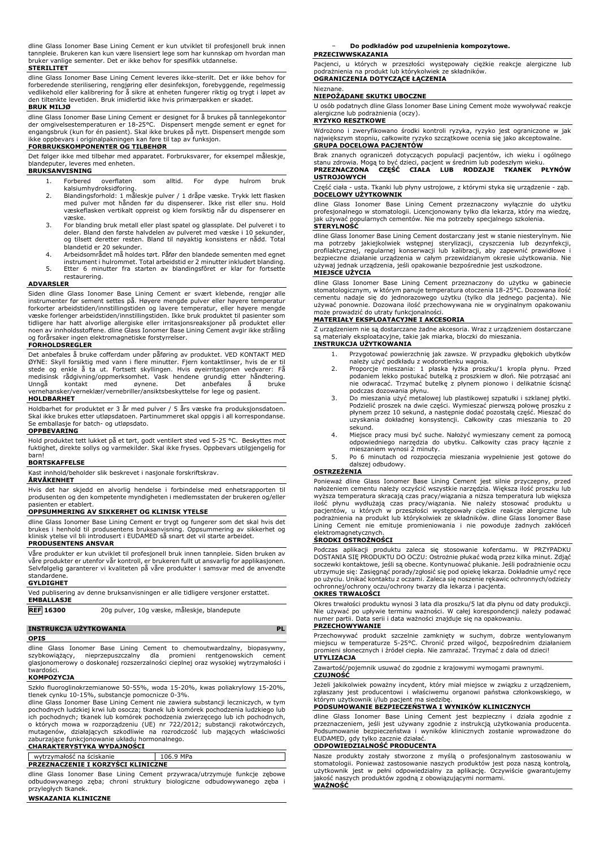dline Glass Ionomer Base Lining Cement er kun utviklet til profesjonell bruk innen tannpleie. Brukeren kan kun være lisensiert lege som har kunnskap om hvordan man bruker vanlige sementer. Det er ikke behov for spesifikk utdannelse.

**STERILITET**

dline Glass Ionomer Base Lining Cement leveres ikke-sterilt. Det er ikke behov for forberedende sterilisering, rengjøring eller desinfeksjon, forebyggende, regelmessig vedlikehold eller kalibrering for å sikre at enheten fungerer riktig og trygt i løpet av den tiltenkte levetiden. Bruk imidlertid ikke hvis primærpakken er skadet.

## **BRUK MILJØ**

dline Glass Ionomer Base Lining Cement er designet for å brukes på tannlegekontor der omgivelsestemperaturen er 18-25°C. Dispensert mengde sement er egnet for engangsbruk (kun for én pasient). Skal ikke brukes på nytt. Dispensert mengde som ikke oppbevars i originalpakningen kan føre til tap av funksjon.

## **FORBRUKSKOMPONENTER OG TILBEHØR**

Det følger ikke med tilbehør med apparatet. Forbruksvarer, for eksempel måleskje, blandeputer, leveres med enheten. **BRUKSANVISNING**

- 
- 1. Forbered overflaten som alltid. For dype hulrom bruk kalsiumhydroksidforing. 2. Blandingsforhold: 1 måleskje pulver / 1 dråpe væske. Trykk lett flasken med pulver mot hånden før du dispenserer. Ikke rist eller snu. Hold væskeflasken vertikalt oppreist og klem forsiktig når du dispenserer en væske.
- 3. For blanding bruk metall eller plast spatel og glassplate. Del pulveret i to deler. Bland den første halvdelen av pulveret med væske i 10 sekunder, og tilsett deretter resten. Bland til nøyaktig konsistens er nådd. Total blandetid er 20 sekunder.
- 4. Arbeidsområdet må holdes tørt. Påfør den blandede sementen med egnet
- instrument i hulrommet. Total arbeidstid er 2 minutter inkludert blanding. 5. Etter 6 minutter fra starten av blandingsfôret er klar for fortsette restaurering.

#### **ADVARSLER**

Siden dline Glass Ionomer Base Lining Cement er svært klebende, rengjør alle instrumenter før sement settes på. Høyere mengde pulver eller høyere temperatur forkorter arbeidstiden/innstillingstiden og lavere temperatur, eller høyere mengde væske forlenger arbeidstiden/innstillingstiden. Ikke bruk produktet til pasienter som tidligere har hatt alvorlige allergiske eller irritasjonsreaksjoner på produktet eller noen av innholdsstoffene. dline Glass Ionomer Base Lining Cement avgir ikke stråling og forårsaker ingen elektromagnetiske forstyrrelser.

#### **FORHOLDSREGLER**

Det anbefales å bruke cofferdam under påføring av produktet. VED KONTAKT MED ØYNE: Skyll forsiktig med vann i flere minutter. Fjern kontaktlinser, hvis de er til stede og enkle å ta ut. Fortsett skyllingen. Hvis øyeirritasjonen vedvarer: Få medisinsk rådgivning/oppmerksomhet. Vask hendene grundig etter håndtering. Unngå kontakt med øynene. Det anbefales å bruke vernehansker/verneklær/vernebriller/ansiktsbeskyttelse for lege og pasient.

## **HOLDBARHET**

Holdbarhet for produktet er 3 år med pulver / 5 års væske fra produksjonsdatoen. Skal ikke brukes etter utløpsdatoen. Partinummeret skal oppgis i all korrespondanse. Se emballasje for batch- og utløpsdato.

#### **OPPBEVARING**

Hold produktet tett lukket på et tørt, godt ventilert sted ved 5-25 °C. Beskyttes mot fuktighet, direkte sollys og varmekilder. Skal ikke fryses. Oppbevars utilgjengelig for barn!

## **BORTSKAFFELSE**

Kast innhold/beholder slik beskrevet i nasjonale forskriftskrav.

# **ÅRVÅKENHET**

Hvis det har skjedd en alvorlig hendelse i forbindelse med enhetsrapporten til produsenten og den kompetente myndigheten i medlemsstaten der brukeren og/eller pasienten er etablert.

## **OPPSUMMERING AV SIKKERHET OG KLINISK YTELSE**

dline Glass Ionomer Base Lining Cement er trygt og fungerer som det skal hvis det brukes i henhold til produsentens bruksanvisning. Oppsummering av sikkerhet og klinisk ytelse vil bli introdusert i EUDAMED så snart det vil starte arbeidet.

## **PRODUSENTENS ANSVAR**

Våre produkter er kun utviklet til profesjonell bruk innen tannpleie. Siden bruken av våre produkter er utenfor vår kontroll, er brukeren fullt ut ansvarlig for applikasjonen. Selvfølgelig garanterer vi kvaliteten på våre produkter i samsvar med de anvendte standardene.

## **GYLDIGHET**

Ved publisering av denne bruksanvisningen er alle tidligere versjoner erstattet. **EMBALLASJE**

| <b>REF 16300</b> | 20g pulver, 10g væske, måleskje, blandepute |
|------------------|---------------------------------------------|
|                  |                                             |

## **INSTRUKCJA UŻYTKOWANIA PL**

## **OPIS**

dline Glass Ionomer Base Lining Cement to chemoutwardzalny, biopasywny, szybkowiążący, nieprzepuszczalny dla promieni rentgenowskich cement glasjonomerowy o doskonałej rozszerzalności cieplnej oraz wysokiej wytrzymałości i twardości.

## **KOMPOZYCJA**

Szkło fluoroglinokrzemianowe 50-55%, woda 15-20%, kwas poliakrylowy 15-20%, tlenek cynku 10-15%, substancje pomocnicze 0-3%.

dline Glass Ionomer Base Lining Cement nie zawiera substancji leczniczych, w tym<br>pochodnych ludzkiej krwi lub osocza; tkanek lub komórek pochodzenia ludzkiego lub<br>ich pochodnych; tkanek lub komórek pochodzenia zwierzęcego zaburzające funkcjonowanie układu hormonalnego. **CHARAKTERYSTYKA WYDAJNOŚCI**

# wytrzymałość na ściskanie 106.9 MPa **PRZEZNACZENIE I KORZYŚCI KLINICZNE**

dline Glass Ionomer Base Lining Cement przywraca/utrzymuje funkcje zębowe odbudowywanego zęba; chroni struktury biologiczne odbudowywanego zęba i przyległych tkanek.

## **WSKAZANIA KLINICZNE**

− **Do podkładów pod uzupełnienia kompozytowe.**

## **PRZECIWWSKAZANIA**

Pacjenci, u których w przeszłości występowały ciężkie reakcje alergiczne lub podrażnienia na produkt lub którykolwiek ze składników. **OGRANICZENIA DOTYCZĄCE ŁĄCZENIA**

## Nieznane.

## **NIEPOŻĄDANE SKUTKI UBOCZNE**

U osób podatnych dline Glass Ionomer Base Lining Cement może wywoływać reakcje alergiczne lub podrażnienia (oczy).

## **RYZYKO RESZTKOWE**

Wdrożono i zweryfikowano środki kontroli ryzyka, ryzyko jest ograniczone w jak największym stopniu, całkowite ryzyko szczątkowe ocenia się jako akceptowalne. **GRUPA DOCELOWA PACJENTÓW**

Brak znanych ograniczeń dotyczących populacji pacjentów, ich wieku i ogólnego<br>stanu zdrowia. Mogąło być dzieci, pacjent w średnim lub podeszłym wieku.<br>**PRZEZNACZONA – CZĘŚĆ – CIAŁA – LUB – RODZAJE – TKANEK – PŁYNÓW USTROJOWYCH**

Część ciała - usta. Tkanki lub płyny ustrojowe, z którymi styka się urządzenie - ząb. **DOCELOWY UŻYTKOWNIK**

dline Glass Ionomer Base Lining Cement przeznaczony wyłącznie do użytku profesjonalnego w stomatologii. Licencjonowany tylko dla lekarza, który ma wiedzę, jak używać popularnych cementów. Nie ma potrzeby specjalnego szkolenia. **STERYLNOŚĆ**

dline Glass Ionomer Base Lining Cement dostarczany jest w stanie niesterylnym. Nie ma potrzeby jakiejkolwiek wstępnej sterylizacji, czyszczenia lub dezynfekcji, profilaktycznej, regularnej konserwacji lub kalibracji, aby zapewnić prawidłowe i bezpieczne działanie urządzenia w całym przewidzianym okresie użytkowania. Nie jednak urządzenia, jeśli opakowanie bezpośrednie jest uszkodzone. **MIEJSCE UŻYCIA**

dline Glass Ionomer Base Lining Cement przeznaczony do użytku w gabinecie stomatologicznym, w którym panuje temperatura otoczenia 18-25°C. Dozowana ilość cementu nadaje się do jednorazowego użytku (tylko dla jednego pacjenta). Nie używać ponownie. Dozowana ilość przechowywana nie w oryginalnym opakowaniu może prowadzić do utraty funkcjonalności.

## **MATERIAŁY EKSPLOATACYJNE I AKCESORIA**

Z urządzeniem nie są dostarczane żadne akcesoria. Wraz z urządzeniem dostarczane są materiały eksploatacyjne, takie jak miarka, bloczki do mieszania. **INSTRUKCJA UŻYTKOWANIA**

- 1. Przygotować powierzchnię jak zawsze. W przypadku głębokich ubytków należy użyć podkładu z wodorotlenku wapnia.
- 2. Proporcje mieszania: 1 płaska łyżka proszku/1 kropla płynu. Przed podaniem lekko postukać butelką z proszkiem w dłoń. Nie potrząsać ani nie odwracać. Trzymać butelkę z płynem pionowo i delikatnie ścisnąć podczas dozowania płynu.
- 3. Do mieszania użyć metalowej lub plastikowej szpatułki i szklanej płytki. Podzielić proszek na dwie części. Wymieszać pierwszą połowę proszku z płynem przez 10 sekund, a następnie dodać pozostałą część. Mieszać do uzyskania dokładnej konsystencji. Całkowity czas mieszania to 20 sekund.
- 4. Miejsce pracy musi być suche. Nałożyć wymieszany cement za pomocą odpowiedniego narzędzia do ubytku. Całkowity czas pracy łącznie z mieszaniem wynosi 2 minuty.
- 5. Po 6 minutach od rozpoczęcia mieszania wypełnienie jest gotowe do dalszej odbudowy.

## **OSTRZEŻENIA**

Ponieważ dline Glass Ionomer Base Lining Cement jest silnie przyczepny, przed nałożeniem cementu należy oczyścić wszystkie narzędzia. Większa ilość proszku lub wyższa temperatura skracają czas pracy/wiązania a niższa temperatura lub większa ilość płynu wydłużają czas pracy/wiązania. Nie należy stosować produktu u<br>pacjentów, u których w przeszłości występowały ciężkie reakcje alergiczne lub<br>podrażnienia na produkt lub którykolwiek ze składników. dline Glass Io Lining Cement nie emituje promieniowania i nie powoduje żadnych zakłóceń elektromagnetycznych. **ŚRODKI OSTROŻNOŚCI**

Podczas aplikacji produktu zaleca się stosowanie koferdamu. W PRZYPADKU DOSTANIA SIĘ PRODUKTU DO OCZU: Ostrożnie płukać wodą przez kilka minut. Zdjąć soczewki kontaktowe, jeśli są obecne. Kontynuować płukanie. Jeśli podrażnienie oczu<br>utrzymuje się: Zasięgnąć porady/zgłosić się pod opiekę lekarza. Dokładnie umyć ręce<br>po użyciu. Unikać kontaktu z oczami. Zaleca się noszen ochronnej/ochrony oczu/ochrony twarzy dla lekarza i pacjenta.

## **OKRES TRWAŁOŚCI**

Okres trwałości produktu wynosi 3 lata dla proszku/5 lat dla płynu od daty produkcji. Nie używać po upływie terminu ważności. W całej korespondencji należy podawać numer partii. Data serii i data ważności znajduje się na opakowaniu.

## **PRZECHOWYWANIE**

Przechowywać produkt szczelnie zamknięty w suchym, dobrze wentylowanym miejscu w temperaturze 5-25°C. Chronić przed wilgoć, bezpośrednim działaniem promieni słonecznych i źródeł ciepła. Nie zamrażać. Trzymać z dala od dzieci! **UTYLIZACJA**

Zawartość/pojemnik usuwać do zgodnie z krajowymi wymogami prawnymi. **CZUJNOŚĆ**

Jeżeli jakikolwiek poważny incydent, który miał miejsce w związku z urządzeniem, zgłaszany jest producentowi i właściwemu organowi państwa członkowskiego, w którym użytkownik i/lub pacjent ma siedzibę.

## **PODSUMOWANIE BEZPIECZEŃSTWA I WYNIKÓW KLINICZNYCH**

dline Glass Ionomer Base Lining Cement jest bezpieczny i działa zgodnie z przeznaczeniem, jeśli jest używany zgodnie z instrukcją użytkowania producenta. Podsumowanie bezpieczeństwa i wyników klinicznych zostanie wprowadzone do EUDAMED, gdy tylko zacznie działać.

# **ODPOWIEDZIALNOŚĆ PRODUCENTA**

Nasze produkty zostały stworzone z myślą o profesjonalnym zastosowaniu w stomatologii. Ponieważ zastosowanie naszych produktów jest poza naszą kontrolą, użytkownik jest w pełni odpowiedzialny za aplikację. Oczywiście gwarantujemy jakość naszych produktów zgodną z obowiązującymi normami. **WAŻNOŚĆ**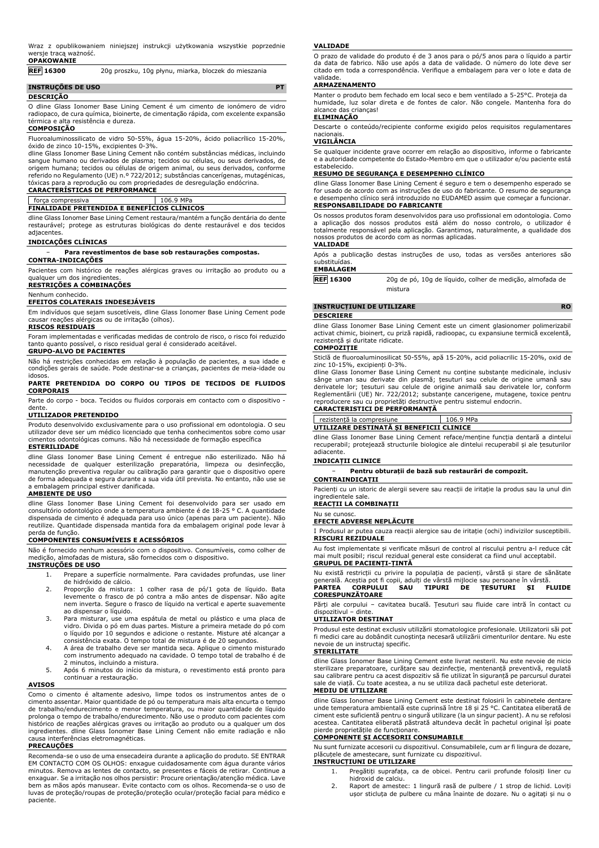## **OPAKOWANIE**

**REF 16300** 20g proszku, 10g płynu, miarka, bloczek do mieszania

| <b>INSTRUÇÕES DE USO</b> |  |
|--------------------------|--|
| <b>DESCRIÇÃO</b>         |  |

O dline Glass Ionomer Base Lining Cement é um cimento de ionómero de vidro radiopaco, de cura química, bioinerte, de cimentação rápida, com excelente expansão térmica e alta resistência e dureza.

## **COMPOSIÇÃO**

Fluoroaluminossilicato de vidro 50-55%, água 15-20%, ácido poliacrílico 15-20%, óxido de zinco 10-15%, excipientes 0-3%.

dline Glass Ionomer Base Lining Cement não contém substâncias médicas, incluindo sangue humano ou derivados de plasma; tecidos ou células, ou seus derivados, de origem humana; tecidos ou células de origem animal, ou seus derivados, conforme referido no Regulamento (UE) n.º 722/2012; substâncias cancerígenas, mutagénicas, tóxicas para a reprodução ou com propriedades de desregulação endócrina.

# **CARACTERÍSTICAS DE PERFORMANCE**

## força compressiva 106.9 MPa

**FINALIDADE PRETENDIDA E BENEFÍCIOS CLÍNICOS**

dline Glass Ionomer Base Lining Cement restaura/mantém a função dentária do dente restaurável; protege as estruturas biológicas do dente restaurável e dos tecidos adjacentes.

## **INDICAÇÕES CLÍNICAS**

− **Para revestimentos de base sob restaurações compostas.**

### **CONTRA-INDICAÇÕES**

Pacientes com histórico de reações alérgicas graves ou irritação ao produto ou a qualquer um dos ingredientes

## **RESTRIÇÕES A COMBINAÇÕES**

#### Nenhum conhecido. **EFEITOS COLATERAIS INDESEJÁVEIS**

Em indivíduos que sejam suscetíveis, dline Glass Ionomer Base Lining Cement pode causar reações alérgicas ou de irritação (olhos).

## **RISCOS RESIDUAIS**

Foram implementadas e verificadas medidas de controlo de risco, o risco foi reduzido tanto quanto possível, o risco residual geral é considerado aceitável. **GRUPO-ALVO DE PACIENTES**

Não há restrições conhecidas em relação à população de pacientes, a sua idade e condições gerais de saúde. Pode destinar-se a crianças, pacientes de meia-idade ou idosos.

## **PARTE PRETENDIDA DO CORPO OU TIPOS DE TECIDOS DE FLUIDOS CORPORAIS**

Parte do corpo - boca. Tecidos ou fluidos corporais em contacto com o dispositivo dente.

## **UTILIZADOR PRETENDIDO**

Produto desenvolvido exclusivamente para o uso profissional em odontologia. O seu utilizador deve ser um médico licenciado que tenha conhecimentos sobre como usar cimentos odontológicas comuns. Não há necessidade de formação específica

## **ESTERILIDADE**

dline Glass Ionomer Base Lining Cement é entregue não esterilizado. Não há necessidade de qualquer esterilização preparatória, limpeza ou desinfecção, manutenção preventiva regular ou calibração para garantir que o dispositivo opere de forma adequada e segura durante a sua vida útil prevista. No entanto, não use se a embalagem principal estiver danificada.

### **AMBIENTE DE USO**

dline Glass Ionomer Base Lining Cement foi desenvolvido para ser usado em consultório odontológico onde a temperatura ambiente é de 18-25 ° C. A quantidade dispensada de cimento é adequada para uso único (apenas para um paciente). Não reutilize. Quantidade dispensada mantida fora da embalagem original pode levar à perda de função.

#### **COMPONENTES CONSUMÍVEIS E ACESSÓRIOS**

Não é fornecido nenhum acessório com o dispositivo. Consumíveis, como colher de medição, almofadas de mistura, são fornecidos com o dispositivo.

## **INSTRUÇÕES DE USO**

- 1. Prepare a superfície normalmente. Para cavidades profundas, use liner de hidróxido de cálcio.
- 2. Proporção da mistura: 1 colher rasa de pó/1 gota de líquido. Bata levemente o frasco de pó contra a mão antes de dispensar. Não agite nem inverta. Segure o frasco de líquido na vertical e aperte suavemente ao dispensar o líquido.
- 3. Para misturar, use uma espátula de metal ou plástico e uma placa de vidro. Divida o pó em duas partes. Misture a primeira metade do pó com o líquido por 10 segundos e adicione o restante. Misture até alcançar a
- consistência exata. O tempo total de mistura é de 20 segundos. 4. A área de trabalho deve ser mantida seca. Aplique o cimento misturado com instrumento adequado na cavidade. O tempo total de trabalho é de
- 2 minutos, incluindo a mistura. 5. Após 6 minutos do início da mistura, o revestimento está pronto para continuar a restauração.

#### **AVISOS**

Como o cimento é altamente adesivo, limpe todos os instrumentos antes de o cimento assentar. Maior quantidade de pó ou temperatura mais alta encurta o tempo de trabalho/endurecimento e menor temperatura, ou maior quantidade de líquido prolonga o tempo de trabalho/endurecimento. Não use o produto com pacientes com histórico de reações alérgicas graves ou irritação ao produto ou a qualquer um dos ingredientes. dline Glass Ionomer Base Lining Cement não emite radiação e não causa interferências eletromagnéticas.

## **PRECAUÇÕES**

Recomenda-se o uso de uma ensecadeira durante a aplicação do produto. SE ENTRAR EM CONTACTO COM OS OLHOS: enxague cuidadosamente com água durante vários minutos. Remova as lentes de contacto, se presentes e fáceis de retirar. Continue a enxaguar. Se a irritação nos olhos persistir: Procure orientação/atenção médica. Lave bem as mãos após manusear. Evite contacto com os olhos. Recomenda-se o uso de luvas de proteção/roupas de proteção/proteção ocular/proteção facial para médico e paciente.

#### **VALIDADE**

O prazo de validade do produto é de 3 anos para o pó/5 anos para o líquido a partir da data de fabrico. Não use após a data de validade. O número do lote deve ser citado em toda a correspondência. Verifique a embalagem para ver o lote e data de validade.

## **ARMAZENAMENTO**

Manter o produto bem fechado em local seco e bem ventilado a 5-25°C. Proteja da humidade, luz solar direta e de fontes de calor. Não congele. Mantenha fora do alcance das crianças!

### **ELIMINAÇÃO**

Descarte o conteúdo/recipiente conforme exigido pelos requisitos regulamentares nacionais.

## **VIGILÂNCIA**

Se qualquer incidente grave ocorrer em relação ao dispositivo, informe o fabricante e a autoridade competente do Estado-Membro em que o utilizador e/ou paciente está estabelecido.

### **RESUMO DE SEGURANÇA E DESEMPENHO CLÍNICO**

dline Glass Ionomer Base Lining Cement é seguro e tem o desempenho esperado se for usado de acordo com as instruções de uso do fabricante. O resumo de segurança e desempenho clínico será introduzido no EUDAMED assim que começar a funcionar. **RESPONSABILIDADE DO FABRICANTE**

Os nossos produtos foram desenvolvidos para uso profissional em odontologia. Como a aplicação dos nossos produtos está além do nosso controlo, o utilizador é totalmente responsável pela aplicação. Garantimos, naturalmente, a qualidade dos nossos produtos de acordo com as normas aplicadas.

#### **VALIDADE**

Após a publicação destas instruções de uso, todas as versões anteriores são substituídas.

#### **EMBALAGEM**

**REF 16300** 20g de pó, 10g de líquido, colher de medição, almofada de mistura

# **INSTRUCȚIUNI DE UTILIZARE RO**

## **DESCRIERE**

dline Glass Ionomer Base Lining Cement este un ciment glasionomer polimerizabil activat chimic, bioinert, cu priză rapidă, radioopac, cu expansiune termică excelentă, rezistență și duritate ridicate. **COMPOZIȚIE**

Sticlă de fluoroaluminosilicat 50-55%, apă 15-20%, acid poliacrilic 15-20%, oxid de zinc 10-15%, excipienți 0-3%.

dline Glass Ionomer Base Lining Cement nu conține substanțe medicinale, inclusiv sânge uman sau derivate din plasmă; țesuturi sau celule de origine umană sau<br>derivatele lor; țesuturi sau celule de origine animală sau derivatele lor, conform<br>Reglementării (UE) Nr. 722/2012; substanțe cancerigene, mutage reproducere sau cu proprietăți destructive pentru sistemul endocrin. **CARACTERISTICI DE PERFORMANȚĂ**

#### rezistență la compresiune 106.9 MPa **UTILIZARE DESTINATĂ ȘI BENEFICII CLINICE**

dline Glass Ionomer Base Lining Cement reface/menține funcția dentară a dintelui recuperabil; protejează structurile biologice ale dintelui recuperabil și ale țesuturilor adiacente.

## **INDICAȚII CLINICE**

− **Pentru obturații de bază sub restaurări de compozit.**

**CONTRAINDICAȚII**

Pacienți cu un istoric de alergii severe sau reacții de iritație la produs sau la unul din ingredientele sale.

## **REACȚII LA COMBINAȚII**

#### Nu se cunoso **EFECTE ADVERSE NEPLĂCUTE**

Produsul ar putea cauza reacții alergice sau de iritație (ochi) indivizilor susceptibili. **RISCURI REZIDUALE**

Au fost implementate și verificate măsuri de control al riscului pentru a-l reduce cât mai mult posibil; riscul rezidual general este considerat ca fiind unul acceptabil.

#### **GRUPUL DE PACIENȚI-ȚINTĂ**

Nu există restricții cu privire la populația de pacienți, vârstă și stare de sănătate<br>generală. Aceștia pot fi copii, adulți de vârstă mijlocie sau persoane în vârstă.<br>**PARTEA - CORPULUI - SAU - TIPURI - DE - ȚESUTURI - ȘI CORESPUNZĂTOARE**

Părți ale corpului – cavitatea bucală. Țesuturi sau fluide care intră în contact cu dispozitivul – dinte.

## **UTILIZATOR DESTINAT**

Produsul este destinat exclusiv utilizării stomatologice profesionale. Utilizatorii săi pot fi medici care au dobândit cunoștința necesară utilizării cimenturilor dentare. Nu este nevoie de un instructaj specific.

## **STERILITATE**

dline Glass Ionomer Base Lining Cement este livrat nesteril. Nu este nevoie de nicio sterilizare preparatoare, curățare sau dezinfecție, mentenanță preventivă, regulată sau calibrare pentru ca acest dispozitiv să fie utilizat în siguranță pe parcursul duratei sale de viață. Cu toate acestea, a nu se utiliza dacă pachetul este deteriorat.

## **MEDIU DE UTILIZARE**

dline Glass Ionomer Base Lining Cement este destinat folosirii în cabinetele dentare unde temperatura ambientală este cuprinsă între 18 și 25 °C. Cantitatea eliberată de ciment este suficientă pentru o singură utilizare (la un singur pacient). A nu se refolosi acestea. Cantitatea eliberată păstrată altundeva decât în pachetul original își poate pierde proprietățile de funcționare. **COMPONENTE ȘI ACCESORII CONSUMABILE**

Nu sunt furnizate accesorii cu dispozitivul. Consumabilele, cum ar fi lingura de dozare, plăcuțele de amestecare, sunt furnizate cu dispozitivul.

### **INSTRUCȚIUNI DE UTILIZARE**

- 1. Pregătiți suprafața, ca de obicei. Pentru carii profunde folosiți liner cu
- hidroxid de calciu. 2. Raport de amestec: 1 lingură rasă de pulbere / 1 strop de lichid. Loviți ușor sticluța de pulbere cu mâna înainte de dozare. Nu o agitați și nu o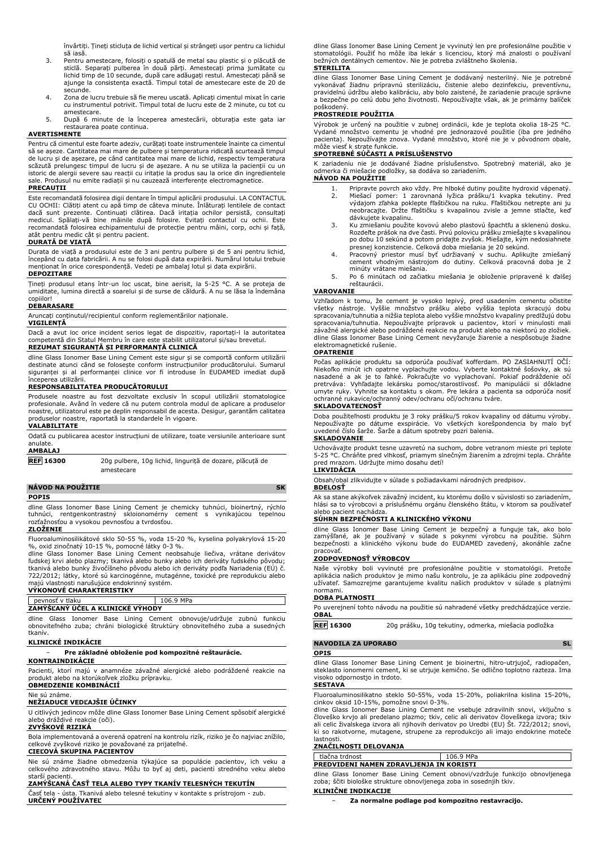învârtiți. Țineți sticluța de lichid vertical și strângeți ușor pentru ca lichidul să iasă.

- 3. Pentru amestecare, folosiți o spatulă de metal sau plastic și o plăcuță de sticlă. Separați pulberea în două părți. Amestecați prima jumătate cu lichid timp de 10 secunde, după care adăugați restul. Amestecați până se ajunge la consistența exactă. Timpul total de amestecare este de 20 de secunde.
- 4. Zona de lucru trebuie să fie mereu uscată. Aplicați cimentul mixat în carie cu instrumentul potrivit. Timpul total de lucru este de 2 minute, cu tot cu
- amestecare. 5. După 6 minute de la începerea amestecării, obturația este gata iar restaurarea poate continua.

## **AVERTISMENTE**

Pentru că cimentul este foarte adeziv, curățați toate instrumentele înainte ca cimentul să se așeze. Cantitatea mai mare de pulbere și temperatura ridicată scurtează timpul de lucru și de așezare, pe când cantitatea mai mare de lichid, respectiv temperatura scăzută prelungesc timpul de lucru și de așezare. A nu se utiliza la pacienții cu un istoric de alergii severe sau reacții cu iritație la produs sau la orice din ingredientele sale. Produsul nu emite radiații și nu cauzează interferențe electromagnetice.

#### **PRECAUȚII**

Este recomandată folosirea digii dentare în timpul aplicării produsului. LA CONTACTUL CU OCHII: Clătiți atent cu apă timp de câteva minute. Inlăturați lentilele de contact<br>dacă sunt prezente. Continuați clătirea. Dacă iritația ochilor persistă, consultați<br>medicul. Spălați-vă bine mâinile după folosire. Evit atât pentru medic cât și pentru pacient.

## **DURATĂ DE VIAȚĂ**

Durata de viață a produsului este de 3 ani pentru pulbere și de 5 ani pentru lichid, începând cu data fabricării. A nu se folosi după data expirării. Numărul lotului trebuie menționat în orice corespondență. Vedeți pe ambalaj lotul și data expirării.

## **DEPOZITARE**

Țineți produsul etanș într-un loc uscat, bine aerisit, la 5-25 °C. A se proteja de umiditate, lumina directă a soarelui și de surse de căldură. A nu se lăsa la îndemâna copiilor!

### **DEBARASARE**

Aruncați conținutul/recipientul conform reglementărilor naționale.

## **VIGILENȚĂ**

Dacă a avut loc orice incident serios legat de dispozitiv, raportați-l la autoritatea competentă din Statul Membru în care este stabilit utilizatorul și/sau brevetul. **REZUMAT SIGURANȚĂ ȘI PERFORMANȚĂ CLINICĂ**

dline Glass Ionomer Base Lining Cement este sigur și se comportă conform utilizării destinate atunci când se folosește conform instrucțiunilor producătorului. Sumarul siguranței și al performanței clinice vor fi introduse în EUDAMED imediat după începerea utilizării.

### **RESPONSABILITATEA PRODUCĂTORULUI**

Produsele noastre au fost dezvoltate exclusiv în scopul utilizării stomatologice profesionale. Având în vedere că nu putem controla modul de aplicare a produselor noastre, utilizatorul este pe deplin responsabil de acesta. Desigur, garantăm calitatea produselor noastre, raportată la standardele în vigoare.

## **VALABILITATE**

| anulate.<br><b>AMBALAJ</b> | Odată cu publicarea acestor instructiuni de utilizare, toate versiunile anterioare sunt |
|----------------------------|-----------------------------------------------------------------------------------------|
| <b>REF</b> 16300           | 20g pulbere, 10g lichid, lingurită de dozare, plăcută de<br>amestecare                  |

**NÁVOD NA POUŽITIE SK**

## **POPIS**

dline Glass Ionomer Base Lining Cement je chemicky tuhnúci, bioinertný, rýchlo<br>tuhnúci, rentgenkontrastný skloionomérny cement s vynikajúcou tepelnou<br>rozťažnosťou a vysokou pevnosťou a tvrdosťou.

## **ZLOŽENIE**

Fluoroaluminosilikátové sklo 50-55 %, voda 15-20 %, kyselina polyakrylová 15-20

%, oxid zinočnatý 10-15 %, pomocné látky 0-3 %.<br>dline Glass Ionomer Base Lining Cement neobsahuje liečiva, vrátane derivátov<br>ľudskej krvi alebo plazmy; tkanivá alebo bunky alebo ich deriváty ľudského pôvodu;<br>tkani 722/2012; látky, ktoré sú karcinogénne, mutagénne, toxické pre reprodukciu alebo majú vlastnosti narušujúce endokrinný systém.

## **VÝKONOVÉ CHARAKTERISTIKY**

### pevnosť v tlaku 106.9 MPa **ZAMÝŠĽANÝ ÚČEL A KLINICKÉ VÝHODY**

dline Glass Ionomer Base Lining Cement obnovuje/udržuje zubnú funkciu obnoviteľného zuba; chráni biologické štruktúry obnoviteľného zuba a susedných tkanív.

## **KLINICKÉ INDIKÁCIE**

## − **Pre základné obloženie pod kompozitné reštaurácie.**

**KONTRAINDIKÁCIE** Pacienti, ktorí majú v anamnéze závažné alergické alebo podráždené reakcie na produkt alebo na ktorúkoľvek zložku prípravku.

## **OBMEDZENIE KOMBINÁCIÍ**

## Nie sú známe.

**NEŽIADUCE VEDĽAJŠIE ÚČINKY** U citlivých jedincov môže dline Glass Ionomer Base Lining Cement spôsobiť alergické alebo dráždivé reakcie (oči).

## **ZVYŠKOVÉ RIZIKÁ**

Bola implementovaná a overená opatrení na kontrolu rizík, riziko je čo najviac znížilo, celkové zvyškové riziko je považované za prijateľné.

## **CIEĽOVÁ SKUPINA PACIENTOV**

Nie sú známe žiadne obmedzenia týkajúce sa populácie pacientov, ich veku a celkového zdravotného stavu. Môžu to byť aj deti, pacienti stredného veku alebo starší pacienti.

# **ZAMÝŠĽANÁ ČASŤ TELA ALEBO TYPY TKANÍV TELESNÝCH TEKUTÍN**

Časť tela - ústa. Tkanivá alebo telesné tekutiny v kontakte s prístrojom - zub. **URČENÝ POUŽÍVATEĽ**

dline Glass Ionomer Base Lining Cement je vyvinutý len pre profesionálne použitie v stomatológii. Použiť ho môže iba lekár s licenciou, ktorý má znalosti o používaní bežných dentálnych cementov. Nie je potreba zvláštneho školenia.

## **STERILITA**

dline Glass Ionomer Base Lining Cement je dodávaný nesterilný. Nie je potrebné vykonávať žiadnu prípravnú sterilizáciu, čistenie alebo dezinfekciu, preventívnu, pravidelnú údržbu alebo kalibráciu, aby bolo zaistené, že zariadenie pracuje správne a bezpečne po celú dobu jeho životnosti. Nepoužívajte však, ak je primárny balíček poškodený.

## **PROSTREDIE POUŽITIA**

Výrobok je určený na použitie v zubnej ordinácii, kde je teplota okolia 18-25 °C. Vydané množstvo cementu je vhodné pre jednorazové použitie (iba pre jedného pacienta). Nepoužívajte znova. Vydané množstvo, ktoré nie je v pôvodnom obale, môže viesť k strate funkcie.

## **SPOTREBNÉ SÚČASTI A PRÍSLUŠENSTVO**

K zariadeniu nie je dodávané žiadne príslušenstvo. Spotrebný materiál, ako je odmerka či miešacie podložky, sa dodáva so zariadením.

## **NÁVOD NA POUŽITIE**

- 1. Pripravte povrch ako vždy. Pre hlboké dutiny použite hydroxid vápenatý. 2. Miešací pomer: 1 zarovnaná lyžica prášku/1 kvapka tekutiny. Pred výdajom zľahka poklepte fľaštičkou na ruku. Fľaštičkou netrepte ani ju neobracajte. Držte fľaštičku s kvapalinou zvisle a jemne stlačte, keď dávkujete kvapalinu.
- 3. Ku zmiešaniu použite kovovú alebo plastovú špachtľu a sklenenú dosku. Rozdeľte prášok na dve časti. Prvú polovicu prášku zmiešajte s kvapalinou<br>po dobu 10 sekúnd a potom pridajte zvyšok. Miešajte, kým nedosiahnete<br>presnej konzistencie. Celková doba miešania je 20 sekúnd.
- 4. Pracovný priestor musí byť udržiavaný v suchu. Aplikujte zmiešaný cement vhodným nástrojom do dutiny. Celková pracovná doba je 2 minúty vrátane miešania.
- 5. Po 6 minútach od začiatku miešania je obloženie pripravené k ďalšej reštaurácii.

#### **VAROVANIE**

Vzhľadom k tomu, že cement je vysoko lepivý, pred usadením cementu očistite všetky nástroje. Vyššie množstvo prášku alebo vyššia teplota skracujú dobu spracovania/tuhnutia a nižšia teplota alebo vyššie množstvo kvapaliny predlžujú dobu spracovania/tuhnutia. Nepoužívajte prípravok u pacientov, ktorí v minulosti mali závažné alergické alebo podráždené reakcie na produkt alebo na niektorú zo zložiek. dline Glass Ionomer Base Lining Cement nevyžaruje žiarenie a nespôsobuje žiadne elektromagnetické rušenie.

### **OPATRENIE**

Počas aplikácie produktu sa odporúča používať kofferdam. PO ZASIAHNUTÍ OČÍ: Niekoľko minút ich opatrne vyplachujte vodou. Vyberte kontaktné šošovky, ak sú nasadené a ak je to ľahké. Pokračujte vo vyplachovaní. Pokiaľ podráždenie očí pretrváva: Vyhľadajte lekársku pomoc/starostlivosť. Po manipulácii si dôkladne umyte ruky. Vyhnite sa kontaktu s okom. Pre lekára a pacienta sa odporúča nosiť ochranné rukavice/ochranný odev/ochranu očí/ochranu tváre.

## **SKLADOVATEĽNOSŤ**

Doba použiteľnosti produktu je 3 roky prášku/5 rokov kvapaliny od dátumu výroby. Nepoužívajte po dátume exspirácie. Vo všetkých korešpondencia by malo byť uvedené číslo šarže. Šarže a dátum spotreby pozri balenia. **SKLADOVANIE**

Uchovávajte produkt tesne uzavretú na suchom, dobre vetranom mieste pri teplote 5-25 °C. Chráňte pred vlhkosť, priamym slnečným žiarením a zdrojmi tepla. Chráňte pred mrazom. Udržujte mimo dosahu detí!

## **LIKVIDÁCIA**

Obsah/obal zlikvidujte v súlade s požiadavkami národných predpisov. **BDELOSŤ**

Ak sa stane akýkoľvek závažný incident, ku ktorému došlo v súvislosti so zariadením, hlási sa to výrobcovi a príslušnému orgánu členského štátu, v ktorom sa používateľ alebo pacient nachádza.

#### **SÚHRN BEZPEČNOSTI A KLINICKÉHO VÝKONU**

dline Glass Ionomer Base Lining Cement je bezpečný a funguje tak, ako bolo<br>zamýšľané, ak je používaný v súlade s pokynmi výrobcu na použitie. Súhrn<br>bezpečnosti a klinického výkonu bude do EUDAMED zavedený, akonáhle začne pracovať.

### **ZODPOVEDNOSŤ VÝROBCOV**

Naše výrobky boli vyvinuté pre profesionálne použitie v stomatológii. Pretože aplikácia našich produktov je mimo našu kontrolu, je za aplikáciu plne zodpovedný užívateľ. Samozrejme garantujeme kvalitu našich produktov v súlade s platnými normami.

#### **DOBA PLATNOSTI**

Po uverejnení tohto návodu na použitie sú nahradené všetky predchádzajúce verzie. **OBAL**

**REF 16300** 20g prášku, 10g tekutiny, odmerka, miešacia podložka

### **OPIS**

dline Glass Ionomer Base Lining Cement je bioinertni, hitro-utrjujoč, radiopačen, steklasto ionomerni cement, ki se utrjuje kemično. Se odlično toplotno razteza. Ima visoko odpornostjo in trdoto.

## **SESTAVA**

Fluoroaluminosilikatno steklo 50-55%, voda 15-20%, poliakrilna kislina 15-20%,<br>cinkov oksid 10-15%, pomožne snovi 0-3%.<br>dline Glass Ionomer Base Lining Cement ne vsebuje zdravilnih snovi, vključno s

človeško krvjo ali predelano plazmo; tkiv, celic ali derivatov človeškega izvora; tkiv ali celic živalskega izvora ali njihovih derivatov po Uredbi (EU) Št. 722/2012; snovi, ki so rakotvorne, mutagene, strupene za reprodukcijo ali imajo endokrine moteče lastnosti.

## **ZNAČILNOSTI DELOVANJA**

tlačna trdnost 106.9 MPa **PREDVIDENI NAMEN ZDRAVLJENJA IN KORISTI**

dline Glass Ionomer Base Lining Cement obnovi/vzdržuje funkcijo obnovljenega zoba; ščiti biološke strukture obnovljenega zoba in sosednjih tkiv.

## **KLINIČNE INDIKACIJE**

− **Za normalne podlage pod kompozitno restavracijo.**

**NAVODILA ZA UPORABO** SL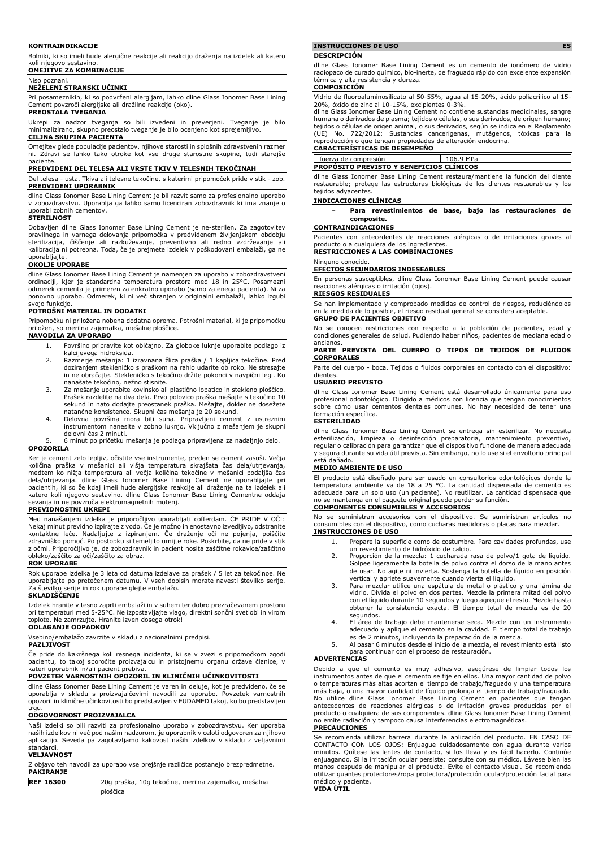#### **KONTRAINDIKACIJE**

Bolniki, ki so imeli hude alergične reakcije ali reakcijo draženja na izdelek ali katero koli njegovo sestavino. **OMEJITVE ZA KOMBINACIJE**

#### Niso poznani. **NEŽELENI STRANSKI UČINKI**

Pri posameznikih, ki so podvrženi alergijam, lahko dline Glass Ionomer Base Lining Cement povzroči alergijske ali dražilne reakcije (oko).

## **PREOSTALA TVEGANJA**

Ukrepi za nadzor tveganja so bili izvedeni in preverjeni. Tveganje je bilo minimalizirano, skupno preostalo tveganje je bilo ocenjeno kot sprejemljivo. **CILJNA SKUPINA PACIENTA**

Omejitev glede populacije pacientov, njihove starosti in splošnih zdravstvenih razmer ni. Zdravi se lahko tako otroke kot vse druge starostne skupine, tudi starejše paciente.

#### **PREDVIDENI DEL TELESA ALI VRSTE TKIV V TELESNIH TEKOČINAH**

Del telesa - usta. Tkiva ali telesne tekočine, s katerimi pripomoček pride v stik - zob. **PREDVIDENI UPORABNIK**

dline Glass Ionomer Base Lining Cement je bil razvit samo za profesionalno uporabo v zobozdravstvu. Uporablja ga lahko samo licenciran zobozdravnik ki ima znanje o uporabi zobnih cementov.

#### **STERILNOST**

Dobavljen dline Glass Ionomer Base Lining Cement je ne-sterilen. Za zagotovitev pravilnega in varnega delovanja pripomočka v predvidenem življenjskem obdobju sterilizacija, čiščenje ali razkuževanje, preventivno ali redno vzdrževanje ali kalibracija ni potrebna. Toda, če je prejmete izdelek v poškodovani embalaži, ga ne uporabljajte.

#### **OKOLJE UPORABE**

dline Glass Ionomer Base Lining Cement je namenjen za uporabo v zobozdravstveni ordinaciji, kjer je standardna temperatura prostora med 18 in 25°C. Posamezni odmerek cementa je primeren za enkratno uporabo (samo za enega pacienta). Ni za ponovno uporabo. Odmerek, ki ni več shranjen v originalni embalaži, lahko izgubi svojo funkcijo.

## **POTROŠNI MATERIAL IN DODATKI**

Pripomočku ni priložena nobena dodatna oprema. Potrošni material, ki je pripomočku priložen, so merilna zajemalka, mešalne ploščice. **NAVODILA ZA UPORABO**

- 1. Površino pripravite kot običajno. Za globoke luknje uporabite podlago iz kalcijevega hidroksida.
- 2. Razmerje mešanja: 1 izravnana žlica praška / 1 kapljica tekočine. Pred doziranjem stekleničko s praškom na rahlo udarite ob roko. Ne stresajte in ne obračajte. Stekleničko s tekočino držite pokonci v navpični legi. Ko nanašate tekočino, nežno stisnite.
- 3. Za mešanje uporabite kovinsko ali plastično lopatico in stekleno ploščico. Prašek razdelite na dva dela. Prvo polovico praška mešajte s tekočino 10 sekund in nato dodajte preostanek praška. Mešajte, dokler ne dosežete
- natančne konsistence. Skupni čas mešanja je 20 sekund. 4. Delovna površina mora biti suha. Pripravljeni cement z ustreznim instrumentom nanesite v zobno luknjo. Vključno z mešanjem je skupni delovni čas 2 minuti.

5. 6 minut po pričetku mešanja je podlaga pripravljena za nadaljnjo delo. **OPOZORILA**

Ker je cement zelo lepljiv, očistite vse instrumente, preden se cement zasuši. Večja količina praška v mešanici ali višja temperatura skrajšata čas dela/utrjevanja, medtem ko nižja temperatura ali večja količina tekočine v mešanici podaljša čas dela/utrjevanja. dline Glass Ionomer Base Lining Cement ne uporabljajte pri pacientih, ki so že kdaj imeli hude alergijske reakcije ali draženje na ta izdelek ali katero koli njegovo sestavino. dline Glass Ionomer Base Lining Cementne oddaja sevanja in ne povzroča elektromagnetnih motenj.

## **PREVIDNOSTNI UKREPI**

Med nanašanjem izdelka je priporočljivo uporabljati cofferdam. ČE PRIDE V OČI: Nekaj minut previdno izpirajte z vodo. Če je možno in enostavno izvedljivo, odstranite kontaktne leče. Nadaljujte z izpiranjem. Če draženje oči ne pojenja, poiščite zdravniško pomoč. Po postopku si temeljito umijte roke. Poskrbite, da ne pride v stik z očmi. Priporočljivo je, da zobozdravnik in pacient nosita zaščitne rokavice/zaščitno obleko/zaščito za oči/zaščito za obraz.

#### **ROK UPORABE**

Rok uporabe izdelka je 3 leta od datuma izdelave za prašek / 5 let za tekočinoe. Ne uporabljajte po pretečenem datumu. V vseh dopisih morate navesti številko serije. Za številko serije in rok uporabe glejte embalažo.

## **SKLADIŠČENJE**

Izdelek hranite v tesno zaprti embalaži in v suhem ter dobro prezračevanem prostoru pri temperaturi med 5-25°C. Ne izpostavljajte vlago, direktni sončni svetlobi in virom toplote. Ne zamrzujte. Hranite izven dosega otrok!

### **ODLAGANJE ODPADKOV**

Vsebino/embalažo zavrzite v skladu z nacionalnimi predpisi.

### **PAZLJIVOST**

Če pride do kakršnega koli resnega incidenta, ki se v zvezi s pripomočkom zgodi pacientu, to takoj sporočite proizvajalcu in pristojnemu organu države članice, v kateri uporabnik in/ali pacient prebiva.

## **POVZETEK VARNOSTNIH OPOZORIL IN KLINIČNIH UČINKOVITOSTI**

dline Glass Ionomer Base Lining Cement je varen in deluje, kot je predvideno, če se uporablja v skladu s proizvajalčevimi navodili za uporabo. Povzetek varnostnih opozoril in klinične učinkovitosti bo predstavljen v EUDAMED takoj, ko bo predstavljen trgu.

## **ODGOVORNOST PROIZVAJALCA**

Naši izdelki so bili razviti za profesionalno uporabo v zobozdravstvu. Ker uporaba naših izdelkov ni več pod našim nadzorom, je uporabnik v celoti odgovoren za njihovo aplikacijo. Seveda pa zagotavljamo kakovost naših izdelkov v skladu z veljavnimi standardi.

#### **VELJAVNOST**

| Z objavo teh navodil za uporabo vse prejšnje različice postanejo brezpredmetne. |  |
|---------------------------------------------------------------------------------|--|
| <b>PAKIRANJE</b>                                                                |  |
|                                                                                 |  |

**REF 16300** 20g praška, 10g tekočine, merilna zajemalka, mešalna ploščica

## **INSTRUCCIONES DE USO ES**

#### **DESCRIPCIÓN**

dline Glass Ionomer Base Lining Cement es un cemento de ionómero de vidrio radiopaco de curado químico, bio-inerte, de fraguado rápido con excelente expansión térmica y alta resistencia y dureza.

#### **COMPOSICIÓN**

Vidrio de fluoroaluminosilicato al 50-55%, agua al 15-20%, ácido poliacrílico al 15- 20%, óxido de zinc al 10-15%, excipientes 0-3%.

dline Glass Ionomer Base Lining Cement no contiene sustancias medicinales, sangre humana o derivados de plasma; tejidos o células, o sus derivados, de origen humano; tejidos o células de origen animal, o sus derivados, según se indica en el Reglamento (UE) No. 722/2012; Sustancias cancerígenas, mutágenos, tóxicas para la reproducción o que tengan propiedades de alteración endocrina.

## **CARACTERÍSTICAS DE DESEMPEÑO**

fuerza de compresión 106.9 MPa **PROPÓSITO PREVISTO Y BENEFICIOS CLÍNICOS**

dline Glass Ionomer Base Lining Cement restaura/mantiene la función del diente restaurable; protege las estructuras biológicas de los dientes restaurables y los tejidos adyacentes.

### **INDICACIONES CLÍNICAS**

− **Para revestimientos de base, bajo las restauraciones de composite.**

#### **CONTRAINDICACIONES**

Pacientes con antecedentes de reacciones alérgicas o de irritaciones graves al producto o a cualquiera de los ingredientes

## **RESTRICCIONES A LAS COMBINACIONES** Ninguno conocido.

## **EFECTOS SECUNDARIOS INDESEABLES**

En personas susceptibles, dline Glass Ionomer Base Lining Cement puede causar reacciones alérgicas o irritación (ojos).

## **RIESGOS RESIDUALES**

Se han implementado y comprobado medidas de control de riesgos, reduciéndolos en la medida de lo posible, el riesgo residual general se considera aceptable.

## **GRUPO DE PACIENTES OBJETIVO**

No se conocen restricciones con respecto a la población de pacientes, edad y condiciones generales de salud. Pudiendo haber niños, pacientes de mediana edad o ancianos.

## **PARTE PREVISTA DEL CUERPO O TIPOS DE TEJIDOS DE FLUIDOS CORPORALES**

Parte del cuerpo - boca. Tejidos o fluidos corporales en contacto con el dispositivo: dientes.

## **USUARIO PREVISTO**

dline Glass Ionomer Base Lining Cement está desarrollado únicamente para uso profesional odontológico. Dirigido a médicos con licencia que tengan conocimientos sobre cómo usar cementos dentales comunes. No hay necesidad de tener una formación específica.

## **ESTERILIDAD**

dline Glass Ionomer Base Lining Cement se entrega sin esterilizar. No necesita esterilización, limpieza o desinfección preparatoria, mantenimiento preventivo, regular o calibración para garantizar que el dispositivo funcione de manera adecuada y segura durante su vida útil prevista. Sin embargo, no lo use si el envoltorio principal está dañado.

## **MEDIO AMBIENTE DE USO**

El producto está diseñado para ser usado en consultorios odontológicos donde la temperatura ambiente va de 18 a 25 °C. La cantidad dispensada de cemento es adecuada para un solo uso (un paciente). No reutilizar. La cantidad dispensada que no se mantenga en el paquete original puede perder su función.

### **COMPONENTES CONSUMIBLES Y ACCESORIOS**

No se suministran accesorios con el dispositivo. Se suministran artículos no consumibles con el dispositivo, como cucharas medidoras o placas para mezclar. **INSTRUCCIONES DE USO**

- 1. Prepare la superficie como de costumbre. Para cavidades profundas, use un revestimiento de hidróxido de calcio.
- 2. Proporción de la mezcla: 1 cucharada rasa de polvo/1 gota de líquido. Golpee ligeramente la botella de polvo contra el dorso de la mano antes de usar. No agite ni invierta. Sostenga la botella de líquido en posición
- vertical y apriete suavemente cuando vierta el líquido. 3. Para mezclar utilice una espátula de metal o plástico y una lámina de vidrio. Divida el polvo en dos partes. Mezcle la primera mitad del polvo con el líquido durante 10 segundos y luego agregue el resto. Mezcle hasta obtener la consistencia exacta. El tiempo total de mezcla es de 20 segundos.
- 4. El área de trabajo debe mantenerse seca. Mezcle con un instrumento adecuado y aplique el cemento en la cavidad. El tiempo total de trabajo es de 2 minutos, incluyendo la preparación de la mezcla.
- 5. Al pasar 6 minutos desde el inicio de la mezcla, el revestimiento está listo para continuar con el proceso de restauración.

## **ADVERTENCIAS**

Debido a que el cemento es muy adhesivo, asegúrese de limpiar todos los instrumentos antes de que el cemento se fije en ellos. Una mayor cantidad de polvo o temperaturas más altas acortan el tiempo de trabajo/fraguado y una temperatura más baja, o una mayor cantidad de líquido prolonga el tiempo de trabajo/fraguado. No utilice dline Glass Ionomer Base Lining Cement en pacientes que tengan<br>antecedentes de reacciones alérgicas o de irritación graves producidas por el<br>producto-o-cualquiera-de-sus-componentes. dline-Glass-Ionomer-Base-Lin no emite radiación y tampoco causa interferencias electromagnéticas.

### **PRECAUCIONES**

Se recomienda utilizar barrera durante la aplicación del producto. EN CASO DE CONTACTO CON LOS OJOS: Enjuague cuidadosamente con agua durante varios minutos. Quítese las lentes de contacto, si los lleva y es fácil hacerlo. Continúe enjuagando. Si la irritación ocular persiste: consulte con su médico. Lávese bien las manos después de manipular el producto. Evite el contacto visual. Se recomienda utilizar guantes protectores/ropa protectora/protección ocular/protección facial para médico y paciente. **VIDA ÚTIL**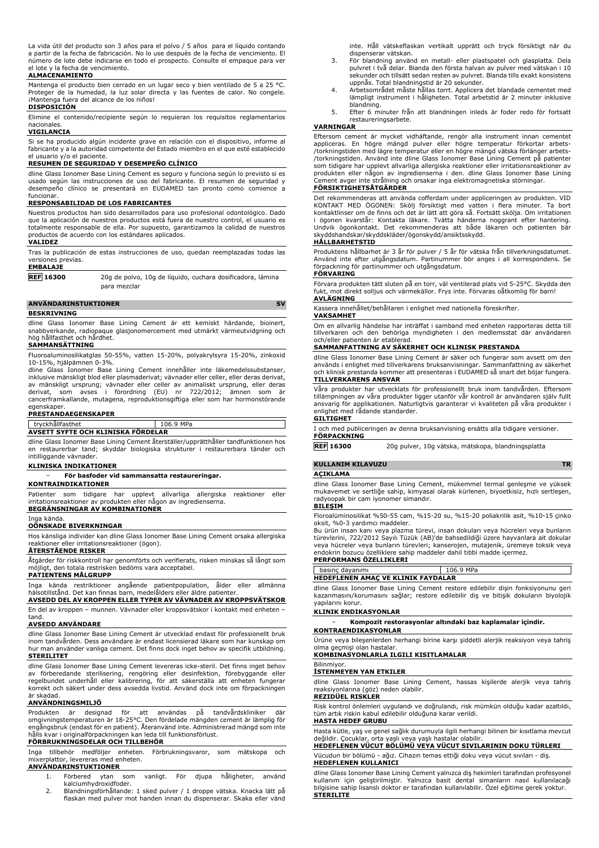La vida útil del producto son 3 años para el polvo / 5 años para el líquido contando a partir de la fecha de fabricación. No lo use después de la fecha de vencimiento. El número de lote debe indicarse en todo el prospecto. Consulte el empaque para ver el lote y la fecha de vencimiento.

## **ALMACENAMIENTO**

Mantenga el producto bien cerrado en un lugar seco y bien ventilado de 5 a 25 °C. Proteger de la humedad, la luz solar directa y las fuentes de calor. No congele. iMantenga fuera del alcance de los niños! **DISPOSICIÓN**

Elimine el contenido/recipiente según lo requieran los requisitos reglamentarios nacionales.

#### **VIGILANCIA**

Si se ha producido algún incidente grave en relación con el dispositivo, informe al fabricante y a la autoridad competente del Estado miembro en el que esté establecido el usuario y/o el paciente.

### **RESUMEN DE SEGURIDAD Y DESEMPEÑO CLÍNICO**

dline Glass Ionomer Base Lining Cement es seguro y funciona según lo previsto si es usado según las instrucciones de uso del fabricante. El resumen de seguridad y desempeño clínico se presentará en EUDAMED tan pronto como comience a funcionar.

## **RESPONSABILIDAD DE LOS FABRICANTES**

Nuestros productos han sido desarrollados para uso profesional odontológico. Dado que la aplicación de nuestros productos está fuera de nuestro control, el usuario es totalmente responsable de ella. Por supuesto, garantizamos la calidad de nuestros productos de acuerdo con los estándares aplicados.

#### **VALIDEZ**

Tras la publicación de estas instrucciones de uso, quedan reemplazadas todas las versiones previas.

## **EMBALAJE**

**REF 16300** 20g de polvo, 10g de líquido, cuchara dosificadora, lámina para mezclar

## **ANVÄNDARINSTUKTIONER** SV

#### **BESKRIVNING**

dline Glass Ionomer Base Lining Cement är ett kemiskt härdande, bioinert, snabbverkande, radiopaque glasjonomercement med utmärkt värmeutvidgning och hög hållfasthet och hårdhet. **SAMMANSÄTTNING**

Fluoroaluminosilikatglas 50-55%, vatten 15-20%, polyakrylsyra 15-20%, zinkoxid 10-15%, hjälpämnen 0-3%.

dline Glass Ionomer Base Lining Cement innehåller inte läkemedelssubstanser, inklusive mänskligt blod eller plasmaderivat; vävnader eller celler, eller deras derivat, av mänskligt ursprung; vävnader eller celler av animaliskt ursprung, eller deras derivat, som avses i förordning (EU) nr 722/2012; ämnen som är cancerframkallande, mutagena, reproduktionsgiftiga eller som har hormonstörande egenskaper

## **PRESTANDAEGENSKAPER**

## tryckhållfasthet 106.9 MPa **AVSETT SYFTE OCH KLINISKA FÖRDELAR**

dline Glass Ionomer Base Lining Cement återställer/upprätthåller tandfunktionen hos en restaurerbar tand; skyddar biologiska strukturer i restaurerbara tänder och intilliggande vävnader.

### **KLINISKA INDIKATIONER**

### − **För basfoder vid sammansatta restaureringar.**

**KONTRAINDIKATIONER**

Patienter som tidigare har upplevt allvarliga allergiska reaktioner eller irritationsreaktioner av produkten eller någon av ingredienserna. **BEGRÄNSNINGAR AV KOMBINATIONER**

#### Inga kända. **OÖNSKADE BIVERKNINGAR**

Hos känsliga individer kan dline Glass Ionomer Base Lining Cement orsaka allergiska reaktioner eller irritationsreaktioner (ögon).

## **ÅTERSTÅENDE RISKER**

Åtgärder för riskkontroll har genomförts och verifierats, risken minskas så långt som möjligt, den totala restrisken bedöms vara acceptabel. **PATIENTENS MÅLGRUPP**

Inga kända restriktioner angående patientpopulation, ålder eller allmänna hälsotillstånd. Det kan finnas barn, medelålders eller äldre patienter. **AVSEDD DEL AV KROPPEN ELLER TYPER AV VÄVNADER AV KROPPSVÄTSKOR**

En del av kroppen – munnen. Vävnader eller kroppsvätskor i kontakt med enheten – tand.

### **AVSEDD ANVÄNDARE**

dline Glass Ionomer Base Lining Cement är utvecklad endast för professionellt bruk inom tandvården. Dess användare är endast licensierad läkare som har kunskap om hur man använder vanliga cement. Det finns dock inget behov av specifik utbildning. **STERILITET**

dline Glass Ionomer Base Lining Cement levereras icke-steril. Det finns inget behov av förberedande sterilisering, rengöring eller desinfektion, förebyggande eller regelbundet underhåll eller kalibrering, för att säkerställa att enheten fungerar korrekt och säkert under dess avsedda livstid. Använd dock inte om förpackningen är skadad.

## **ANVÄNDNINGSMILJÖ**

Produkten är designad för att användas på tandvårdskliniker där omgivningstemperaturen är 18-25°C. Den fördelade mängden cement är lämplig för engångsbruk (endast för en patient). Återanvänd inte. Administrerad mängd som inte hålls kvar i originalförpackningen kan leda till funktionsförlust. **FÖRBRUKNINGSDELAR OCH TILLBEHÖR**

Inga tillbehör medföljer enheten. Förbrukningsvaror, som mätskopa och mixerplattor, levereras med enheten. **ANVÄNDARINSTUKTIONER**

- 1. Förbered ytan som vanligt. För djupa håligheter, använd kalciumhydroxidfoder.
- 2. Blandningsförhållande: 1 sked pulver / 1 droppe vätska. Knacka lätt på flaskan med pulver mot handen innan du dispenserar. Skaka eller vänd

inte. Håll vätskeflaskan vertikalt upprätt och tryck försiktigt när du dispenserar vätskan.

- 3. För blandning använd en metall- eller plastspatel och glasplatta. Dela pulvret i två delar. Blanda den första halvan av pulver med vätskan i 10 sekunder och tillsätt sedan resten av pulvret. Blanda tills exakt konsistens uppnås. Total blandningstid är 20 sekunder.
- 4. Arbetsområdet måste hållas torrt. Applicera det blandade cementet med lämpligt instrument i håligheten. Total arbetstid är 2 minuter inklusive blandning.
- 5. Efter 6 minuter från att blandningen inleds är foder redo för fortsatt restaureringsarbete.

## **VARNINGAR**

Eftersom cement är mycket vidhäftande, rengör alla instrument innan cementet<br>appliceras. En högre mängd pulver eller högre temperatur förkortar arbets-<br>/torkningstiden med lägre-temperatur-eller-en-högre-mängd-vätska-förlä /torkningstiden. Använd inte dline Glass Ionomer Base Lining Cement på patienter som tidigare har upplevt allvarliga allergiska reaktioner eller irritationsreaktioner av produkten eller någon av ingredienserna i den. dline Glass Ionomer Base Lining Cement avger inte strålning och orsakar inga elektromagnetiska störningar.

### **FÖRSIKTIGHETSÅTGÄRDER**

Det rekommenderas att använda cofferdam under appliceringen av produkten. VID KONTAKT MED OGONEN: Skölj försiktigt med vatten i flera minuter. Ta bort<br>kontaktlinser om de finns och det är lätt att göra så. Fortsätt skölja. Om irritationen<br>i ögonen kvarstår: Kontakta läkare. Tvätta händerna noggrant skyddshandskar/skyddskläder/ögonskydd/ansiktsskydd.

#### **HÅLLBARHETSTID**

Produktens hållbarhet är 3 år för pulver / 5 år för vätska från tillverkningsdatumet. Använd inte efter utgångsdatum. Partinummer bör anges i all korrespondens. Se förpackning för partinummer och utgångsdatum.

## **FÖRVARING**

Förvara produkten tätt sluten på en torr, väl ventilerad plats vid 5-25°C. Skydda den fukt, mot direkt solljus och värmekällor. Frys inte. Förvaras oåtkomlig för barn! **AVLÄGNING**

Kassera innehållet/behållaren i enlighet med nationella föreskrifter.

#### **VAKSAMHET**

Om en allvarlig händelse har inträffat i samband med enheten rapporteras detta till tillverkaren och den behöriga myndigheten i den medlemsstat där användaren och/eller patienten är etablerad.

## **SAMMANFATTNING AV SÄKERHET OCH KLINISK PRESTANDA**

dline Glass Ionomer Base Lining Cement är säker och fungerar som avsett om den används i enlighet med tillverkarens bruksanvisningar. Sammanfattning av säkerhet och klinisk prestanda kommer att presenteras i EUDAMED så snart det böjar fungera. **TILLVERKARENS ANSVAR**

Våra produkter har utvecklats för professionellt bruk inom tandvården. Eftersom tillämpningen av våra produkter ligger utanför vår kontroll är användaren själv fullt ansvarig för applikationen. Naturligtvis garanterar vi kvaliteten på våra produkter i enlighet med rådande standarder. **GILTIGHET**

I och med publiceringen av denna bruksanvisning ersätts alla tidigare versioner. **FÖRPACKNING**

**REF 16300** 20g pulver, 10g vätska, mätskopa, blandningsplatta

## **KULLANIM KILAVUZU TR**

#### **AÇIKLAMA**

dline Glass Ionomer Base Lining Cement, mükemmel termal genleşme ve yüksek mukavemet ve sertliğe sahip, kimyasal olarak kürlenen, biyoetkisiz, hızlı sertleşen, radyoopak bir cam iyonomer simandır. **BILEŞIM**

#### Floroalüminosilikat %50-55 cam, %15-20 su, %15-20 poliakrilik asit, %10-15 çinko oksit, %0-3 yardımcı maddeler.

Bu ürün insan kanı veya plazma türevi, insan dokuları veya hücreleri veya bunların türevlerini, 722/2012 Sayılı Tüzük (AB)'de bahsedildiği üzere hayvanlara ait dokular veya hücreler veya bunların türevleri; kanserojen, mutajenik, üremeye toksik veya endokrin bozucu özelliklere sahip maddeler dahil tıbbi madde içermez.

# **PERFORMANS ÖZELLIKLERI**

| basınç dayanımı                           | 106.9 MPa |  |  |  |  |
|-------------------------------------------|-----------|--|--|--|--|
| <b>HEDEFLENEN AMAC VE KLINIK FAYDALAR</b> |           |  |  |  |  |

dline Glass Ionomer Base Lining Cement restore edilebilir dişin fonksiyonunu geri kazanmasını/korumasını sağlar; restore edilebilir diş ve bitişik dokuların biyolojik yapılarını korur.

## **KLINIK ENDIKASYONLAR**

− **Kompozit restorasyonlar altındaki baz kaplamalar içindir. KONTRAENDIKASYONLAR**

Ürüne veya bileşenlerden herhangi birine karşı şiddetli alerjik reaksiyon veya tahriş olma geçmişi olan hastalar.

## **KOMBINASYONLARLA ILGILI KISITLAMALAR**

### Bilinmiyor. **İSTENMEYEN YAN ETKILER**

dline Glass Ionomer Base Lining Cement, hassas kişilerde alerjik veya tahriş reaksiyonlarına (göz) neden olabilir. **REZIDÜEL RISKLER**

Risk kontrol önlemleri uygulandı ve doğrulandı, risk mümkün olduğu kadar azaltıldı, tüm artık riskin kabul edilebilir olduğuna karar verildi.

## **HASTA HEDEF GRUBU**

Hasta kütle, yaş ve genel sağlık durumuyla ilgili herhangi bilinen bir kısıtlama mevcut değildir. Çocuklar, orta yaşlı veya yaşlı hastalar olabilir.

**HEDEFLENEN VÜCUT BÖLÜMÜ VEYA VÜCUT SIVILARININ DOKU TÜRLERI** Vücudun bir bölümü - ağız. Cihazın temas ettiği doku veya vücut sıvıları - diş.

**HEDEFLENEN KULLANICI** dline Glass Ionomer Base Lining Cement yalnızca diş hekimleri tarafından profesyonel kullanım için geliştirilmiştir. Yalnızca basit dental simanların nasıl kullanılacağı bilgisine sahip lisanslı doktor er tarafından kullanılabilir. Özel eğitime gerek yoktur. **STERILITE**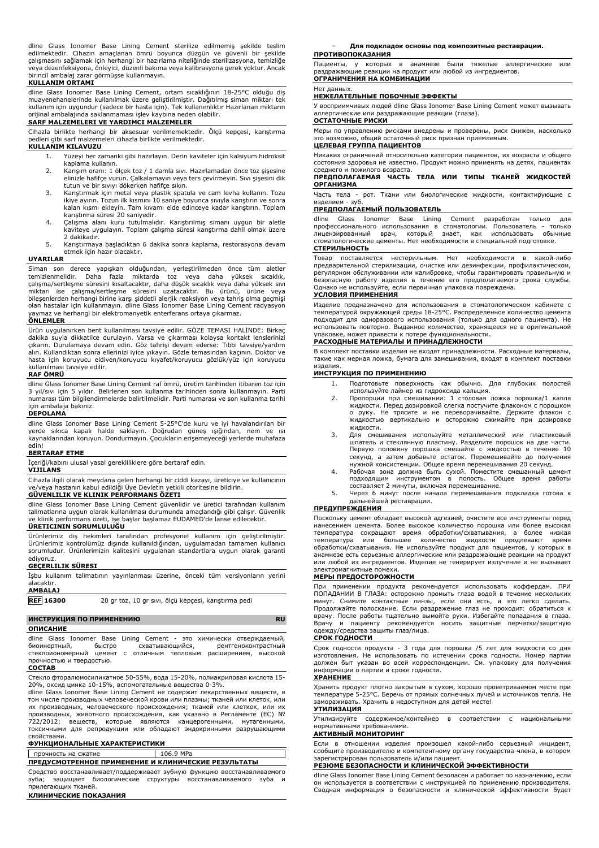dline Glass Ionomer Base Lining Cement sterilize edilmemiş şekilde teslim edilmektedir. Cihazın amaçlanan ömrü boyunca düzgün ve güvenli bir şekilde çalışmasını sağlamak için herhangi bir hazırlama niteliğinde sterilizasyona, temizliğe veya dezenfeksiyona, önleyici, düzenli bakıma veya kalibrasyona gerek yoktur. Ancak birincil ambalaj zarar görmüşse kullanmayın.

### **KULLANIM ORTAMI**

dline Glass Ionomer Base Lining Cement, ortam sıcaklığının 18-25°C olduğu diş muayenehanelerinde kullanılmak üzere geliştirilmiştir. Dağıtılmış siman miktarı tek kullanım için uygundur (sadece bir hasta için). Tek kullanımlıktır Hazırlanan miktarın orijinal ambalajında saklanmaması işlev kaybına neden olabilir.

## **SARF MALZEMELERI VE YARDIMCI MALZEMELER**

Cihazla birlikte herhangi bir aksesuar verilmemektedir. Ölçü kepçesi, karıştırma pedleri gibi sarf malzemeleri cihazla birlikte verilmektedir.

## **KULLANIM KILAVUZU**

- 1. Yüzeyi her zamanki gibi hazırlayın. Derin kaviteler için kalsiyum hidroksit kaplama kullanın.
- 2. Karışım oranı: 1 ölçek toz / 1 damla sıvı. Hazırlamadan önce toz şişesine elinizle hafifçe vurun. Çalkalamayın veya ters çevirmeyin. Sıvı şişesini dik tutun ve bir sıvıyı dökerken hafifçe sıkın.
- 3. Karıştırmak için metal veya plastik spatula ve cam levha kullanın. Tozu ikiye ayırın. Tozun ilk kısmını 10 saniye boyunca sıvıyla karıştırın ve sonra kalan kısmı ekleyin. Tam kıvamı elde edinceye kadar karıştırın. Toplam karıştırma süresi 20 saniyedir.
- 4. Çalışma alanı kuru tutulmalıdır. Karıştırılmış simanı uygun bir aletle kaviteye uygulayın. Toplam çalışma süresi karıştırma dahil olmak üzere 2 dakikadır.
- 5. Karıştırmaya başladıktan 6 dakika sonra kaplama, restorasyona devam etmek için hazır olacaktır.

#### **UYARILAR**

Siman son derece yapışkan olduğundan, yerleştirilmeden önce tüm aletler<br>temizlenmelidir. Daha fazla miktarda toz veya daha yüksek sıcaklık,<br>çalışma/sertleşme süresini kısaltacaktır, daha düşük sıcaklık veya daha yüksek sıv bileşenlerden herhangi birine karşı şiddetli alerjik reaksiyon veya tahriş olma geçmişi olan hastalar için kullanmayın. dline Glass Ionomer Base Lining Cement radyasyon yaymaz ve herhangi bir elektromanyetik enterferans ortaya çıkarmaz. **ÖNLEMLER**

Ürün uygulanırken bent kullanılması tavsiye edilir. GÖZE TEMASI HALİNDE: Birkaç dakika suyla dikkatlice durulayın. Varsa ve çıkarması kolaysa kontakt lenslerinizi çıkarın. Durulamaya devam edin. Göz tahrişi devam ederse: Tıbbi tavsiye/yardım alın. Kullandıktan sonra ellerinizi iyice yıkayın. Gözle temasından kaçının. Doktor ve hasta için koruyucu eldiven/koruyucu kıyafet/koruyucu gözlük/yüz için koruyucu kullanılması tavsiye edilir.

### **RAF ÖMRÜ**

dline Glass Ionomer Base Lining Cement raf ömrü, üretim tarihinden itibaren toz için 3 yıl/sıvı için 5 yıldır. Belirlenen son kullanma tarihinden sonra kullanmayın. Parti numarası tüm bilgilendirmelerde belirtilmelidir. Parti numarası ve son kullanma tarihi için ambalaja bakınız.

#### **DEPOLAMA**

dline Glass Ionomer Base Lining Cement 5-25°C'de kuru ve iyi havalandırılan bir yerde sıkıca kapalı halde saklayın. Doğrudan güneş ışığından, nem ve ısı kaynaklarından koruyun. Dondurmayın. Çocukların erişemeyeceği yerlerde muhafaza edin!

#### **BERTARAF ETME**

İçeriği/kabını ulusal yasal gerekliliklere göre bertaraf edin.

## **VIJILANS**

Cihazla ilgili olarak meydana gelen herhangi bir ciddi kazayı, üreticiye ve kullanıcının ve/veya hastanın kabul edildiği Üye Devletin yetkili otoritesine bildirin.

## **GÜVENLILIK VE KLINIK PERFORMANS ÖZETI**

dline Glass Ionomer Base Lining Cement güvenlidir ve üretici tarafından kullanım talimatlarına uygun olarak kullanılması durumunda amaçlandığı gibi çalışır. Güvenlik ve klinik performans özeti, işe başlar başlamaz EUDAMED'de lanse edilecektir. **ÜRETICININ SORUMLULUĞU**

Ürünlerimiz diş hekimleri tarafından profesyonel kullanım için geliştirilmiştir. Ürünlerimiz kontrolümüz dışında kullanıldığından, uygulamadan tamamen kullanıcı sorumludur. Ürünlerimizin kalitesini uygulanan standartlara uygun olarak garanti ediyoruz.

## **GEÇERLILIK SÜRESI**

İşbu kullanım talimatının yayınlanması üzerine, önceki tüm versiyonların yerini alacaktır.

## **AMBALAJ**

**REF 16300** 20 gr toz, 10 gr sıvı, ölçü kepçesi, karıştırma pedi

## **ИНСТРУКЦИЯ ПО ПРИМЕНЕНИЮ RU**

## **ОПИСАНИЕ**

dline Glass Ionomer Base Lining Cement - это химически отверждаемый, биоинертный, быстро схватывающийся, рентгеноконтрастный стеклоиономерный цемент с отличным тепловым расширением, высокой прочностью и твердостью.

## **СОСТАВ**

Стекло фторалюмосиликатное 50-55%, вода 15-20%, полиакриловая кислота 15- 20%, оксид цинка 10-15%, вспомогательные вещества 0-3%.

dline Glass Ionomer Base Lining Cement не содержит лекарственных веществ, в том числе производных человеческой крови или плазмы; тканей или клеток, или их производных, человеческого происхождения; тканей или клеткок, или их производных, животного происхождения, как указано в Регламенте (ЕС) № 722/2012; веществ, которые являются канцерогенными, мутагенными, токсичными для репродукции или обладают эндокринными разрушающими свойствами.

# **ФУНКЦИОНАЛЬНЫЕ ХАРАКТЕРИСТИКИ**

## прочность на сжатие 106.9 MPa **ПРЕДУСМОТРЕННОЕ ПРИМЕНЕНИЕ И КЛИНИЧЕСКИЕ РЕЗУЛЬТАТЫ**

Средство восстанавливает/поддерживает зубную функцию восстанавливаемого зуба; защищает биологические структуры восстанавливаемого зуба и прилегающих тканей.

## **КЛИНИЧЕСКИЕ ПОКАЗАНИЯ**

− **Для подкладок основы под композитные реставрации.**

## **ПРОТИВОПОКАЗАНИЯ**

Пациенты, у которых в анамнезе были тяжелые аллергические или раздражающие реакции на продукт или любой из ингредиентов. **ОГРАНИЧЕНИЯ НА КОМБИНАЦИИ**

## Нет данных.

## **НЕЖЕЛАТЕЛЬНЫЕ ПОБОЧНЫЕ ЭФФЕКТЫ**

У восприимчивых людей dline Glass Ionomer Base Lining Cement может вызывать аллергические или раздражающие реакции (глаза).

## **ОСТАТОЧНЫЕ РИСКИ**

Меры по управлению рисками внедрены и проверены, риск снижен, насколько это возможно, общий остаточный риск признан приемлемым.

## **ЦЕЛЕВАЯ ГРУППА ПАЦИЕНТОВ**

Никаких ограничений относительно категории пациентов, их возраста и общего состояния здоровья не известно. Продукт можно применять на детях, пациентах среднего и пожилого возраста.

#### **ПРЕДПОЛАГАЕМАЯ ЧАСТЬ ТЕЛА ИЛИ ТИПЫ ТКАНЕЙ ЖИДКОСТЕЙ ОРГАНИЗМА**

Часть тела - рот. Ткани или биологические жидкости, контактирующие с изделием - зуб.

## **ПРЕДПОЛАГАЕМЫЙ ПОЛЬЗОВАТЕЛЬ**

dline Glass Ionomer Base Lining Cement разработан только для профессионального использования в стоматологии. Пользователь - только<br>лицензированный врач, который знает, как использовать обычные лицензированный врач, который знает, как использовать обычные стоматологические цементы. Нет необходимости в специальной подготовке. **СТЕРИЛЬНОСТЬ**

Товар поставляется нестерильным. Нет необходимости в какой-либо предварительной стерилизации, очистке или дезинфекции, профилактическом, регулярном обслуживании или калибровке, чтобы гарантировать правильную и безопасную работу изделия в течение его предполагаемого срока службы. Однако не используйте, если первичная упаковка повреждена.

## **УСЛОВИЯ ПРИМЕНЕНИЯ**

Изделие предназначено для использования в стоматологическом кабинете с температурой окружающей среды 18-25°C. Распределенное количество цемента подходит для одноразового использования (только для одного пациента). Не использовать повторно. Выданное количество, хранящееся не в оригинальной упаковке, может привести к потере функциональности.

## **РАСХОДНЫЕ МАТЕРИАЛЫ И ПРИНАДЛЕЖНОСТИ**

В комплект поставки изделия не входят принадлежности. Расходные материалы, такие как мерная ложка, бумага для замешивания, входят в комплект поставки изделия.

### **ИНСТРУКЦИЯ ПО ПРИМЕНЕНИЮ**

- 1. Подготовьте поверхность как обычно. Для глубоких полостей используйте лайнер из гидроксида кальция.
- 2. Пропорции при смешивании: 1 столовая ложка порошка/1 капля жидкости. Перед дозировкой слегка постучите флаконом с порошком о руку. Не трясите и не переворачивайте. Держите флакон с жидкостью вертикально и осторожно сжимайте при дозировке жидкости.
- 3. Для смешивания используйте металлический или пластиковый шпатель и стеклянную пластину. Разделите порошок на две части. Первую половину порошка смешайте с жидкостью в течение 10 секунд, а затем добавьте остаток. Перемешивайте до получения нужной консистенции. Общее время перемешивания 20 секунд.
- 4. Рабочая зона должна быть сухой. Поместите смешанный цемент подходящим инструментом в полость. Общее время работы
- составляет 2 минуты, включая перемешивание.
- 5. Через 6 минут после начала перемешивания подкладка готова к дальнейшей реставрации.

## **ПРЕДУПРЕЖДЕНИЯ**

Поскольку цемент обладает высокой адгезией, очистите все инструменты перед нанесением цемента. Более высокое количество порошка или более высокая температура сокращают время обработки/схватывания, а более низкая температура или большее количество жидкости продлевают время обработки/схватывания. Не используйте продукт для пациентов, у которых в анамнезе есть серьезные аллергические или раздражающие реакции на продукт или любой из ингредиентов. Изделие не генерирует излучение и не вызывает электромагнитные помехи.

## **МЕРЫ ПРЕДОСТОРОЖНОСТИ**

При применении продукта рекомендуется использовать коффердам. ПРИ ПОПАДАНИИ В ГЛАЗА: осторожно промыть глаза водой в течение нескольких минут. Снимите контактные линзы, если они есть, и это легко сделать. Продолжайте полоскание. Если раздражение глаз не проходит: обратиться к врачу. После работы тщательно вымойте руки. Избегайте попадания в глаза. Врачу и пациенту рекомендуется носить защитные перчатки/защитную одежду/средства защиты глаз/лица.

## **СРОК ГОДНОСТИ**

Срок годности продукта - 3 года для порошка /5 лет для жидкости со дня изготовления. Не использовать по истечении срока годности. Номер партии должен быт указан во всей корреспонденции. См. упаковку для получения информации о партии и сроке годности. **ХРАНЕНИЕ**

Хранить продукт плотно закрытым в сухом, хорошо проветриваемом месте при температуре 5-25°C. Беречь от прямых солнечных лучей и источников тепла. Не замораживать. Хранить в недоступном для детей месте!

## **УТИЛИЗАЦИЯ**

Утилизируйте содержимое/контейнер в соответствии с национальными нормативными требованиями. **АКТИВНЫЙ МОНИТОРИНГ**

Если в отношении изделия произошел какой-либо серьезный инцидент, сообщите производителю и компетентному органу государства-члена, в котором зарегистрирован пользователь и/или пациент.

## **РЕЗЮМЕ БЕЗОПАСНОСТИ И КЛИНИЧЕСКОЙ ЭФФЕКТИВНОСТИ**

dline Glass Ionomer Base Lining Cement безопасен и работает по назначению, если он используется в соответствии с инструкцией по применению производителя. Сводная информация о безопасности и клинической эффективности будет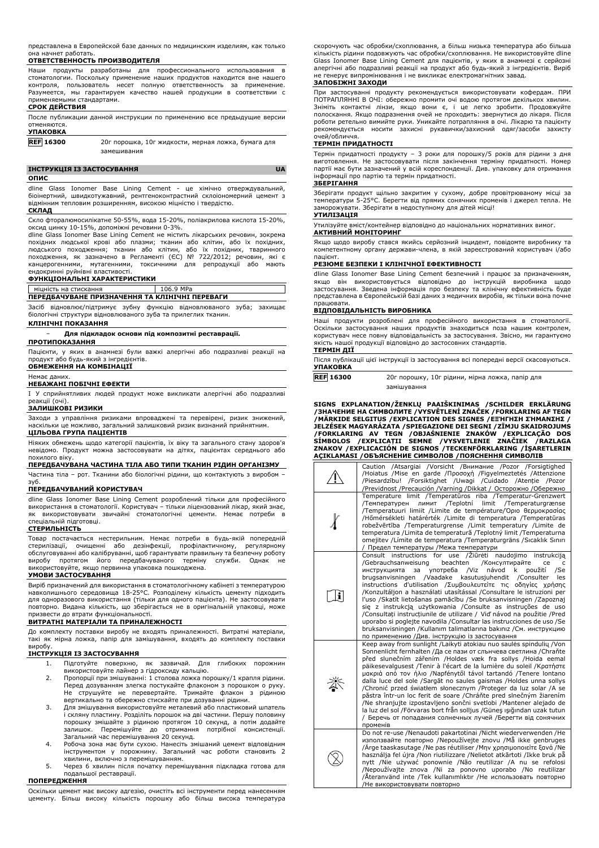представлена в Европейской базе данных по медицинским изделиям, как только она начнет работать.

## **ОТВЕТСТВЕННОСТЬ ПРОИЗВОДИТЕЛЯ**

Наши продукты разработаны для профессионального использования стоматологии. Поскольку применение наших продуктов находится вне нашего контроля, пользователь несет полную ответственность за применение. Разумеется, мы гарантируем качество нашей продукции в соответствии с применяемыми стандартами.

## **СРОК ДЕЙСТВИЯ**

| После публикации данной инструкции по применению все предыдущие версии |  |  |  |  |
|------------------------------------------------------------------------|--|--|--|--|
| отменяются.                                                            |  |  |  |  |
| <b><i>NE AMARIA</i></b>                                                |  |  |  |  |

### **УПАКОВКА**

**REF 16300** 20г порошка, 10г жидкости, мерная ложка, бумага для замешивания

## **ІНСТРУКЦІЯ ІЗ ЗАСТОСУВАННЯ UA**

**ОПИС**

dline Glass Ionomer Base Lining Cement - це хімічно отверждувальний, біоінертний, швидкотужавний, рентгеноконтрастний склоіономерний цемент з відмінним тепловим розширенням, високою міцністю і твердістю.

#### **СКЛАД**

Скло фторалюмосилікатне 50-55%, вода 15-20%, поліакрилова кислота 15-20%, оксид цинку 10-15%, допоміжні речовини 0-3%.

dline Glass Ionomer Base Lining Cement не містить лікарських речовин, зокрема похідних людської крові або плазми; тканин або клітин, або їх похідних, людського походження; тканин або клітин, або їх похідних, тваринного походження, як зазначено в Регламенті (ЄС) № 722/2012; речовин, які є канцерогенними, мутагенними, токсичними для репродукції або мають ендокринні руйнівні властивості.

## **ФУНКЦІОНАЛЬНІ ХАРАКТЕРИСТИКИ**

# міцність на стискання 106.9 MPa **ПЕРЕДБАЧУВАНЕ ПРИЗНАЧЕННЯ ТА КЛІНІЧНІ ПЕРЕВАГИ**

Засіб відновлює/підтримує зубну функцію відновлюваного зуба; захищає біологічні структури відновлюваного зуба та прилеглих тканин.

## **КЛІНІЧНІ ПОКАЗАННЯ**

− **Для підкладок основи під композитні реставрації.**

## **ПРОТИПОКАЗАННЯ**

Пацієнти, у яких в анамнезі були важкі алергічні або подразливі реакції на продукт або будь-який з інгредієнтів.

## **ОБМЕЖЕННЯ НА КОМБІНАЦІЇ**

Немає даних.

## **НЕБАЖАНІ ПОБІЧНІ ЕФЕКТИ**

I У сприйнятливих людей продукт може викликати алергічні або подразливі реакції (очі).

#### **ЗАЛИШКОВІ РИЗИКИ**

Заходи з управління ризиками впроваджені та перевірені, ризик знижений,<br>наскільки це можливо, загальний залишковий ризик визнаний прийнятним. загальний залишковий ризик визнаний прийнятним. **ЦІЛЬОВА ГРУПА ПАЦІЄНТІВ**

Ніяких обмежень щодо категорії пацієнтів, їх віку та загального стану здоров'я невідомо. Продукт можна застосовувати на дітях, пацієнтах середнього або похилого віку.

## **ПЕРЕДБАЧУВАНА ЧАСТИНА ТІЛА АБО ТИПИ ТКАНИН РІДИН ОРГАНІЗМУ**

Частина тіла – рот. Тканини або біологічні рідини, що контактують з виробом – зуб.

## **ПЕРЕДБАЧУВАНИЙ КОРИСТУВАЧ**

dline Glass Ionomer Base Lining Cement розроблений тільки для професійного використання в стоматології. Користувач – тільки ліцензований лікар, який знає, як використовувати звичайні стоматологічні цементи. Немає потреби в спеціальній підготовці.

### **СТЕРИЛЬНІСТЬ**

Товар постачається нестерильним. Немає потреби в будь-якій попередній стерилізації, очищенні або дезінфекції, профілактичному, регулярному обслуговуванні або калібруванні, щоб гарантувати правильну та безпечну роботу виробу протягом його передбачуваного терміну служби. Однак не використовуйте, якщо первинна упаковка пошкоджена.

### **УМОВИ ЗАСТОСУВАННЯ**

Виріб призначений для використання в стоматологічному кабінеті з температурою навколишнього середовища 18-25°C. Розподілену кількість цементу підходить для одноразового використання (тільки для одного пацієнта). Не застосовувати повторно. Видана кількість, що зберігається не в оригінальній упаковці, може призвести до втрати функціональності.

## **ВИТРАТНІ МАТЕРІАЛИ ТА ПРИНАЛЕЖНОСТІ**

До комплекту поставки виробу не входять приналежності. Витратні матеріали, такі як мірна ложка, папір для замішування, входять до комплекту поставки виробу.

## **ІНСТРУКЦІЯ ІЗ ЗАСТОСУВАННЯ**

- 1. Підготуйте поверхню, як зазвичай. Для глибоких порожнин
- використовуйте лайнер з гідроксиду кальцію. 2. Пропорції при змішуванні: 1 столова ложка порошку/1 крапля рідини. Перед дозуванням злегка постукайте флаконом з порошком о руку. Не струшуйте не перевертайте. Тримайте флакон з рідиною вертикально та обережно стискайте при дозуванні рідини.
- 3. Для змішування використовуйте металевий або пластиковий шпатель і скляну пластину. Розділіть порошок на дві частини. Першу половину порошку змішайте з рідиною протягом 10 секунд, а потім додайте залишок. Перемішуйте до отримання потрібної консистенції. Загальний час перемішування 20 секунд.
- 4. Робоча зона має бути сухою. Нанесіть змішаний цемент відповідним у порожнину. Загальний час роботи становить 2 хвилини, включно з перемішуванням.
- 5. Через 6 хвилин після початку перемішування підкладка готова для подальшої реставрації.

## **ПОПЕРЕДЖЕННЯ**

Оскільки цемент має високу адгезію, очистіть всі інструменти перед нанесенням цементу. Більш високу кількість порошку або більш висока температура скорочують час обробки/схоплювання, а більш низька температура або більша кількість рідини подовжують час обробки/схоплювання. Не використовуйте dline Glass Ionomer Base Lining Cement для пацієнтів, у яких в анамнезі є серйозні алергічні або подразливі реакції на продукт або будь-який з інгредієнтів. Виріб не генерує випромінювання і не викликає електромагнітних завад.

### **ЗАПОБІЖНІ ЗАХОДИ**

При застосуванні продукту рекомендується використовувати кофердам. ПРИ<br>ПОТРАПЛЯННІ В ОЧІ: обережно промити очі водою протягом декількох хвилин.<br>Зніміть контактні лінзи, якщо вони є, і це легко зробити. Продовжуйте полоскання. Якщо подразнення очей не проходить: звернутися до лікаря. Після роботи ретельно вимийте руки. Уникайте потрапляння в очі. Лікарю та пацієнту рекомендується носити захисні рукавички/захисний одяг/засоби захисту очей/обличчя.

### **ТЕРМІН ПРИДАТНОСТІ**

Термін придатності продукту – 3 роки для порошку/5 років для рідини з дня виготовлення. Не застосовувати після закінчення терміну придатності. Номер партії має бути зазначений у всій кореспонденції. Див. упаковку для отримання інформації про партію та термін придатності.

## **ЗБЕРІГАННЯ**

Зберігати продукт щільно закритим у сухому, добре провітрюваному місці за температури 5-25°C. Берегти від прямих сонячних променів і джерел тепла. Не заморожувати. Зберігати в недоступному для дітей місці! **УТИЛІЗАЦІЯ**

Утилізуйте вміст/контейнер відповідно до національних нормативних вимог. **АКТИВНИЙ МОНІТОРИНГ**

Якщо щодо виробу стався якийсь серйозний інцидент, повідомте виробнику та компетентному органу держави-члена, в якій зареєстрований користувач і/або пацієнт.

## **РЕЗЮМЕ БЕЗПЕКИ І КЛІНІЧНОЇ ЕФЕКТИВНОСТІ**

dline Glass Ionomer Base Lining Cement безпечний і працює за призначенням, якщо він використовується відповідно до інструкцій виробника щодо застосування. Зведена інформація про безпеку та клінічну ефективність буде представлена в Європейській базі даних з медичних виробів, як тільки вона почне працювати.

### **ВІДПОВІДАЛЬНІСТЬ ВИРОБНИКА**

Наші продукти розроблені для професійного використання в стоматології. Оскільки застосування наших продуктів знаходиться поза нашим контролем, користувач несе повну відповідальність за застосування. Звісно, ми гарантуємо якість нашої продукції відповідно до застосовних стандартів.

### **ТЕРМІН ДІЇ**

Після публікації цієї інструкції із застосування всі попередні версії скасовуються. **УПАКОВКА**

**REF 16300** 20г порошку, 10г рідини, мірна ложка, папір для замішування

**SIGNS EXPLANATION/ŽENKLŲ PAAIŠKINIMAS /SCHILDER ERKLÄRUNG** /ЗНАЧЕНИЕ НА СИМВОЛИТЕ /VYSVETLENI ZNACEK /FORKLARING AF TEGN<br>/МÄRKIDE SELGITUS /EXPLICATION DES SIGNES /ЕΞΉΓΗΣΗ ΣΉΜΑΝΣΗΣ / **JELZÉSEK MAGYARÁZATA /SPIEGAZIONE DEI SEGNI /ZĪMJU SKAIDROJUMS** /FORKLARING AV TEGN /OBJASNIENIE ZNAKOW /EXPLICAÇAO DOS<br>SÍMBOLOS /EXPLICAȚII SEMNE /VYSVETLENIE ZNAČIEK /RAZLAGA<br>ZNAKOV /EXPLICACIÓN DE SIGNOS /TECKENFÖRKLARING /İŞARETLERIN **AÇIKLAMASI /ОБЪЯСНЕНИЕ СИМВОЛОВ /ПОЯСНЕННЯ СИМВОЛІВ**

|   | Caution /Atsargiai /Vorsicht /Внимание /Pozor /Forsigtighed<br>/Hoiatus /Mise en garde /Προσοχή /Figyelmeztetés /Attenzione<br>/Piesardzību! /Forsiktighet /Uwagi /Cuidado /Atenție /Pozor<br>/Previdnost /Precaución /Varning /Dikkat / Осторожно /Обережно                                                                                                                                                                                                                                                                                                                                                                                                                                                                                                                                                                        |
|---|-------------------------------------------------------------------------------------------------------------------------------------------------------------------------------------------------------------------------------------------------------------------------------------------------------------------------------------------------------------------------------------------------------------------------------------------------------------------------------------------------------------------------------------------------------------------------------------------------------------------------------------------------------------------------------------------------------------------------------------------------------------------------------------------------------------------------------------|
|   | Temperature limit /Temperatūros riba /Temperatur-Grenzwert<br>лимит /Teplotní limit /Temperaturgrænse<br>/Температурен<br>/Temperatuuri limiit /Limite de température/Όριο θερμοκρασίας<br>/Hőmérsékleti határérték /Limite di temperatura /Temperatūras<br>robežvērtība /Temperaturgrense /Limit temperatury /Limite de<br>temperatura / Limita de temperatură / Teplotný limit / Temperaturna<br>omejitev / Límite de temperatura / Temperaturgräns / Sıcaklık Sınırı<br>/ Предел температуры / Межа температури                                                                                                                                                                                                                                                                                                                  |
| i | Consult instructions for use / Žiūrėti<br>naudojimo instrukcija<br>/Gebrauchsanweisung<br>beachten<br>/Консултирайте<br>ce<br>c<br>употреба /Viz<br>návod<br>použití<br>/Se<br>инструкцията<br>за<br>k<br>/Vaadake<br>kasutusjuhendit / Consulter<br>brugsanvisningen<br>les<br>instructions d'utilisation / Συμβουλευτείτε τις οδηγίες χρήσης<br>/Konzultáljon a használati utasítással /Consultare le istruzioni per<br>l'uso /Skatīt lietošanas pamācību /Se bruksanvisningen /Zapoznaj<br>się z instrukcją użytkowania /Consulte as instruções de uso<br>/Consultati instructiunile de utilizare / Vid' návod na použitie /Pred<br>uporabo si poglejte navodila / Consultar las instrucciones de uso / Se<br>bruksanvisningen /Kullanım talimatlarına bakınız /См. инструкцию<br>по применению /Див. інструкцію із застосування |
|   | Keep away from sunlight /Laikyti atokiau nuo saulės spindulių /Von<br>Sonnenlicht fernhalten /Да се пази от слънчева светлина /Chraňte<br>před slunečním zářením /Holdes væk fra sollys /Hoida eemal<br>päikesevalgusest /Tenir à l'écart de la lumière du soleil /Kparnore<br>μακριά από τον ήλιο /Napfénytől távol tartandó /Tenere lontano<br>dalla luce del sole /Sargāt no saules gaismas /Holdes unna sollys<br>/Chronić przed światłem słonecznym /Proteger da luz solar /A se<br>păstra într-un loc ferit de soare /Chráňte pred slnečným žiarením<br>/Ne shranjujte izpostavljeno sončni svetlobi /Mantener alejado de<br>la luz del sol /Förvaras bort från solljus /Güneş ışığından uzak tutun<br>/ Беречь от попадания солнечных лучей /Берегти від сонячних<br>променів                                                |
|   | Do not re-use /Nenaudoti pakartotinai /Nicht wiederverwenden /He<br>използвайте повторно /Nepoužívejte znovu / Må ikke genbruges<br>Ärge taaskasutage /Ne pas réutiliser /Μην χρησιμοποιείτε ξανά /Ne<br>használja fel újra /Non riutilizzare /Nelietot atkārtoti /Ikke bruk på<br>nytt /Nie używać ponownie /Não reutilizar /A nu se refolosi<br>/Nepoužívajte znova /Ni za ponovno uporabo /No reutilizar<br>/Återanvänd inte /Tek kullanımlıktır /Не использовать повторно<br>/Не використовувати повторно                                                                                                                                                                                                                                                                                                                       |